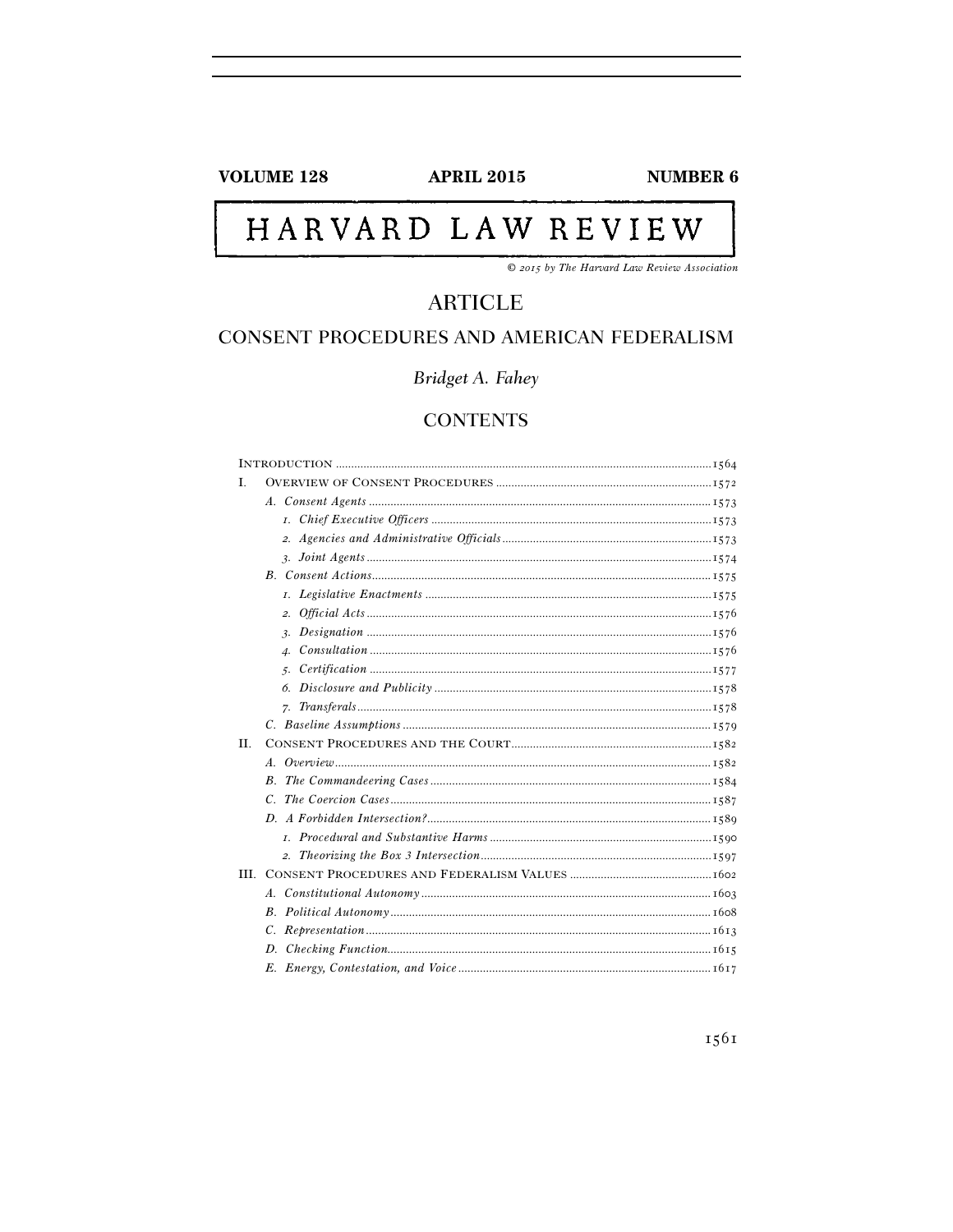# **VOLUME 128**

**APRIL 2015** 

**NUMBER 6** 

# HARVARD LAW REVIEW

© 2015 by The Harvard Law Review Association

# **ARTICLE**

# CONSENT PROCEDURES AND AMERICAN FEDERALISM

Bridget A. Fahey

# **CONTENTS**

| L.  |                                                      |
|-----|------------------------------------------------------|
|     |                                                      |
|     |                                                      |
|     |                                                      |
|     |                                                      |
|     |                                                      |
|     |                                                      |
|     | 2.                                                   |
|     |                                                      |
|     | $\mathcal{A}$ .                                      |
|     |                                                      |
|     |                                                      |
|     |                                                      |
|     |                                                      |
| II. |                                                      |
|     |                                                      |
|     |                                                      |
|     |                                                      |
|     |                                                      |
|     |                                                      |
|     |                                                      |
|     |                                                      |
|     |                                                      |
|     |                                                      |
|     |                                                      |
|     |                                                      |
|     | E. Energy Contestation and Voice<br>$\frac{1}{1617}$ |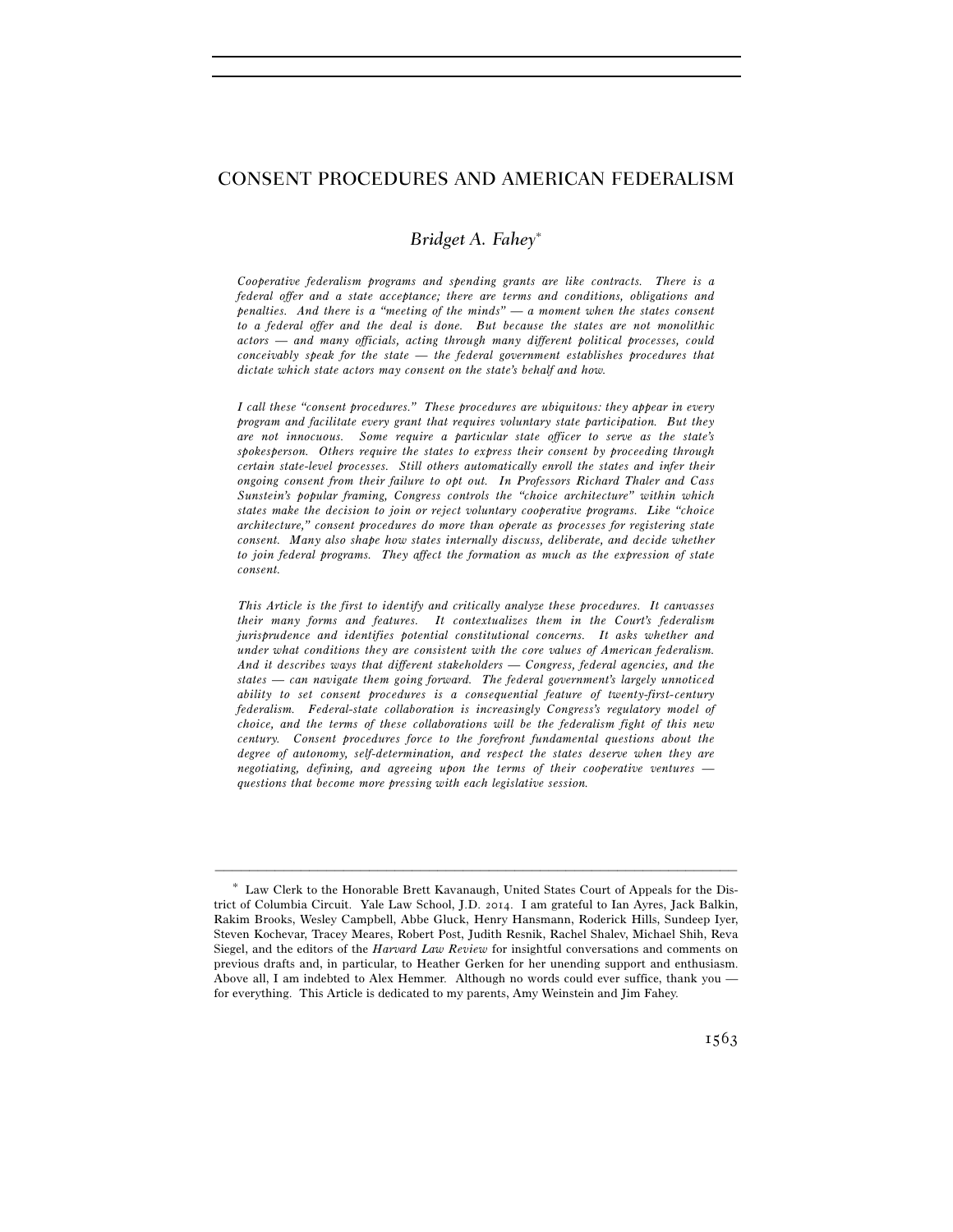# CONSENT PROCEDURES AND AMERICAN FEDERALISM

# *Bridget A. Fahey*<sup>∗</sup>

*Cooperative federalism programs and spending grants are like contracts. There is a federal offer and a state acceptance; there are terms and conditions, obligations and penalties. And there is a "meeting of the minds" — a moment when the states consent to a federal offer and the deal is done. But because the states are not monolithic actors — and many officials, acting through many different political processes, could conceivably speak for the state — the federal government establishes procedures that dictate which state actors may consent on the state's behalf and how.* 

*I call these "consent procedures." These procedures are ubiquitous: they appear in every program and facilitate every grant that requires voluntary state participation. But they are not innocuous. Some require a particular state officer to serve as the state's spokesperson. Others require the states to express their consent by proceeding through certain state-level processes. Still others automatically enroll the states and infer their ongoing consent from their failure to opt out. In Professors Richard Thaler and Cass Sunstein's popular framing, Congress controls the "choice architecture" within which states make the decision to join or reject voluntary cooperative programs. Like "choice architecture," consent procedures do more than operate as processes for registering state consent. Many also shape how states internally discuss, deliberate, and decide whether to join federal programs. They affect the formation as much as the expression of state consent.* 

 *This Article is the first to identify and critically analyze these procedures. It canvasses their many forms and features. It contextualizes them in the Court's federalism jurisprudence and identifies potential constitutional concerns. It asks whether and under what conditions they are consistent with the core values of American federalism. And it describes ways that different stakeholders — Congress, federal agencies, and the states — can navigate them going forward. The federal government's largely unnoticed ability to set consent procedures is a consequential feature of twenty-first-century federalism. Federal-state collaboration is increasingly Congress's regulatory model of choice, and the terms of these collaborations will be the federalism fight of this new century. Consent procedures force to the forefront fundamental questions about the degree of autonomy, self-determination, and respect the states deserve when they are negotiating, defining, and agreeing upon the terms of their cooperative ventures questions that become more pressing with each legislative session.* 

<sup>∗</sup> Law Clerk to the Honorable Brett Kavanaugh, United States Court of Appeals for the District of Columbia Circuit. Yale Law School, J.D. 2014. I am grateful to Ian Ayres, Jack Balkin, Rakim Brooks, Wesley Campbell, Abbe Gluck, Henry Hansmann, Roderick Hills, Sundeep Iyer, Steven Kochevar, Tracey Meares, Robert Post, Judith Resnik, Rachel Shalev, Michael Shih, Reva Siegel, and the editors of the *Harvard Law Review* for insightful conversations and comments on previous drafts and, in particular, to Heather Gerken for her unending support and enthusiasm. Above all, I am indebted to Alex Hemmer. Although no words could ever suffice, thank you for everything. This Article is dedicated to my parents, Amy Weinstein and Jim Fahey.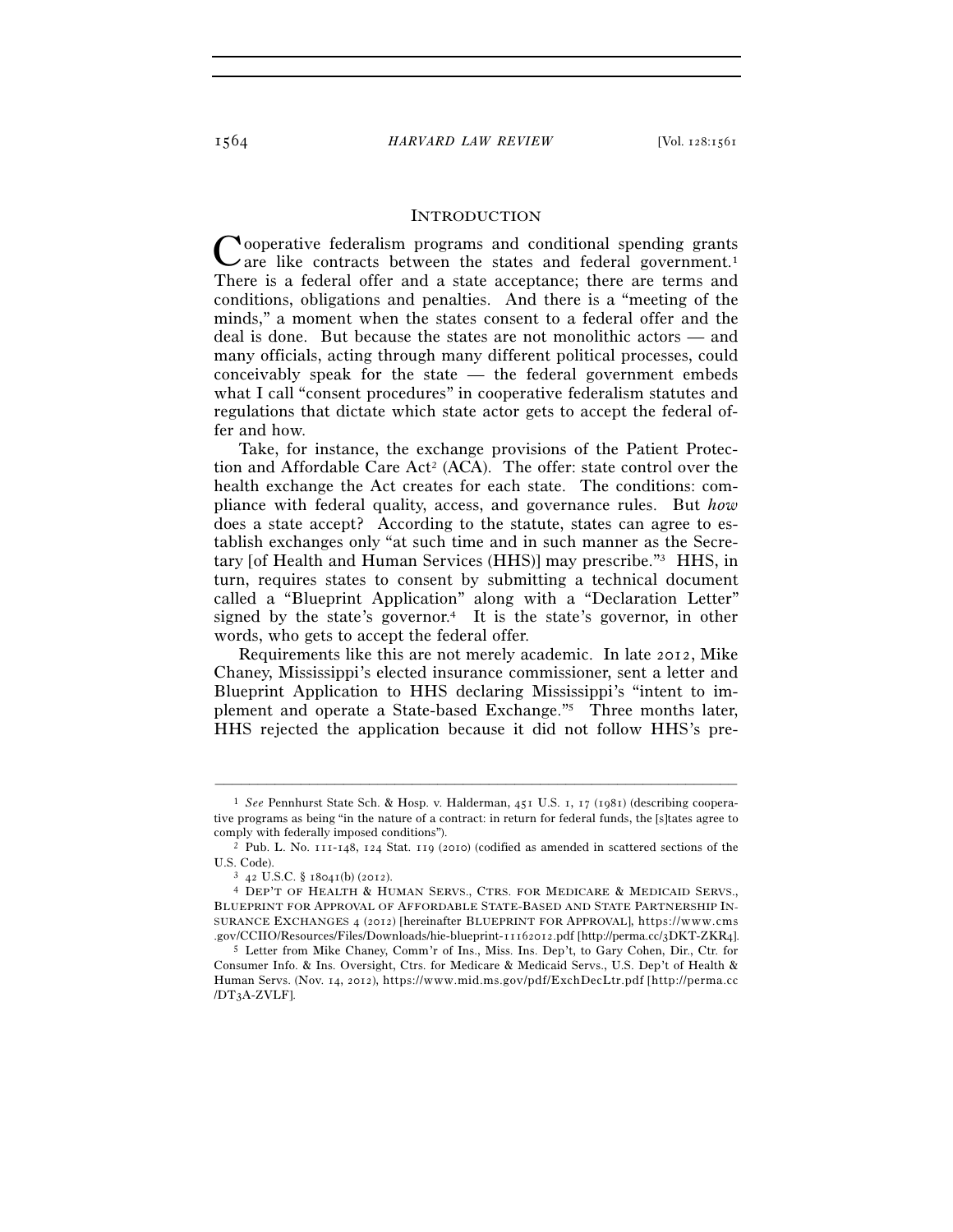#### INTRODUCTION

Cooperative federalism programs and conditional spending grants are like contracts between the states and federal government.<sup>1</sup> are like contracts between the states and federal government.<sup>1</sup> There is a federal offer and a state acceptance; there are terms and conditions, obligations and penalties. And there is a "meeting of the minds," a moment when the states consent to a federal offer and the deal is done. But because the states are not monolithic actors — and many officials, acting through many different political processes, could conceivably speak for the state — the federal government embeds what I call "consent procedures" in cooperative federalism statutes and regulations that dictate which state actor gets to accept the federal offer and how.

Take, for instance, the exchange provisions of the Patient Protection and Affordable Care  $Act^2$  (ACA). The offer: state control over the health exchange the Act creates for each state. The conditions: compliance with federal quality, access, and governance rules. But *how* does a state accept? According to the statute, states can agree to establish exchanges only "at such time and in such manner as the Secretary [of Health and Human Services (HHS)] may prescribe."3 HHS, in turn, requires states to consent by submitting a technical document called a "Blueprint Application" along with a "Declaration Letter" signed by the state's governor.<sup>4</sup> It is the state's governor, in other words, who gets to accept the federal offer.

Requirements like this are not merely academic. In late 2012, Mike Chaney, Mississippi's elected insurance commissioner, sent a letter and Blueprint Application to HHS declaring Mississippi's "intent to implement and operate a State-based Exchange."5 Three months later, HHS rejected the application because it did not follow HHS's pre-

<sup>1</sup> *See* Pennhurst State Sch. & Hosp. v. Halderman, 451 U.S. 1, 17 (1981) (describing cooperative programs as being "in the nature of a contract: in return for federal funds, the [s]tates agree to comply with federally imposed conditions"). 2 Pub. L. No. 111-148, 124 Stat. 119 (2010) (codified as amended in scattered sections of the

U.S. Code).<br><sup>3</sup> 42 U.S.C. § 18041(b) (2012).<br><sup>4</sup> DEP'T OF HEALTH & HUMAN SERVS., CTRS. FOR MEDICARE & MEDICAID SERVS.,

BLUEPRINT FOR APPROVAL OF AFFORDABLE STATE-BASED AND STATE PARTNERSHIP IN-SURANCE EXCHANGES 4 (2012) [hereinafter BLUEPRINT FOR APPROVAL], https://www.cms .gov/CCIIO/Resources/Files/Downloads/hie-blueprint-11162012.pdf [http://perma.cc/3DKT-ZKR4].<br>5 Letter from Mike Chaney, Comm'r of Ins., Miss. Ins. Dep't, to Gary Cohen, Dir., Ctr. for

Consumer Info. & Ins. Oversight, Ctrs. for Medicare & Medicaid Servs., U.S. Dep't of Health & Human Servs. (Nov. 14, 2012), https://www.mid.ms.gov/pdf/ExchDecLtr.pdf [http://perma.cc /DT3A-ZVLF].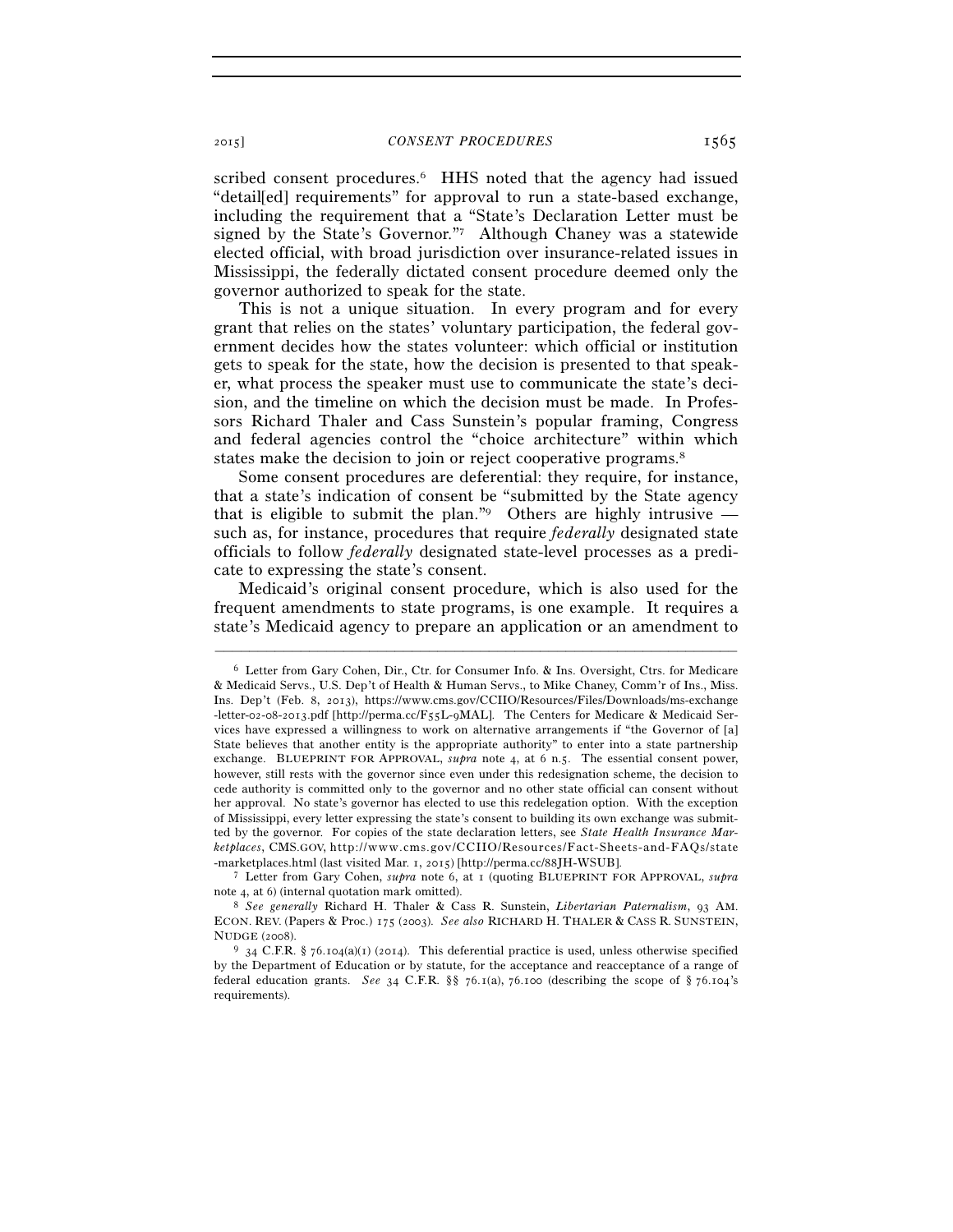scribed consent procedures.<sup>6</sup> HHS noted that the agency had issued "detail[ed] requirements" for approval to run a state-based exchange, including the requirement that a "State's Declaration Letter must be signed by the State's Governor."7 Although Chaney was a statewide elected official, with broad jurisdiction over insurance-related issues in Mississippi, the federally dictated consent procedure deemed only the governor authorized to speak for the state.

This is not a unique situation. In every program and for every grant that relies on the states' voluntary participation, the federal government decides how the states volunteer: which official or institution gets to speak for the state, how the decision is presented to that speaker, what process the speaker must use to communicate the state's decision, and the timeline on which the decision must be made. In Professors Richard Thaler and Cass Sunstein's popular framing, Congress and federal agencies control the "choice architecture" within which states make the decision to join or reject cooperative programs.<sup>8</sup>

Some consent procedures are deferential: they require, for instance, that a state's indication of consent be "submitted by the State agency that is eligible to submit the plan."<sup>9</sup> Others are highly intrusive such as, for instance, procedures that require *federally* designated state officials to follow *federally* designated state-level processes as a predicate to expressing the state's consent.

Medicaid's original consent procedure, which is also used for the frequent amendments to state programs, is one example. It requires a state's Medicaid agency to prepare an application or an amendment to

<sup>6</sup> Letter from Gary Cohen, Dir., Ctr. for Consumer Info. & Ins. Oversight, Ctrs. for Medicare & Medicaid Servs., U.S. Dep't of Health & Human Servs., to Mike Chaney, Comm'r of Ins., Miss. Ins. Dep't (Feb. 8, 2013), https://www.cms.gov/CCIIO/Resources/Files/Downloads/ms-exchange -letter-02-08-2013.pdf [http://perma.cc/F55L-9MAL]. The Centers for Medicare & Medicaid Services have expressed a willingness to work on alternative arrangements if "the Governor of [a] State believes that another entity is the appropriate authority" to enter into a state partnership exchange. BLUEPRINT FOR APPROVAL, *supra* note 4, at 6 n.5. The essential consent power, however, still rests with the governor since even under this redesignation scheme, the decision to cede authority is committed only to the governor and no other state official can consent without her approval. No state's governor has elected to use this redelegation option. With the exception of Mississippi, every letter expressing the state's consent to building its own exchange was submitted by the governor. For copies of the state declaration letters, see *State Health Insurance Marketplaces*, CMS.GOV, http://www.cms.gov/CCIIO/Resources/Fact-Sheets-and-FAQs/state - m a r k e t p l a c e s . h t m l (last visited Mar. 1, 2015) [http://perma.cc/88JH-WSUB]. 7 Letter from Gary Cohen, *supra* note 6, at 1 (quoting BLUEPRINT FOR APPROVAL, *supra*

note 4, at 6) (internal quotation mark omitted). 8 *See generally* Richard H. Thaler & Cass R. Sunstein, *Libertarian Paternalism*, 93 AM.

ECON. REV. (Papers & Proc.) 175 (2003). *See also* RICHARD H. THALER & CASS R. SUNSTEIN, NUDGE (2008). 9 34 C.F.R. § 76.104(a)(1) (2014). This deferential practice is used, unless otherwise specified

by the Department of Education or by statute, for the acceptance and reacceptance of a range of federal education grants. *See* 34 C.F.R. §§ 76.1(a), 76.100 (describing the scope of § 76.104's requirements).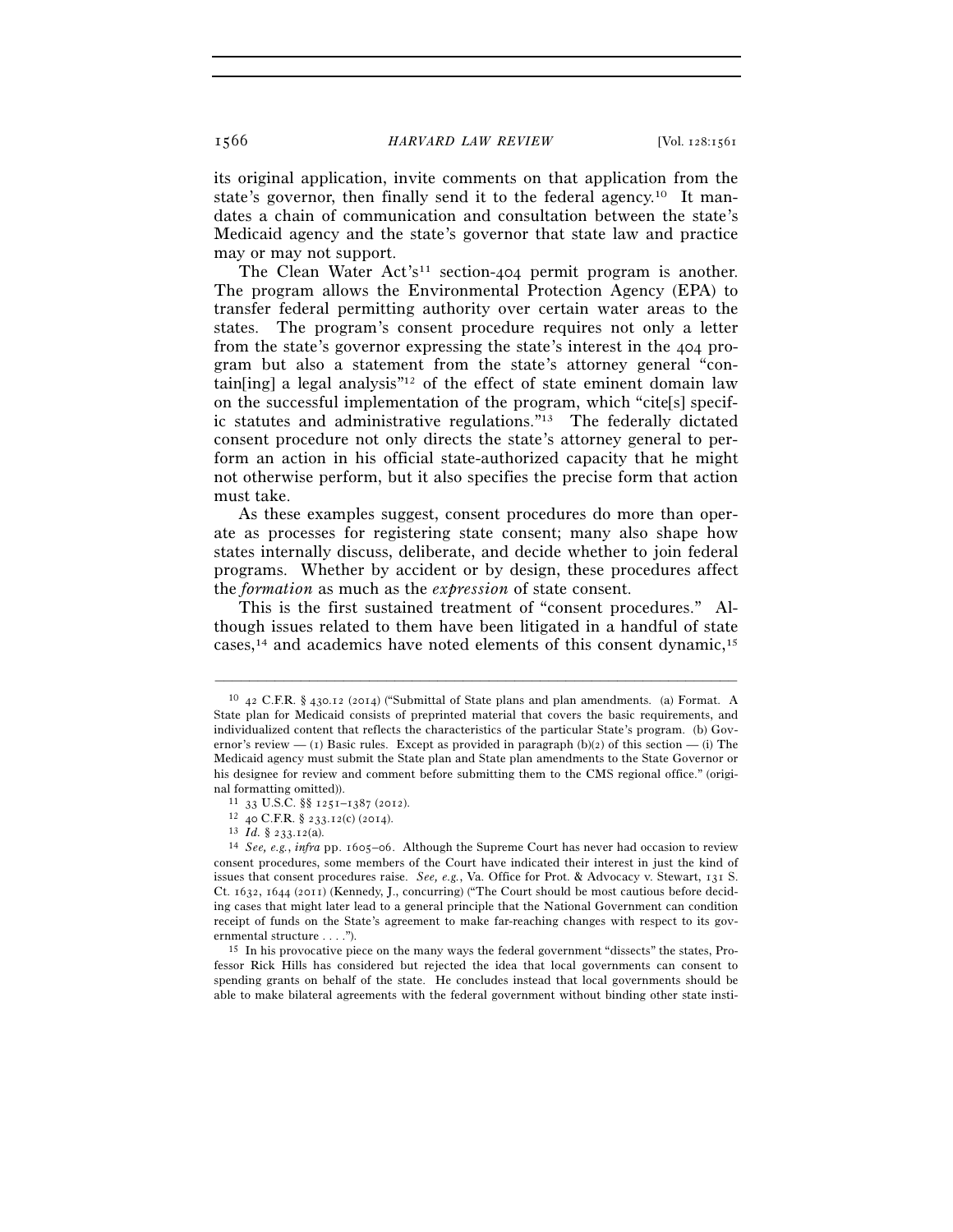its original application, invite comments on that application from the state's governor, then finally send it to the federal agency.<sup>10</sup> It mandates a chain of communication and consultation between the state's Medicaid agency and the state's governor that state law and practice may or may not support.

The Clean Water  $Act's<sup>11</sup> section-404$  permit program is another. The program allows the Environmental Protection Agency (EPA) to transfer federal permitting authority over certain water areas to the states. The program's consent procedure requires not only a letter from the state's governor expressing the state's interest in the 404 program but also a statement from the state's attorney general "contain[ing] a legal analysis"<sup>12</sup> of the effect of state eminent domain law on the successful implementation of the program, which "cite[s] specific statutes and administrative regulations."13 The federally dictated consent procedure not only directs the state's attorney general to perform an action in his official state-authorized capacity that he might not otherwise perform, but it also specifies the precise form that action must take.

As these examples suggest, consent procedures do more than operate as processes for registering state consent; many also shape how states internally discuss, deliberate, and decide whether to join federal programs. Whether by accident or by design, these procedures affect the *formation* as much as the *expression* of state consent.

This is the first sustained treatment of "consent procedures." Although issues related to them have been litigated in a handful of state cases,14 and academics have noted elements of this consent dynamic,15

<sup>10</sup> 42 C.F.R. § 430.12 (2014) ("Submittal of State plans and plan amendments. (a) Format. A State plan for Medicaid consists of preprinted material that covers the basic requirements, and individualized content that reflects the characteristics of the particular State's program. (b) Governor's review — (1) Basic rules. Except as provided in paragraph  $(b)(2)$  of this section — (i) The Medicaid agency must submit the State plan and State plan amendments to the State Governor or his designee for review and comment before submitting them to the CMS regional office." (original formatting omitted)).<br>
<sup>11</sup> 33 U.S.C. §§ 1251–1387 (2012).<br>
<sup>12</sup> 40 C.F.R. § 233.12(c) (2014).<br>
<sup>13</sup> *Id*. § 233.12(a).<br>
<sup>14</sup> *See, e.g., infra* pp. 1605–06. Although the Supreme Court has never had occasion to review

consent procedures, some members of the Court have indicated their interest in just the kind of issues that consent procedures raise. *See, e.g.*, Va. Office for Prot. & Advocacy v. Stewart, 131 S. Ct. 1632, 1644 (2011) (Kennedy, J., concurring) ("The Court should be most cautious before deciding cases that might later lead to a general principle that the National Government can condition receipt of funds on the State's agreement to make far-reaching changes with respect to its governmental structure . . . ."). 15 In his provocative piece on the many ways the federal government "dissects" the states, Pro-

fessor Rick Hills has considered but rejected the idea that local governments can consent to spending grants on behalf of the state. He concludes instead that local governments should be able to make bilateral agreements with the federal government without binding other state insti-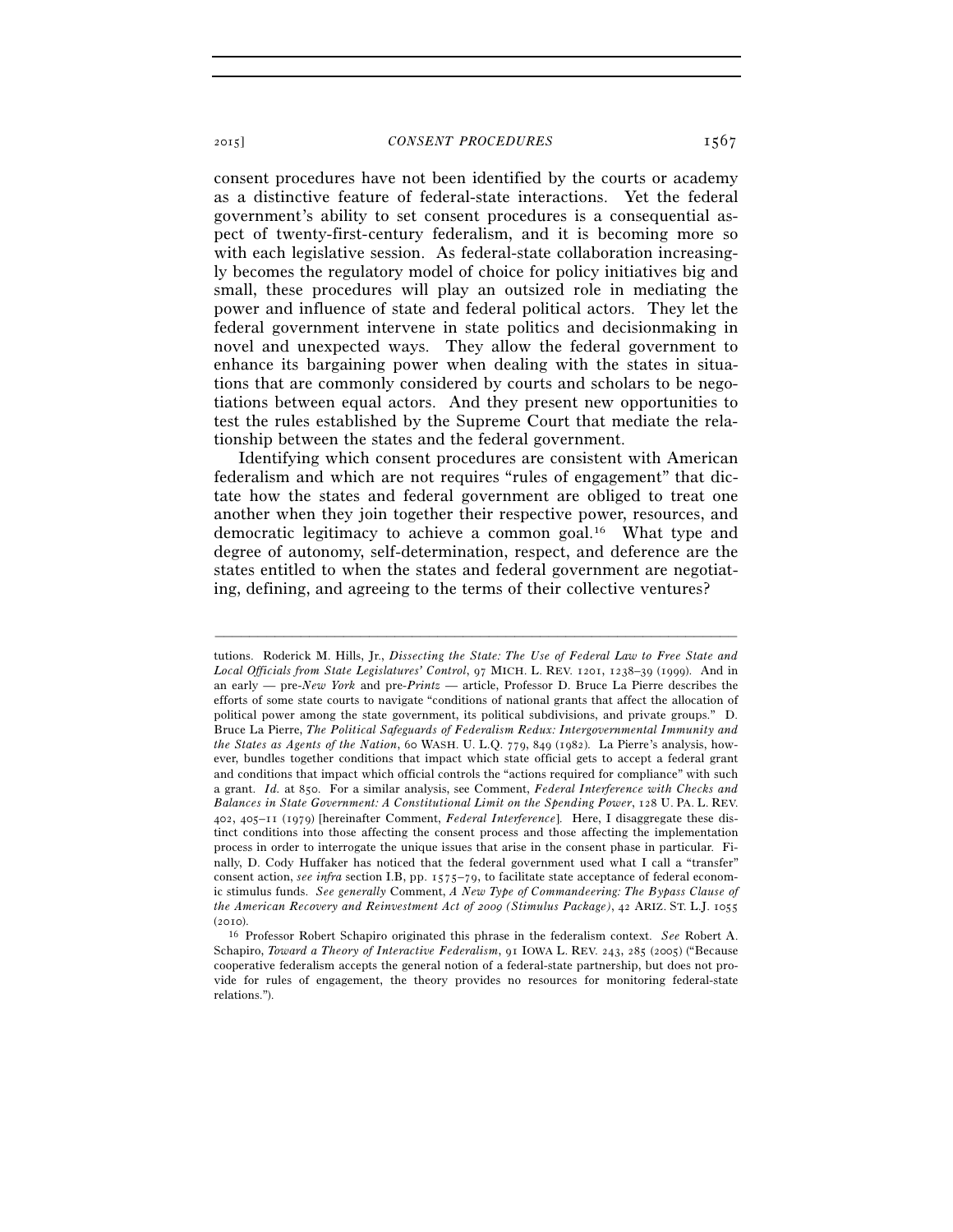consent procedures have not been identified by the courts or academy as a distinctive feature of federal-state interactions. Yet the federal government's ability to set consent procedures is a consequential aspect of twenty-first-century federalism, and it is becoming more so with each legislative session. As federal-state collaboration increasingly becomes the regulatory model of choice for policy initiatives big and small, these procedures will play an outsized role in mediating the power and influence of state and federal political actors. They let the federal government intervene in state politics and decisionmaking in novel and unexpected ways. They allow the federal government to enhance its bargaining power when dealing with the states in situations that are commonly considered by courts and scholars to be negotiations between equal actors. And they present new opportunities to test the rules established by the Supreme Court that mediate the relationship between the states and the federal government.

Identifying which consent procedures are consistent with American federalism and which are not requires "rules of engagement" that dictate how the states and federal government are obliged to treat one another when they join together their respective power, resources, and democratic legitimacy to achieve a common goal.16 What type and degree of autonomy, self-determination, respect, and deference are the states entitled to when the states and federal government are negotiating, defining, and agreeing to the terms of their collective ventures?

tutions. Roderick M. Hills, Jr., *Dissecting the State: The Use of Federal Law to Free State and Local Officials from State Legislatures' Control*, 97 MICH. L. REV. 1201, 1238–39 (1999). And in an early — pre-*New York* and pre-*Printz* — article, Professor D. Bruce La Pierre describes the efforts of some state courts to navigate "conditions of national grants that affect the allocation of political power among the state government, its political subdivisions, and private groups." D. Bruce La Pierre, *The Political Safeguards of Federalism Redux: Intergovernmental Immunity and the States as Agents of the Nation*, 60 WASH. U. L.Q. 779, 849 (1982). La Pierre's analysis, however, bundles together conditions that impact which state official gets to accept a federal grant and conditions that impact which official controls the "actions required for compliance" with such a grant. *Id.* at 850. For a similar analysis, see Comment, *Federal Interference with Checks and Balances in State Government: A Constitutional Limit on the Spending Power*, 128 U. PA. L. REV. 402, 405–11 (1979) [hereinafter Comment, *Federal Interference*]. Here, I disaggregate these distinct conditions into those affecting the consent process and those affecting the implementation process in order to interrogate the unique issues that arise in the consent phase in particular. Finally, D. Cody Huffaker has noticed that the federal government used what I call a "transfer" consent action, *see infra* section I.B, pp. 1575–79, to facilitate state acceptance of federal economic stimulus funds. *See generally* Comment, *A New Type of Commandeering: The Bypass Clause of the American Recovery and Reinvestment Act of 2009 (Stimulus Package)*, 42 ARIZ. ST. L.J. 1055

<sup>&</sup>lt;sup>16</sup> Professor Robert Schapiro originated this phrase in the federalism context. *See* Robert A. Schapiro, *Toward a Theory of Interactive Federalism*, 91 IOWA L. REV. 243, 285 (2005) ("Because cooperative federalism accepts the general notion of a federal-state partnership, but does not provide for rules of engagement, the theory provides no resources for monitoring federal-state relations.").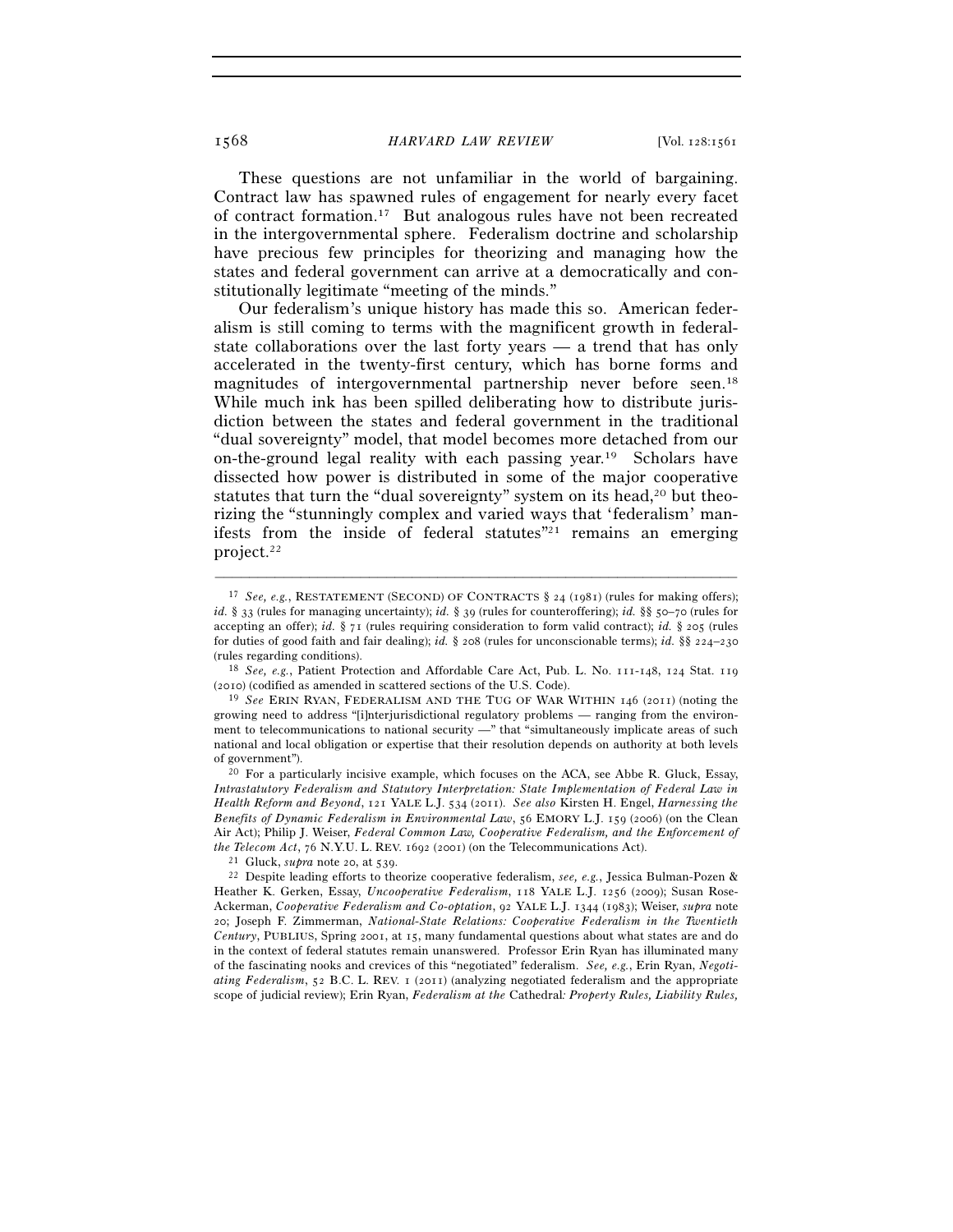These questions are not unfamiliar in the world of bargaining. Contract law has spawned rules of engagement for nearly every facet of contract formation.17 But analogous rules have not been recreated in the intergovernmental sphere. Federalism doctrine and scholarship have precious few principles for theorizing and managing how the states and federal government can arrive at a democratically and constitutionally legitimate "meeting of the minds."

Our federalism's unique history has made this so. American federalism is still coming to terms with the magnificent growth in federalstate collaborations over the last forty years — a trend that has only accelerated in the twenty-first century, which has borne forms and magnitudes of intergovernmental partnership never before seen.18 While much ink has been spilled deliberating how to distribute jurisdiction between the states and federal government in the traditional "dual sovereignty" model, that model becomes more detached from our on-the-ground legal reality with each passing year.<sup>19</sup> Scholars have dissected how power is distributed in some of the major cooperative statutes that turn the "dual sovereignty" system on its head,<sup>20</sup> but theorizing the "stunningly complex and varied ways that 'federalism' manifests from the inside of federal statutes $\frac{n}{21}$  remains an emerging project.22

<sup>17</sup> *See, e.g.*, RESTATEMENT (SECOND) OF CONTRACTS § 24 (1981) (rules for making offers); *id.* § 33 (rules for managing uncertainty); *id.* § 39 (rules for counteroffering); *id.* §§ 50–70 (rules for accepting an offer); *id.* § 71 (rules requiring consideration to form valid contract); *id.* § 205 (rules for duties of good faith and fair dealing); *id.* § 208 (rules for unconscionable terms); *id.* §§ 224–230 (rules regarding conditions). 18 *See, e.g.*, Patient Protection and Affordable Care Act, Pub. L. No. 111-148, 124 Stat. <sup>119</sup>

<sup>(</sup>2010) (codified as amended in scattered sections of the U.S. Code). 19 *See* ERIN RYAN, FEDERALISM AND THE TUG OF WAR WITHIN <sup>146</sup> (2011) (noting the

growing need to address "[i]nterjurisdictional regulatory problems — ranging from the environment to telecommunications to national security —" that "simultaneously implicate areas of such national and local obligation or expertise that their resolution depends on authority at both levels of government"). 20 For a particularly incisive example, which focuses on the ACA, see Abbe R. Gluck, Essay,

*Intrastatutory Federalism and Statutory Interpretation: State Implementation of Federal Law in Health Reform and Beyond*, 121 YALE L.J. 534 (2011). *See also* Kirsten H. Engel, *Harnessing the Benefits of Dynamic Federalism in Environmental Law*, 56 EMORY L.J. 159 (2006) (on the Clean Air Act); Philip J. Weiser, *Federal Common Law, Cooperative Federalism, and the Enforcement of the Telecom Act*, 76 N.Y.U. L. REV. 1692 (2001) (on the Telecommunications Act).<br><sup>21</sup> Gluck, *supra* note 20, at 539.<br><sup>22</sup> Despite leading efforts to theorize cooperative federalism, *see, e.g.*, Jessica Bulman-Pozen &

Heather K. Gerken, Essay, *Uncooperative Federalism*, 118 YALE L.J. 1256 (2009); Susan Rose-Ackerman, *Cooperative Federalism and Co-optation*, 92 YALE L.J. 1344 (1983); Weiser, *supra* note 20; Joseph F. Zimmerman, *National-State Relations: Cooperative Federalism in the Twentieth Century*, PUBLIUS, Spring 2001, at 15, many fundamental questions about what states are and do in the context of federal statutes remain unanswered. Professor Erin Ryan has illuminated many of the fascinating nooks and crevices of this "negotiated" federalism. *See, e.g.*, Erin Ryan, *Negotiating Federalism*, 52 B.C. L. REV. 1 (2011) (analyzing negotiated federalism and the appropriate scope of judicial review); Erin Ryan, *Federalism at the* Cathedral*: Property Rules, Liability Rules,*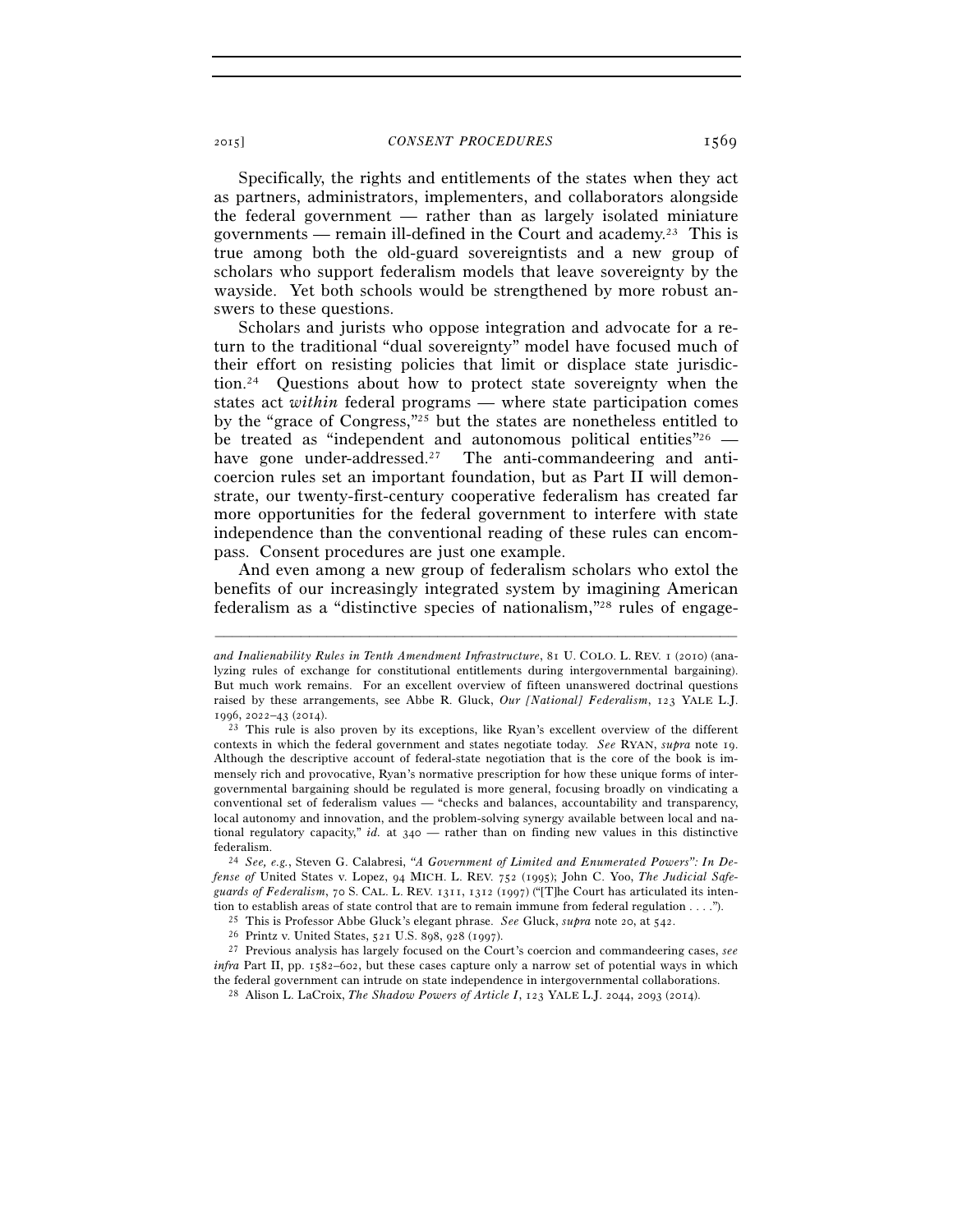Specifically, the rights and entitlements of the states when they act as partners, administrators, implementers, and collaborators alongside the federal government — rather than as largely isolated miniature governments — remain ill-defined in the Court and academy.<sup>23</sup> This is true among both the old-guard sovereigntists and a new group of scholars who support federalism models that leave sovereignty by the wayside. Yet both schools would be strengthened by more robust answers to these questions.

Scholars and jurists who oppose integration and advocate for a return to the traditional "dual sovereignty" model have focused much of their effort on resisting policies that limit or displace state jurisdiction.24 Questions about how to protect state sovereignty when the states act *within* federal programs — where state participation comes by the "grace of Congress,"25 but the states are nonetheless entitled to be treated as "independent and autonomous political entities"  $\epsilon$  – have gone under-addressed.<sup>27</sup> The anti-commandeering and anticoercion rules set an important foundation, but as Part II will demonstrate, our twenty-first-century cooperative federalism has created far more opportunities for the federal government to interfere with state independence than the conventional reading of these rules can encompass. Consent procedures are just one example.

And even among a new group of federalism scholars who extol the benefits of our increasingly integrated system by imagining American federalism as a "distinctive species of nationalism,"28 rules of engage-

*and Inalienability Rules in Tenth Amendment Infrastructure*, 81 U. COLO. L. REV. 1 (2010) (analyzing rules of exchange for constitutional entitlements during intergovernmental bargaining). But much work remains. For an excellent overview of fifteen unanswered doctrinal questions raised by these arrangements, see Abbe R. Gluck, *Our [National] Federalism*, 123 YALE L.J.

<sup>1996</sup>, 2022–43 (2014). 23 This rule is also proven by its exceptions, like Ryan's excellent overview of the different contexts in which the federal government and states negotiate today. *See* RYAN, *supra* note 19. Although the descriptive account of federal-state negotiation that is the core of the book is immensely rich and provocative, Ryan's normative prescription for how these unique forms of intergovernmental bargaining should be regulated is more general, focusing broadly on vindicating a conventional set of federalism values — "checks and balances, accountability and transparency, local autonomy and innovation, and the problem-solving synergy available between local and national regulatory capacity," *id.* at 340 — rather than on finding new values in this distinctive federalism. 24 *See, e.g.*, Steven G. Calabresi, *"A Government of Limited and Enumerated Powers": In De-*

*fense of* United States v. Lopez, 94 MICH. L. REV. 752 (1995); John C. Yoo, *The Judicial Safeguards of Federalism*, 70 S. CAL. L. REV. 1311, 1312 (1997) ("[T]he Court has articulated its intention to establish areas of state control that are to remain immune from federal regulation . . . .").<br><sup>25</sup> This is Professor Abbe Gluck's elegant phrase. *See* Gluck, *supra* note 20, at 542.<br><sup>26</sup> Printz v. United States,

*infra* Part II, pp. 1582–602, but these cases capture only a narrow set of potential ways in which the federal government can intrude on state independence in intergovernmental collaborations. 28 Alison L. LaCroix, *The Shadow Powers of Article I*, 123 YALE L.J. 2044, 2093 (2014).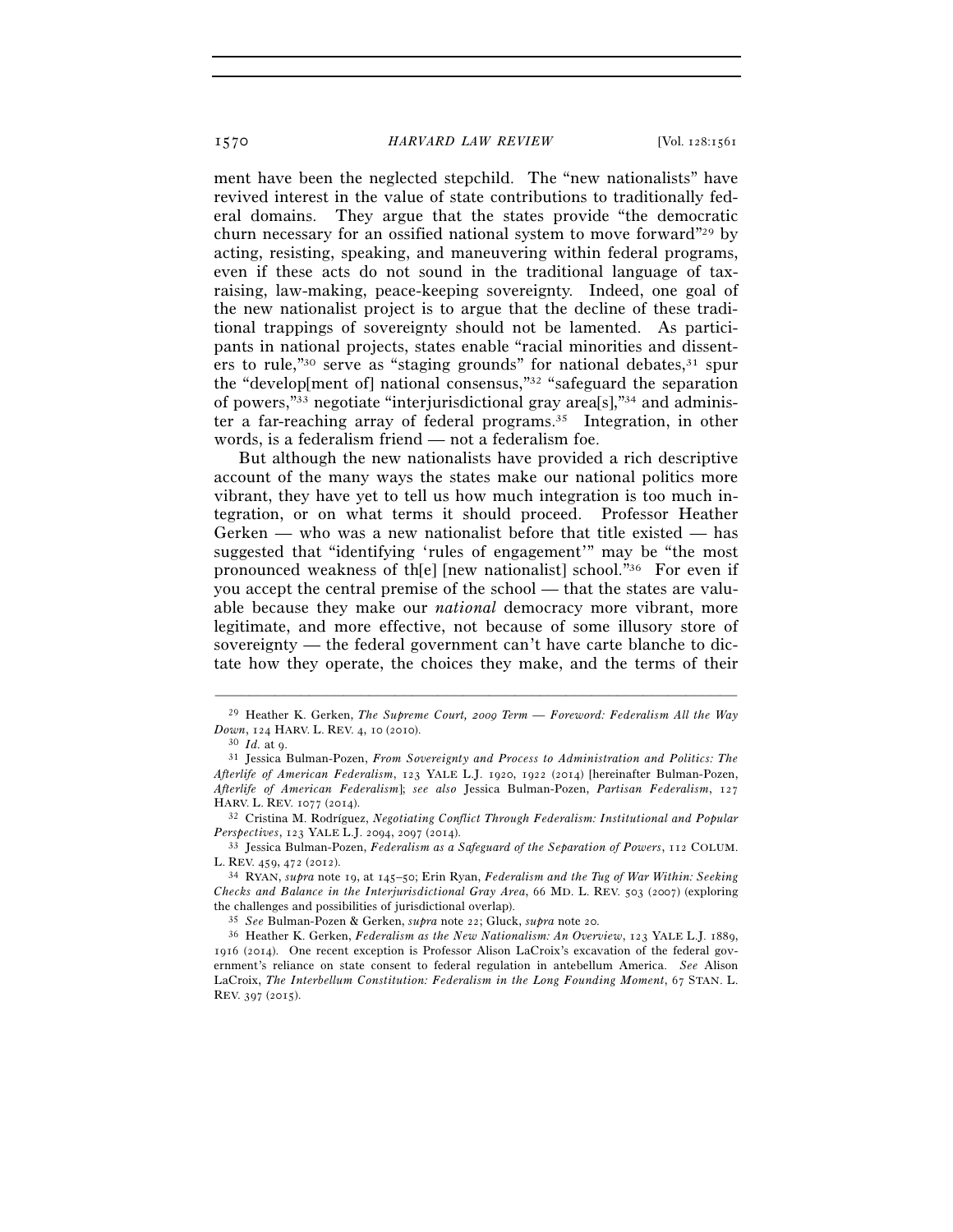ment have been the neglected stepchild. The "new nationalists" have revived interest in the value of state contributions to traditionally federal domains. They argue that the states provide "the democratic churn necessary for an ossified national system to move forward"29 by acting, resisting, speaking, and maneuvering within federal programs, even if these acts do not sound in the traditional language of taxraising, law-making, peace-keeping sovereignty. Indeed, one goal of the new nationalist project is to argue that the decline of these traditional trappings of sovereignty should not be lamented. As participants in national projects, states enable "racial minorities and dissenters to rule,"<sup>30</sup> serve as "staging grounds" for national debates,  $31$  spur the "develop[ment of] national consensus,"32 "safeguard the separation of powers,"33 negotiate "interjurisdictional gray area[s],"34 and administer a far-reaching array of federal programs.35 Integration, in other words, is a federalism friend — not a federalism foe.

But although the new nationalists have provided a rich descriptive account of the many ways the states make our national politics more vibrant, they have yet to tell us how much integration is too much integration, or on what terms it should proceed. Professor Heather Gerken — who was a new nationalist before that title existed — has suggested that "identifying 'rules of engagement'" may be "the most pronounced weakness of th[e] [new nationalist] school."36 For even if you accept the central premise of the school — that the states are valuable because they make our *national* democracy more vibrant, more legitimate, and more effective, not because of some illusory store of sovereignty — the federal government can't have carte blanche to dictate how they operate, the choices they make, and the terms of their

<sup>–––––––––––––––––––––––––––––––––––––––––––––––––––––––––––––</sup> 29 Heather K. Gerken, *The Supreme Court, 2009 Term — Foreword: Federalism All the Way Down*, 124 HARV. L. REV. 4, 10 (2010).<br><sup>30</sup> *Id.* at 9. 31 Jessica Bulman-Pozen, *From Sovereignty and Process to Administration and Politics: The* 

*Afterlife of American Federalism*, 123 YALE L.J. 1920, 1922 (2014) [hereinafter Bulman-Pozen, *Afterlife of American Federalism*]; *see also* Jessica Bulman-Pozen, *Partisan Federalism*, 127

HARV. L. REV. 1077 (2014).<br><sup>32</sup> Cristina M. Rodríguez, *Negotiating Conflict Through Federalism: Institutional and Popular Perspectives*, 123 YALE L.J. 2094, 2097 (2014).

<sup>&</sup>lt;sup>33</sup> Jessica Bulman-Pozen, *Federalism as a Safeguard of the Separation of Powers*, 112 COLUM. L. REV. 459, 472 (2012). 34 RYAN, *supra* note 19, at 145–50; Erin Ryan, *Federalism and the Tug of War Within: Seeking* 

*Checks and Balance in the Interjurisdictional Gray Area*, 66 MD. L. REV. 503 (2007) (exploring the challenges and possibilities of jurisdictional overlap).<br><sup>35</sup> See Bulman-Pozen & Gerken, *supra* note 22; Gluck, *supra* note 20.<br><sup>36</sup> Heather K. Gerken, *Federalism as the New Nationalism: An Overview*, 123 YALE L.J.

<sup>1916</sup> (2014). One recent exception is Professor Alison LaCroix's excavation of the federal government's reliance on state consent to federal regulation in antebellum America. *See* Alison LaCroix, *The Interbellum Constitution: Federalism in the Long Founding Moment*, 67 STAN. L. REV. 397 (2015).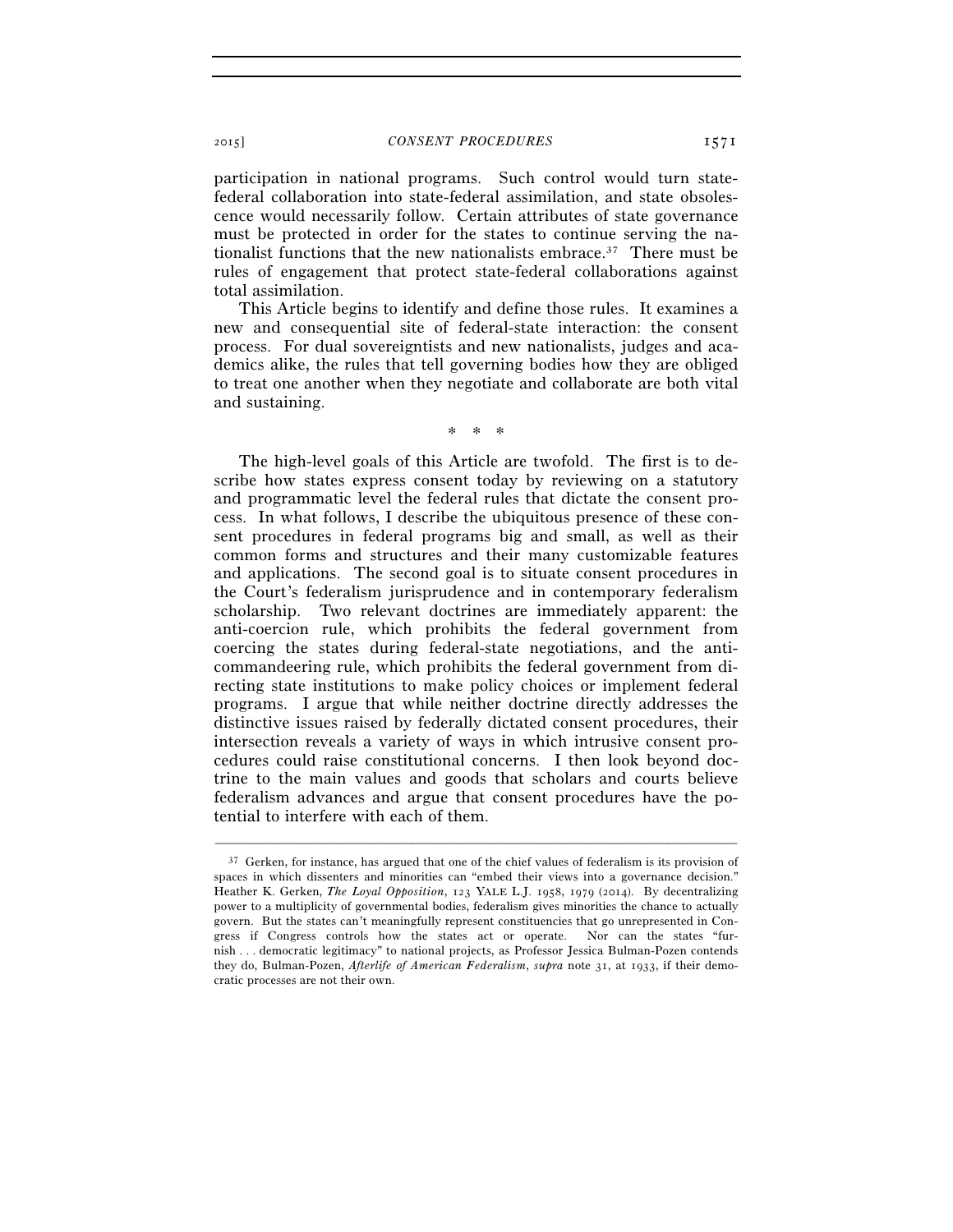participation in national programs. Such control would turn statefederal collaboration into state-federal assimilation, and state obsolescence would necessarily follow. Certain attributes of state governance must be protected in order for the states to continue serving the nationalist functions that the new nationalists embrace.37 There must be rules of engagement that protect state-federal collaborations against total assimilation.

This Article begins to identify and define those rules. It examines a new and consequential site of federal-state interaction: the consent process. For dual sovereigntists and new nationalists, judges and academics alike, the rules that tell governing bodies how they are obliged to treat one another when they negotiate and collaborate are both vital and sustaining.

\* \* \*

The high-level goals of this Article are twofold. The first is to describe how states express consent today by reviewing on a statutory and programmatic level the federal rules that dictate the consent process. In what follows, I describe the ubiquitous presence of these consent procedures in federal programs big and small, as well as their common forms and structures and their many customizable features and applications. The second goal is to situate consent procedures in the Court's federalism jurisprudence and in contemporary federalism scholarship. Two relevant doctrines are immediately apparent: the anti-coercion rule, which prohibits the federal government from coercing the states during federal-state negotiations, and the anticommandeering rule, which prohibits the federal government from directing state institutions to make policy choices or implement federal programs. I argue that while neither doctrine directly addresses the distinctive issues raised by federally dictated consent procedures, their intersection reveals a variety of ways in which intrusive consent procedures could raise constitutional concerns. I then look beyond doctrine to the main values and goods that scholars and courts believe federalism advances and argue that consent procedures have the potential to interfere with each of them.

<sup>&</sup>lt;sup>37</sup> Gerken, for instance, has argued that one of the chief values of federalism is its provision of spaces in which dissenters and minorities can "embed their views into a governance decision." Heather K. Gerken, *The Loyal Opposition*, 123 YALE L.J. 1958, 1979 (2014). By decentralizing power to a multiplicity of governmental bodies, federalism gives minorities the chance to actually govern. But the states can't meaningfully represent constituencies that go unrepresented in Congress if Congress controls how the states act or operate. Nor can the states "furnish . . . democratic legitimacy" to national projects, as Professor Jessica Bulman-Pozen contends they do, Bulman-Pozen, *Afterlife of American Federalism*, *supra* note 31, at 1933, if their democratic processes are not their own.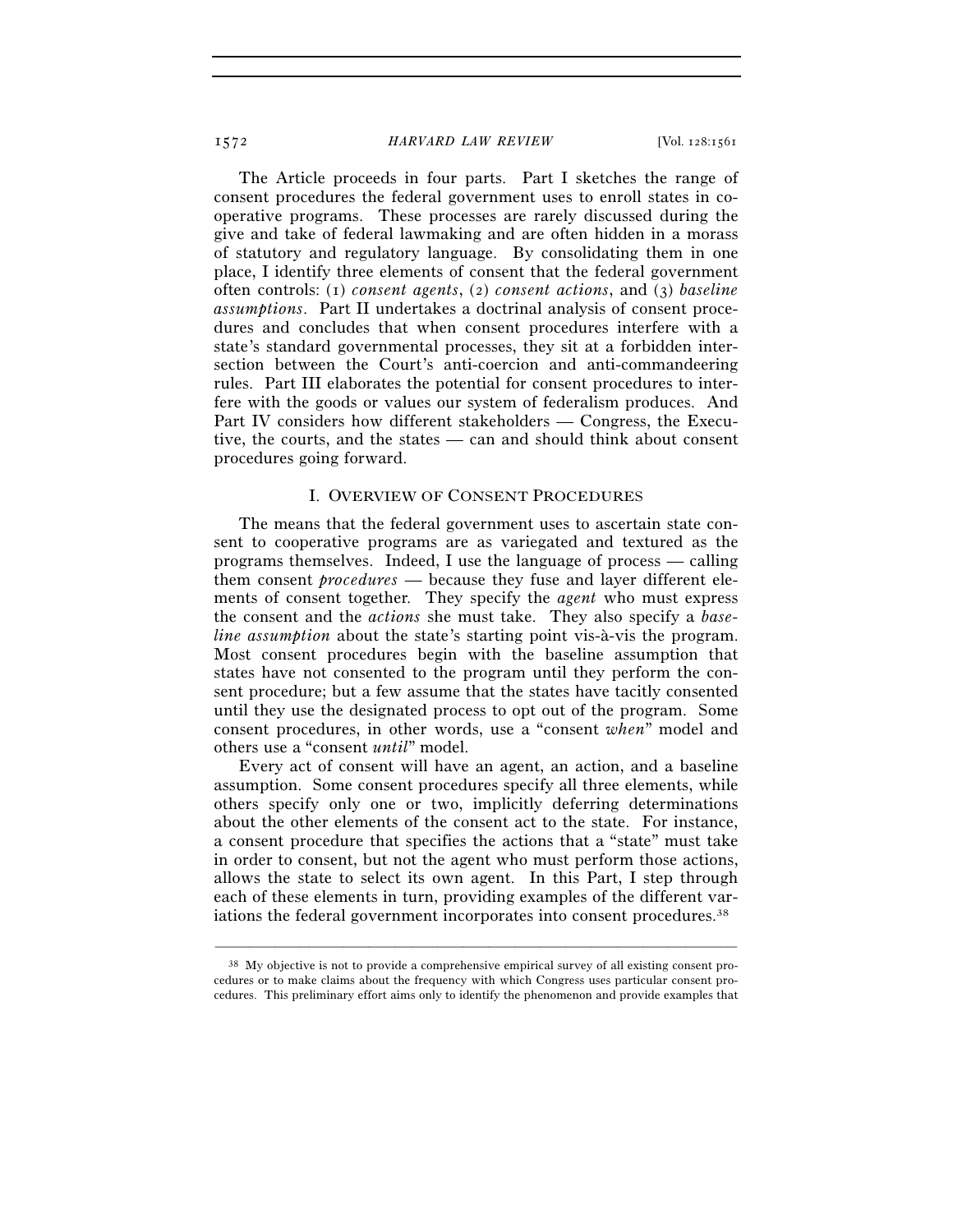The Article proceeds in four parts. Part I sketches the range of consent procedures the federal government uses to enroll states in cooperative programs. These processes are rarely discussed during the give and take of federal lawmaking and are often hidden in a morass of statutory and regulatory language. By consolidating them in one place, I identify three elements of consent that the federal government often controls: (1) *consent agents*, (2) *consent actions*, and (3) *baseline assumptions*. Part II undertakes a doctrinal analysis of consent procedures and concludes that when consent procedures interfere with a state's standard governmental processes, they sit at a forbidden intersection between the Court's anti-coercion and anti-commandeering rules. Part III elaborates the potential for consent procedures to interfere with the goods or values our system of federalism produces. And Part IV considers how different stakeholders — Congress, the Executive, the courts, and the states — can and should think about consent procedures going forward.

#### I. OVERVIEW OF CONSENT PROCEDURES

The means that the federal government uses to ascertain state consent to cooperative programs are as variegated and textured as the programs themselves. Indeed, I use the language of process — calling them consent *procedures* — because they fuse and layer different elements of consent together. They specify the *agent* who must express the consent and the *actions* she must take. They also specify a *baseline assumption* about the state's starting point vis-à-vis the program. Most consent procedures begin with the baseline assumption that states have not consented to the program until they perform the consent procedure; but a few assume that the states have tacitly consented until they use the designated process to opt out of the program. Some consent procedures, in other words, use a "consent *when*" model and others use a "consent *until*" model.

Every act of consent will have an agent, an action, and a baseline assumption. Some consent procedures specify all three elements, while others specify only one or two, implicitly deferring determinations about the other elements of the consent act to the state. For instance, a consent procedure that specifies the actions that a "state" must take in order to consent, but not the agent who must perform those actions, allows the state to select its own agent. In this Part, I step through each of these elements in turn, providing examples of the different variations the federal government incorporates into consent procedures.<sup>38</sup>

 $38$  My objective is not to provide a comprehensive empirical survey of all existing consent procedures or to make claims about the frequency with which Congress uses particular consent procedures. This preliminary effort aims only to identify the phenomenon and provide examples that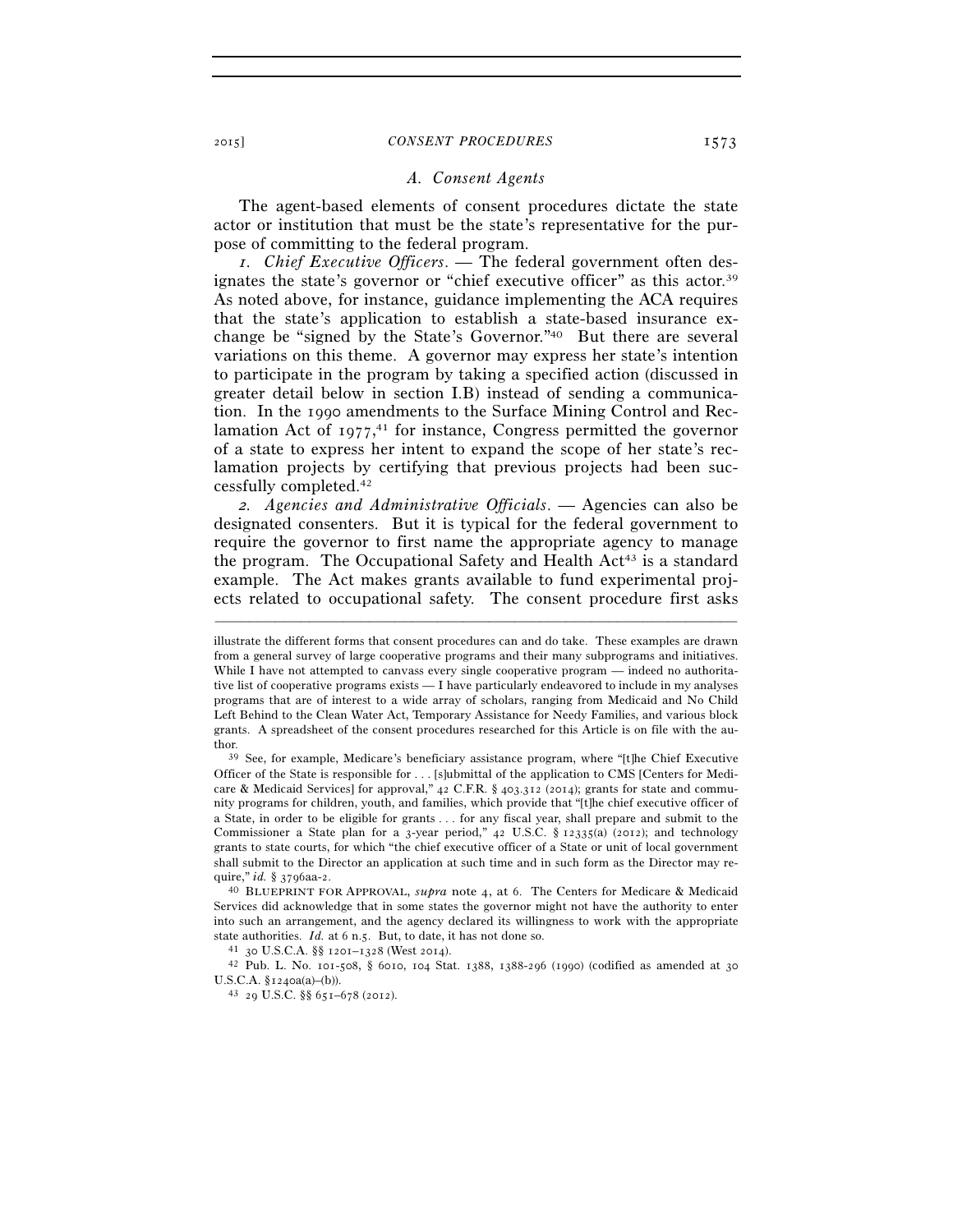#### *A. Consent Agents*

The agent-based elements of consent procedures dictate the state actor or institution that must be the state's representative for the purpose of committing to the federal program.

*1. Chief Executive Officers*. — The federal government often designates the state's governor or "chief executive officer" as this actor.39 As noted above, for instance, guidance implementing the ACA requires that the state's application to establish a state-based insurance exchange be "signed by the State's Governor."40 But there are several variations on this theme. A governor may express her state's intention to participate in the program by taking a specified action (discussed in greater detail below in section I.B) instead of sending a communication. In the 1990 amendments to the Surface Mining Control and Reclamation Act of 1977, 41 for instance, Congress permitted the governor of a state to express her intent to expand the scope of her state's reclamation projects by certifying that previous projects had been successfully completed.42

*2. Agencies and Administrative Officials*. — Agencies can also be designated consenters. But it is typical for the federal government to require the governor to first name the appropriate agency to manage the program. The Occupational Safety and Health Act<sup>43</sup> is a standard example. The Act makes grants available to fund experimental projects related to occupational safety. The consent procedure first asks

–––––––––––––––––––––––––––––––––––––––––––––––––––––––––––––

Services did acknowledge that in some states the governor might not have the authority to enter into such an arrangement, and the agency declared its willingness to work with the appropriate

state authorities. *Id.* at 6 n.5. But, to date, it has not done so.<br><sup>41</sup> 30 U.S.C.A. §§ 1201–1328 (West 2014).<br><sup>42</sup> Pub. L. No. 101-508, § 6010, 104 Stat. 1388, 1388-296 (1990) (codified as amended at 30 U.S.C.A.  $$1240a(a)–(b)$ ).<br>  $^{43}$  29 U.S.C.  $$651–678$  (2012).

illustrate the different forms that consent procedures can and do take. These examples are drawn from a general survey of large cooperative programs and their many subprograms and initiatives. While I have not attempted to canvass every single cooperative program — indeed no authoritative list of cooperative programs exists — I have particularly endeavored to include in my analyses programs that are of interest to a wide array of scholars, ranging from Medicaid and No Child Left Behind to the Clean Water Act, Temporary Assistance for Needy Families, and various block grants. A spreadsheet of the consent procedures researched for this Article is on file with the author. 39 See, for example, Medicare's beneficiary assistance program, where "[t]he Chief Executive

Officer of the State is responsible for . . . [s]ubmittal of the application to CMS [Centers for Medicare & Medicaid Services] for approval,"  $42$  C.F.R. §  $403.312$  (2014); grants for state and community programs for children, youth, and families, which provide that "[t]he chief executive officer of a State, in order to be eligible for grants . . . for any fiscal year, shall prepare and submit to the Commissioner a State plan for a 3-year period,"  $42$  U.S.C. § 12335(a) (2012); and technology grants to state courts, for which "the chief executive officer of a State or unit of local government shall submit to the Director an application at such time and in such form as the Director may require," *id.* § 3796aa-2.<br><sup>40</sup> BLUEPRINT FOR APPROVAL, *supra* note 4, at 6. The Centers for Medicare & Medicaid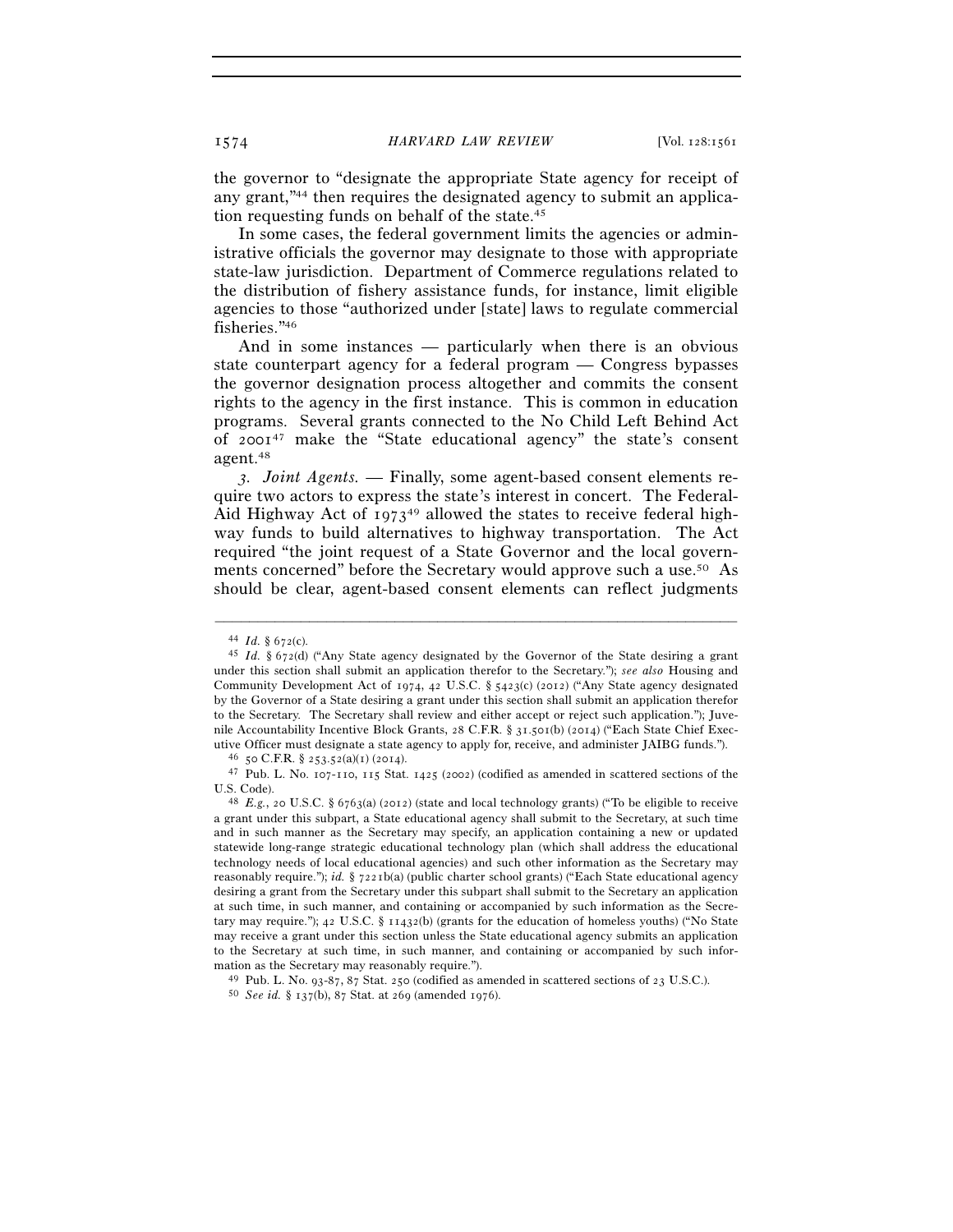the governor to "designate the appropriate State agency for receipt of any grant,"44 then requires the designated agency to submit an application requesting funds on behalf of the state.45

In some cases, the federal government limits the agencies or administrative officials the governor may designate to those with appropriate state-law jurisdiction. Department of Commerce regulations related to the distribution of fishery assistance funds, for instance, limit eligible agencies to those "authorized under [state] laws to regulate commercial fisheries."46

And in some instances — particularly when there is an obvious state counterpart agency for a federal program — Congress bypasses the governor designation process altogether and commits the consent rights to the agency in the first instance. This is common in education programs. Several grants connected to the No Child Left Behind Act of  $2001^{47}$  make the "State educational agency" the state's consent agent.48

*3. Joint Agents.* — Finally, some agent-based consent elements require two actors to express the state's interest in concert. The Federal-Aid Highway Act of  $1973^{49}$  allowed the states to receive federal highway funds to build alternatives to highway transportation. The Act required "the joint request of a State Governor and the local governments concerned" before the Secretary would approve such a use.50 As should be clear, agent-based consent elements can reflect judgments

<sup>44</sup> *Id.* § 672(c). 45 *Id.* § 672(d) ("Any State agency designated by the Governor of the State desiring a grant under this section shall submit an application therefor to the Secretary."); *see also* Housing and Community Development Act of 1974, 42 U.S.C. § 5423(c) (2012) ("Any State agency designated by the Governor of a State desiring a grant under this section shall submit an application therefor to the Secretary. The Secretary shall review and either accept or reject such application."); Juvenile Accountability Incentive Block Grants, 28 C.F.R. § 31.501(b) (2014) ("Each State Chief Exec-<br>utive Officer must designate a state agency to apply for, receive, and administer JAIBG funds.").

<sup>&</sup>lt;sup>46</sup> 50 C.F.R. § 253.52(a)(1) (2014).<br><sup>47</sup> Pub. L. No. 107-110, 115 Stat. 1425 (2002) (codified as amended in scattered sections of the U.S. Code).

<sup>&</sup>lt;sup>48</sup> *E.g.*, 20 U.S.C. § 6763(a) (2012) (state and local technology grants) ("To be eligible to receive a grant under this subpart, a State educational agency shall submit to the Secretary, at such time and in such manner as the Secretary may specify, an application containing a new or updated statewide long-range strategic educational technology plan (which shall address the educational technology needs of local educational agencies) and such other information as the Secretary may reasonably require."); *id.* § 7221b(a) (public charter school grants) ("Each State educational agency desiring a grant from the Secretary under this subpart shall submit to the Secretary an application at such time, in such manner, and containing or accompanied by such information as the Secretary may require."); 42 U.S.C. § 11432(b) (grants for the education of homeless youths) ("No State may receive a grant under this section unless the State educational agency submits an application to the Secretary at such time, in such manner, and containing or accompanied by such infor-<br>mation as the Secretary may reasonably require.").

<sup>&</sup>lt;sup>49</sup> Pub. L. No. 93-87, 87 Stat. 250 (codified as amended in scattered sections of 23 U.S.C.). 50 *See id.* § 137(b), 87 Stat. at 269 (amended 1976).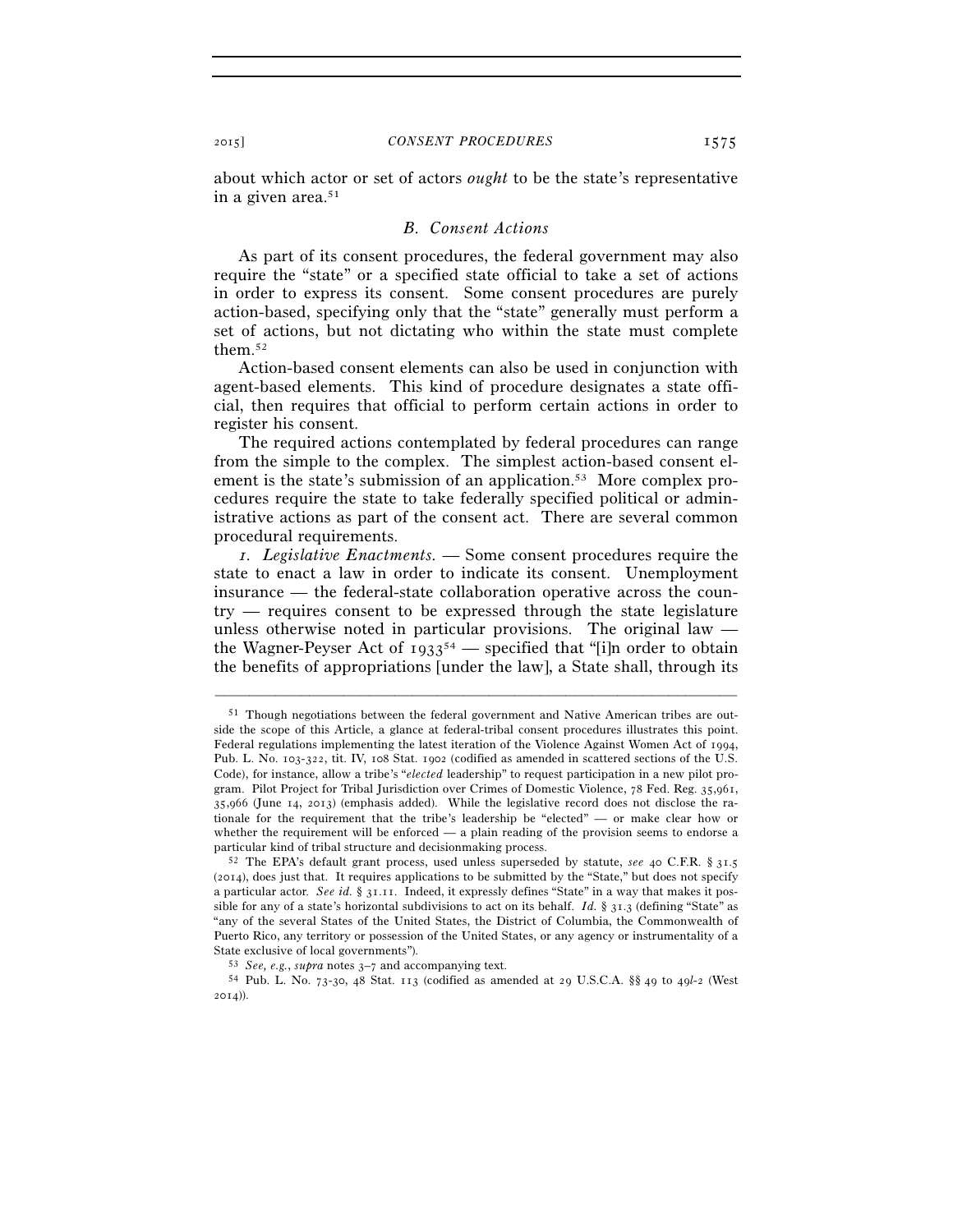about which actor or set of actors *ought* to be the state's representative in a given area.51

#### *B. Consent Actions*

As part of its consent procedures, the federal government may also require the "state" or a specified state official to take a set of actions in order to express its consent. Some consent procedures are purely action-based, specifying only that the "state" generally must perform a set of actions, but not dictating who within the state must complete them.52

Action-based consent elements can also be used in conjunction with agent-based elements. This kind of procedure designates a state official, then requires that official to perform certain actions in order to register his consent.

The required actions contemplated by federal procedures can range from the simple to the complex. The simplest action-based consent element is the state's submission of an application.<sup>53</sup> More complex procedures require the state to take federally specified political or administrative actions as part of the consent act. There are several common procedural requirements.

*1. Legislative Enactments.* — Some consent procedures require the state to enact a law in order to indicate its consent. Unemployment insurance — the federal-state collaboration operative across the country — requires consent to be expressed through the state legislature unless otherwise noted in particular provisions. The original law the Wagner-Peyser Act of  $1933^{54}$  — specified that "[i]n order to obtain the benefits of appropriations [under the law], a State shall, through its

<sup>51</sup> Though negotiations between the federal government and Native American tribes are outside the scope of this Article, a glance at federal-tribal consent procedures illustrates this point. Federal regulations implementing the latest iteration of the Violence Against Women Act of 1994, Pub. L. No. 103-322, tit. IV, 108 Stat. 1902 (codified as amended in scattered sections of the U.S. Code), for instance, allow a tribe's "*elected* leadership" to request participation in a new pilot program. Pilot Project for Tribal Jurisdiction over Crimes of Domestic Violence, 78 Fed. Reg. 35,961, 35,966 (June 14, 2013) (emphasis added). While the legislative record does not disclose the rationale for the requirement that the tribe's leadership be "elected" — or make clear how or whether the requirement will be enforced — a plain reading of the provision seems to endorse a particular kind of tribal structure and decisionmaking process. 52 The EPA's default grant process, used unless superseded by statute, *see* <sup>40</sup> C.F.R. § 31.<sup>5</sup>

<sup>(</sup>2014), does just that. It requires applications to be submitted by the "State," but does not specify a particular actor. *See id.* § 31.11. Indeed, it expressly defines "State" in a way that makes it possible for any of a state's horizontal subdivisions to act on its behalf. *Id.* § 31.3 (defining "State" as "any of the several States of the United States, the District of Columbia, the Commonwealth of Puerto Rico, any territory or possession of the United States, or any agency or instrumentality of a State exclusive of local governments"). 53 *See, e.g.*, *supra* notes 3–7 and accompanying text. 54 Pub. L. No. 73-30, 48 Stat. 113 (codified as amended at 29 U.S.C.A. §§ 49 to 49*l*-2 (West

<sup>2014</sup>)).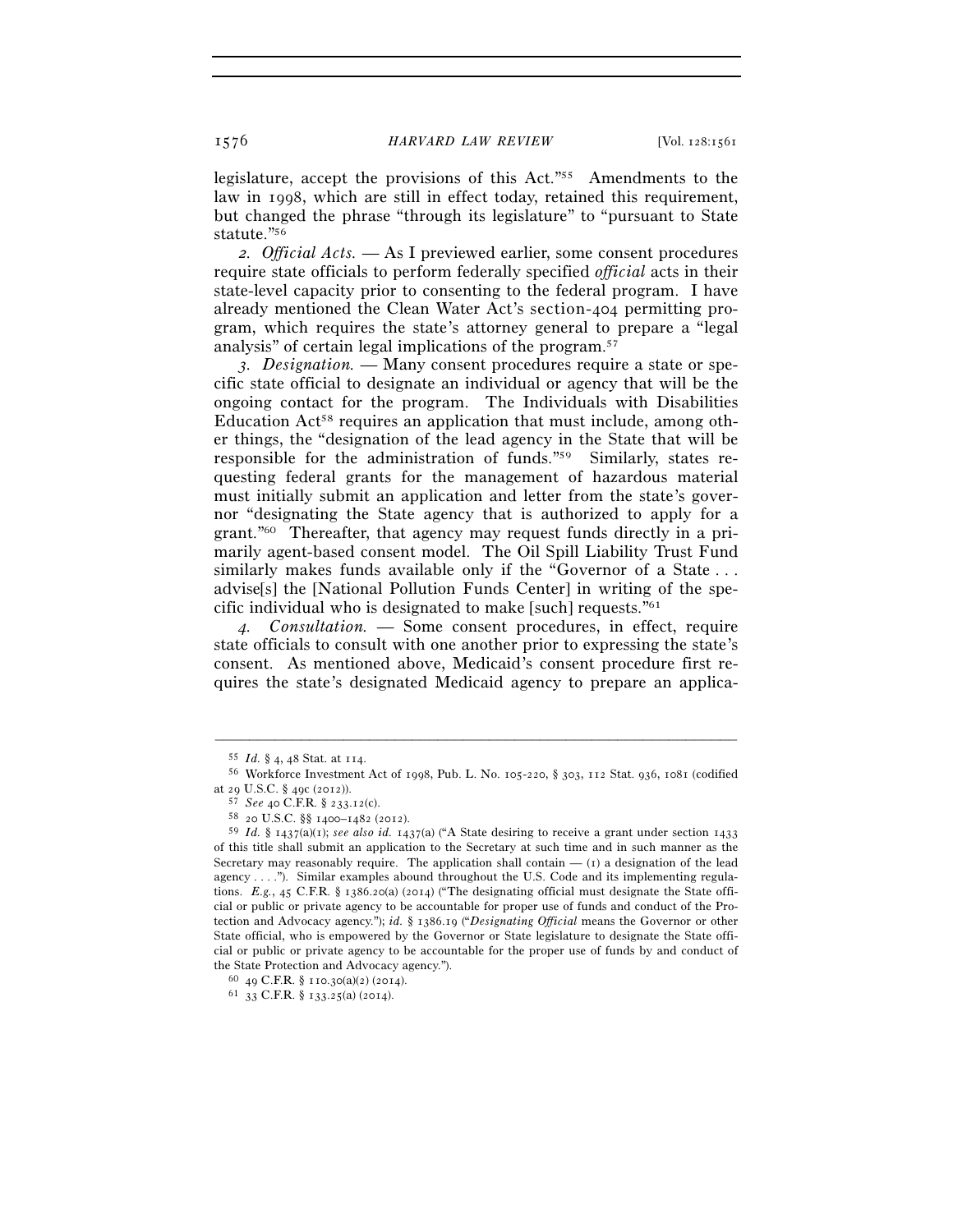legislature, accept the provisions of this Act."55 Amendments to the law in 1998, which are still in effect today, retained this requirement, but changed the phrase "through its legislature" to "pursuant to State statute."56

*2. Official Acts.* — As I previewed earlier, some consent procedures require state officials to perform federally specified *official* acts in their state-level capacity prior to consenting to the federal program. I have already mentioned the Clean Water Act's section-404 permitting program, which requires the state's attorney general to prepare a "legal analysis" of certain legal implications of the program.57

*3. Designation.* — Many consent procedures require a state or specific state official to designate an individual or agency that will be the ongoing contact for the program. The Individuals with Disabilities Education Act<sup>58</sup> requires an application that must include, among other things, the "designation of the lead agency in the State that will be responsible for the administration of funds."59 Similarly, states requesting federal grants for the management of hazardous material must initially submit an application and letter from the state's governor "designating the State agency that is authorized to apply for a grant."60 Thereafter, that agency may request funds directly in a primarily agent-based consent model. The Oil Spill Liability Trust Fund similarly makes funds available only if the "Governor of a State . . . advise[s] the [National Pollution Funds Center] in writing of the specific individual who is designated to make [such] requests."61

*4. Consultation.* — Some consent procedures, in effect, require state officials to consult with one another prior to expressing the state's consent. As mentioned above, Medicaid's consent procedure first requires the state's designated Medicaid agency to prepare an applica-

<sup>55</sup> *Id.* § 4, 48 Stat. at 114. 56 Workforce Investment Act of 1998, Pub. L. No. 105-220, § 303, 112 Stat. 936, 1081 (codified

at 29 U.S.C. § 49c (2012)). 57 *See* <sup>40</sup> C.F.R. § 233.12(c). 58 <sup>20</sup> U.S.C. §§ 1400–1482 (2012).

<sup>59</sup> *Id.* § 1437(a)(1); *see also id.* 1437(a) ("A State desiring to receive a grant under section 1433 of this title shall submit an application to the Secretary at such time and in such manner as the Secretary may reasonably require. The application shall contain  $-$  (1) a designation of the lead agency . . . ."). Similar examples abound throughout the U.S. Code and its implementing regulations. *E.g.*, 45 C.F.R. § 1386.20(a) (2014) ("The designating official must designate the State official or public or private agency to be accountable for proper use of funds and conduct of the Protection and Advocacy agency."); *id.* § 1386.19 ("*Designating Official* means the Governor or other State official, who is empowered by the Governor or State legislature to designate the State official or public or private agency to be accountable for the proper use of funds by and conduct of the State Protection and Advocacy agency.").  $^{60}$  49 C.F.R. § 110.30(a)(2) (2014).  $^{61}$  33 C.F.R. § 133.25(a) (2014).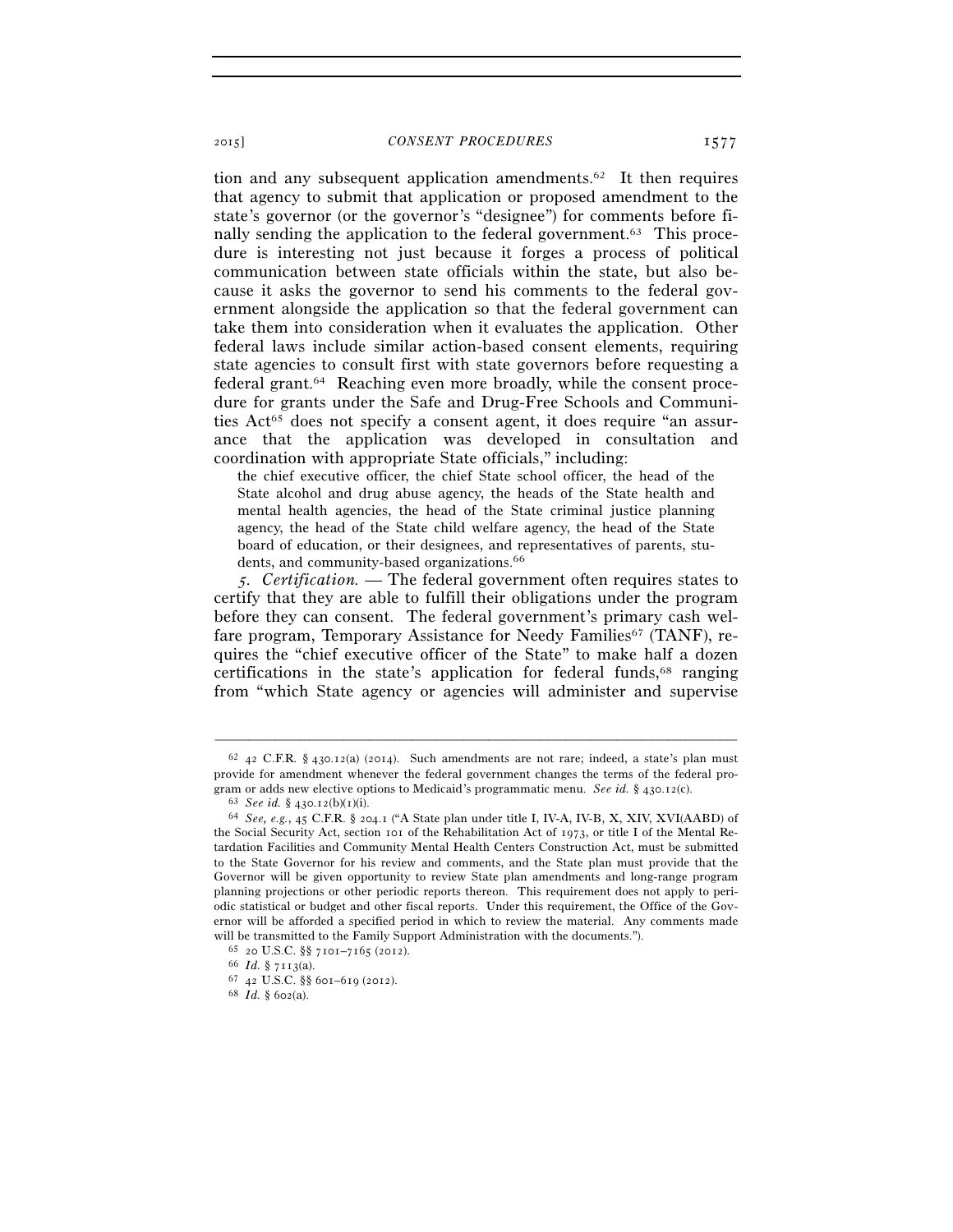tion and any subsequent application amendments.62 It then requires that agency to submit that application or proposed amendment to the state's governor (or the governor's "designee") for comments before finally sending the application to the federal government.63 This procedure is interesting not just because it forges a process of political communication between state officials within the state, but also because it asks the governor to send his comments to the federal government alongside the application so that the federal government can take them into consideration when it evaluates the application. Other federal laws include similar action-based consent elements, requiring state agencies to consult first with state governors before requesting a federal grant.64 Reaching even more broadly, while the consent procedure for grants under the Safe and Drug-Free Schools and Communities Act<sup>65</sup> does not specify a consent agent, it does require "an assurance that the application was developed in consultation and coordination with appropriate State officials," including:

the chief executive officer, the chief State school officer, the head of the State alcohol and drug abuse agency, the heads of the State health and mental health agencies, the head of the State criminal justice planning agency, the head of the State child welfare agency, the head of the State board of education, or their designees, and representatives of parents, students, and community-based organizations.<sup>66</sup>

*5. Certification.* — The federal government often requires states to certify that they are able to fulfill their obligations under the program before they can consent. The federal government's primary cash welfare program, Temporary Assistance for Needy Families<sup>67</sup> (TANF), requires the "chief executive officer of the State" to make half a dozen certifications in the state's application for federal funds,68 ranging from "which State agency or agencies will administer and supervise

 $62$  42 C.F.R. § 430.12(a) (2014). Such amendments are not rare; indeed, a state's plan must provide for amendment whenever the federal government changes the terms of the federal pro-<br>gram or adds new elective options to Medicaid's programmatic menu. See id. § 430.12(c).

<sup>&</sup>lt;sup>63</sup> See id. § 430.12(b)(1)(i).<br><sup>64</sup> See, e.g., 45 C.F.R. § 204.1 ("A State plan under title I, IV-A, IV-B, X, XIV, XVI(AABD) of the Social Security Act, section 101 of the Rehabilitation Act of 1973, or title I of the Mental Retardation Facilities and Community Mental Health Centers Construction Act, must be submitted to the State Governor for his review and comments, and the State plan must provide that the Governor will be given opportunity to review State plan amendments and long-range program planning projections or other periodic reports thereon. This requirement does not apply to periodic statistical or budget and other fiscal reports. Under this requirement, the Office of the Governor will be afforded a specified period in which to review the material. Any comments made will be transmitted to the Family Support Administration with the documents."). <sup>65</sup> 20 U.S.C. §§ 7101–7165 (2012). <sup>66</sup> *Id.* § 7113(a). <sup>67</sup> 42 U.S.C. §§ 601–619 (2012). <sup>68</sup> *Id.* § 602(a).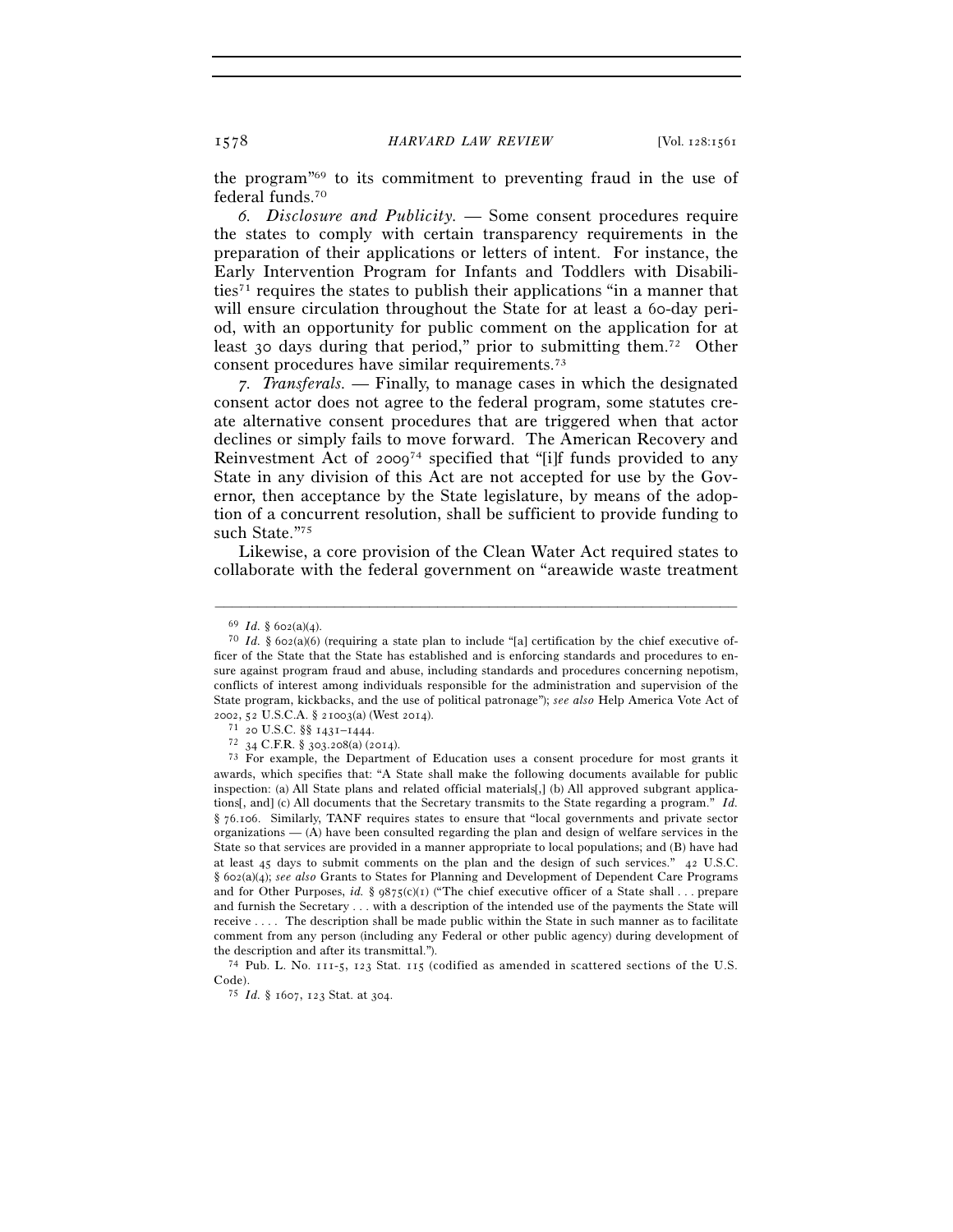the program"69 to its commitment to preventing fraud in the use of federal funds.70

*6. Disclosure and Publicity.* — Some consent procedures require the states to comply with certain transparency requirements in the preparation of their applications or letters of intent. For instance, the Early Intervention Program for Infants and Toddlers with Disabilities71 requires the states to publish their applications "in a manner that will ensure circulation throughout the State for at least a 60-day period, with an opportunity for public comment on the application for at least 30 days during that period," prior to submitting them.72 Other consent procedures have similar requirements.73

*7. Transferals.* — Finally, to manage cases in which the designated consent actor does not agree to the federal program, some statutes create alternative consent procedures that are triggered when that actor declines or simply fails to move forward. The American Recovery and Reinvestment Act of 200974 specified that "[i]f funds provided to any State in any division of this Act are not accepted for use by the Governor, then acceptance by the State legislature, by means of the adoption of a concurrent resolution, shall be sufficient to provide funding to such State."75

Likewise, a core provision of the Clean Water Act required states to collaborate with the federal government on "areawide waste treatment

–––––––––––––––––––––––––––––––––––––––––––––––––––––––––––––

the description and after its transmittal.").<br><sup>74</sup> Pub. L. No. 111-5, 123 Stat. 115 (codified as amended in scattered sections of the U.S. Code). 75 *Id.* § 1607, 123 Stat. at 304.

<sup>&</sup>lt;sup>69</sup> *Id.* § 602(a)(4).<br><sup>70</sup> *Id.* § 602(a)(6) (requiring a state plan to include "[a] certification by the chief executive officer of the State that the State has established and is enforcing standards and procedures to ensure against program fraud and abuse, including standards and procedures concerning nepotism, conflicts of interest among individuals responsible for the administration and supervision of the State program, kickbacks, and the use of political patronage"); *see also* Help America Vote Act of

<sup>2002, 52</sup> U.S.C.A. § 21003(a) (West 2014).<br><sup>71</sup> 20 U.S.C. §§ 1431–1444.<br><sup>72</sup> 34 C.F.R. § 303.208(a) (2014).<br><sup>73</sup> For example, the Department of Education uses a consent procedure for most grants it awards, which specifies that: "A State shall make the following documents available for public inspection: (a) All State plans and related official materials[,] (b) All approved subgrant applications[, and] (c) All documents that the Secretary transmits to the State regarding a program." *Id.* § 76.106. Similarly, TANF requires states to ensure that "local governments and private sector organizations  $-$  (A) have been consulted regarding the plan and design of welfare services in the State so that services are provided in a manner appropriate to local populations; and (B) have had at least 45 days to submit comments on the plan and the design of such services." 42 U.S.C. § 602(a)(4); *see also* Grants to States for Planning and Development of Dependent Care Programs and for Other Purposes, *id.* §  $9875(c)(1)$  ("The chief executive officer of a State shall . . . prepare and furnish the Secretary . . . with a description of the intended use of the payments the State will receive . . . . The description shall be made public within the State in such manner as to facilitate comment from any person (including any Federal or other public agency) during development of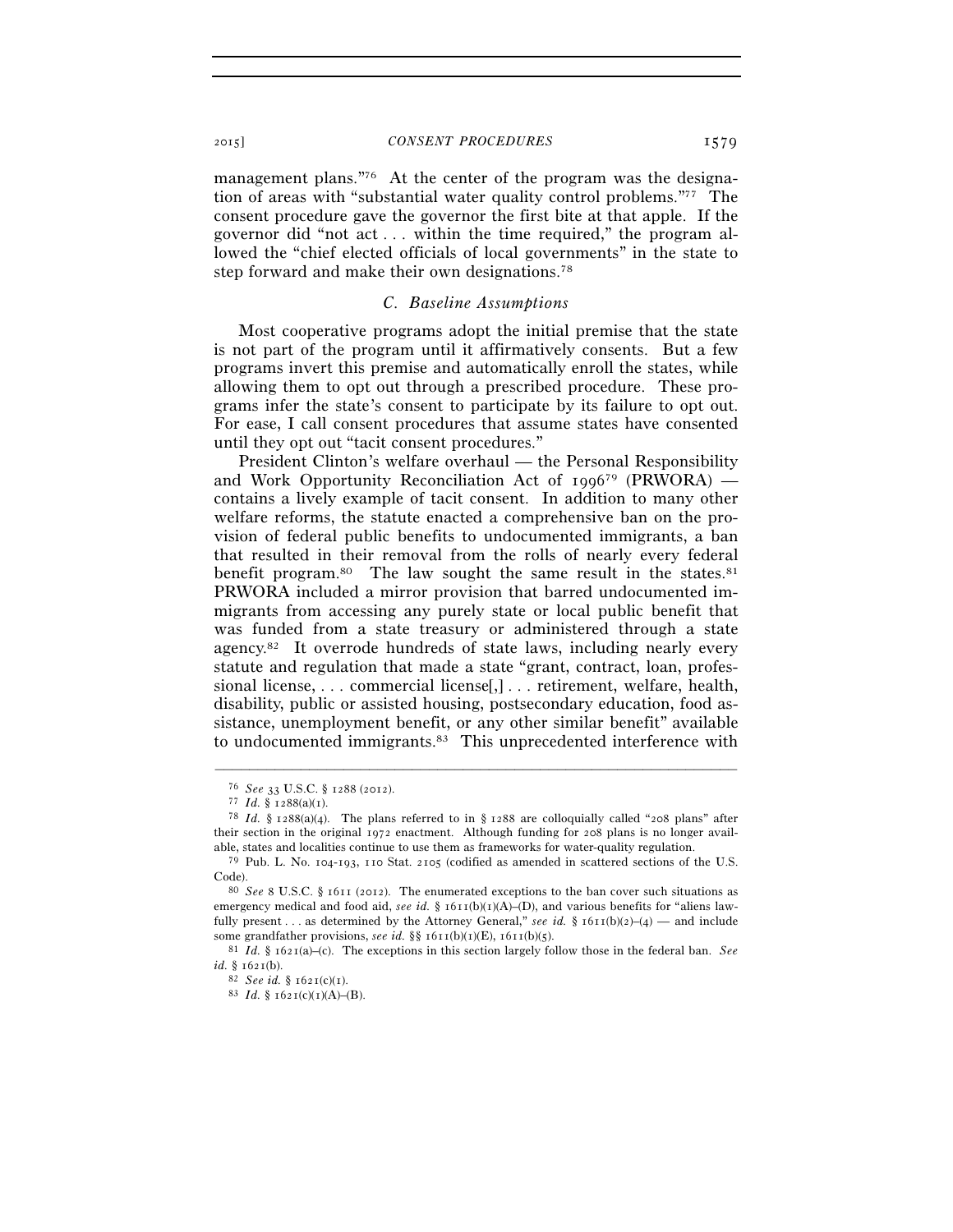management plans."<sup>76</sup> At the center of the program was the designation of areas with "substantial water quality control problems."77 The consent procedure gave the governor the first bite at that apple. If the governor did "not act . . . within the time required," the program allowed the "chief elected officials of local governments" in the state to step forward and make their own designations.78

#### *C. Baseline Assumptions*

Most cooperative programs adopt the initial premise that the state is not part of the program until it affirmatively consents. But a few programs invert this premise and automatically enroll the states, while allowing them to opt out through a prescribed procedure. These programs infer the state's consent to participate by its failure to opt out. For ease, I call consent procedures that assume states have consented until they opt out "tacit consent procedures."

President Clinton's welfare overhaul — the Personal Responsibility and Work Opportunity Reconciliation Act of  $1996^{79}$  (PRWORA) contains a lively example of tacit consent. In addition to many other welfare reforms, the statute enacted a comprehensive ban on the provision of federal public benefits to undocumented immigrants, a ban that resulted in their removal from the rolls of nearly every federal benefit program.<sup>80</sup> The law sought the same result in the states.<sup>81</sup> PRWORA included a mirror provision that barred undocumented immigrants from accessing any purely state or local public benefit that was funded from a state treasury or administered through a state agency.82 It overrode hundreds of state laws, including nearly every statute and regulation that made a state "grant, contract, loan, professional license, . . . commercial license[,] . . . retirement, welfare, health, disability, public or assisted housing, postsecondary education, food assistance, unemployment benefit, or any other similar benefit" available to undocumented immigrants.<sup>83</sup> This unprecedented interference with

<sup>76</sup> *See* <sup>33</sup> U.S.C. § 1288 (2012). 77 *Id.* § 1288(a)(1). 78 *Id.* § 1288(a)(4). The plans referred to in § 1288 are colloquially called "208 plans" after their section in the original 1972 enactment. Although funding for 208 plans is no longer available, states and localities continue to use them as frameworks for water-quality regulation.

<sup>79</sup> Pub. L. No. 104-193, 110 Stat. 2105 (codified as amended in scattered sections of the U.S. Code). 80 *See* <sup>8</sup> U.S.C. § 1611 (2012). The enumerated exceptions to the ban cover such situations as

emergency medical and food aid, *see id.* § 1611(b)(1)(A)–(D), and various benefits for "aliens lawfully present . . . as determined by the Attorney General," *see id.* §  $1611(b)(2)-(4)$  — and include

some grandfather provisions, *see id.* §§ 1611(b)(1)(E), 1611(b)(5).<br><sup>81</sup> *Id.* § 1621(a)–(c). The exceptions in this section largely follow those in the federal ban. *See*<br>*id.* § 1621(b).

*id.* § 1621(b). 82 *See id.* § 1621(c)(1). 83 *Id.* § 1621(c)(1)(A)–(B).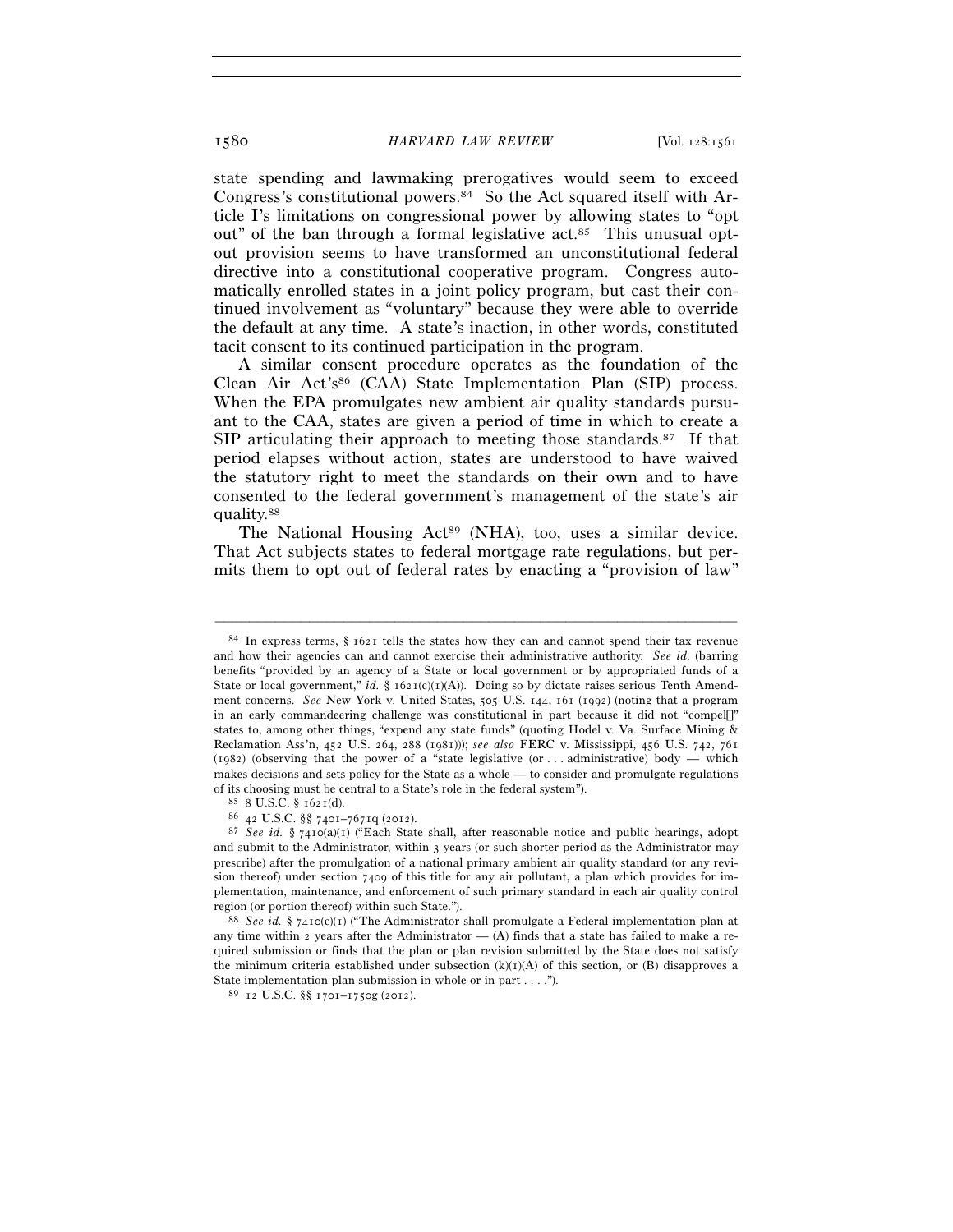state spending and lawmaking prerogatives would seem to exceed Congress's constitutional powers.84 So the Act squared itself with Article I's limitations on congressional power by allowing states to "opt out" of the ban through a formal legislative  $act.^{85}$ . This unusual optout provision seems to have transformed an unconstitutional federal directive into a constitutional cooperative program. Congress automatically enrolled states in a joint policy program, but cast their continued involvement as "voluntary" because they were able to override the default at any time. A state's inaction, in other words, constituted tacit consent to its continued participation in the program.

A similar consent procedure operates as the foundation of the Clean Air Act's<sup>86</sup> (CAA) State Implementation Plan (SIP) process. When the EPA promulgates new ambient air quality standards pursuant to the CAA, states are given a period of time in which to create a SIP articulating their approach to meeting those standards.<sup>87</sup> If that period elapses without action, states are understood to have waived the statutory right to meet the standards on their own and to have consented to the federal government's management of the state's air quality.88

The National Housing Act<sup>89</sup> (NHA), too, uses a similar device. That Act subjects states to federal mortgage rate regulations, but permits them to opt out of federal rates by enacting a "provision of law"

 $84$  In express terms,  $\S$  1621 tells the states how they can and cannot spend their tax revenue and how their agencies can and cannot exercise their administrative authority. *See id.* (barring benefits "provided by an agency of a State or local government or by appropriated funds of a State or local government," *id.* § 1621(c)(1)(A)). Doing so by dictate raises serious Tenth Amendment concerns. *See* New York v. United States, 505 U.S. 144, 161 (1992) (noting that a program in an early commandeering challenge was constitutional in part because it did not "compel[]" states to, among other things, "expend any state funds" (quoting Hodel v. Va. Surface Mining & Reclamation Ass'n, 452 U.S. 264, 288 (1981))); *see also* FERC v. Mississippi, 456 U.S. 742, 761 (1982) (observing that the power of a "state legislative (or ... administrative) body — which makes decisions and sets policy for the State as a whole — to consider and promulgate regulations % of its choosing must be central to a State's role in the federal system").  $$^{85}$  8 U.S.C. §§ 7401–7671q (2012).  $$^{86}$  42 U.S.C. §§ 7401–7671q (2012).

<sup>87</sup> *See id.* § 7410(a)(1) ("Each State shall, after reasonable notice and public hearings, adopt and submit to the Administrator, within 3 years (or such shorter period as the Administrator may prescribe) after the promulgation of a national primary ambient air quality standard (or any revision thereof) under section 7409 of this title for any air pollutant, a plan which provides for implementation, maintenance, and enforcement of such primary standard in each air quality control region (or portion thereof) within such State."). 88 *See id.* § 7410(c)(1) ("The Administrator shall promulgate a Federal implementation plan at

any time within 2 years after the Administrator  $-$  (A) finds that a state has failed to make a required submission or finds that the plan or plan revision submitted by the State does not satisfy the minimum criteria established under subsection  $(k)(1)(A)$  of this section, or  $(B)$  disapproves a State implementation plan submission in whole or in part . . . ."). <sup>89</sup> 12 U.S.C. §§ 1701–1750g (2012).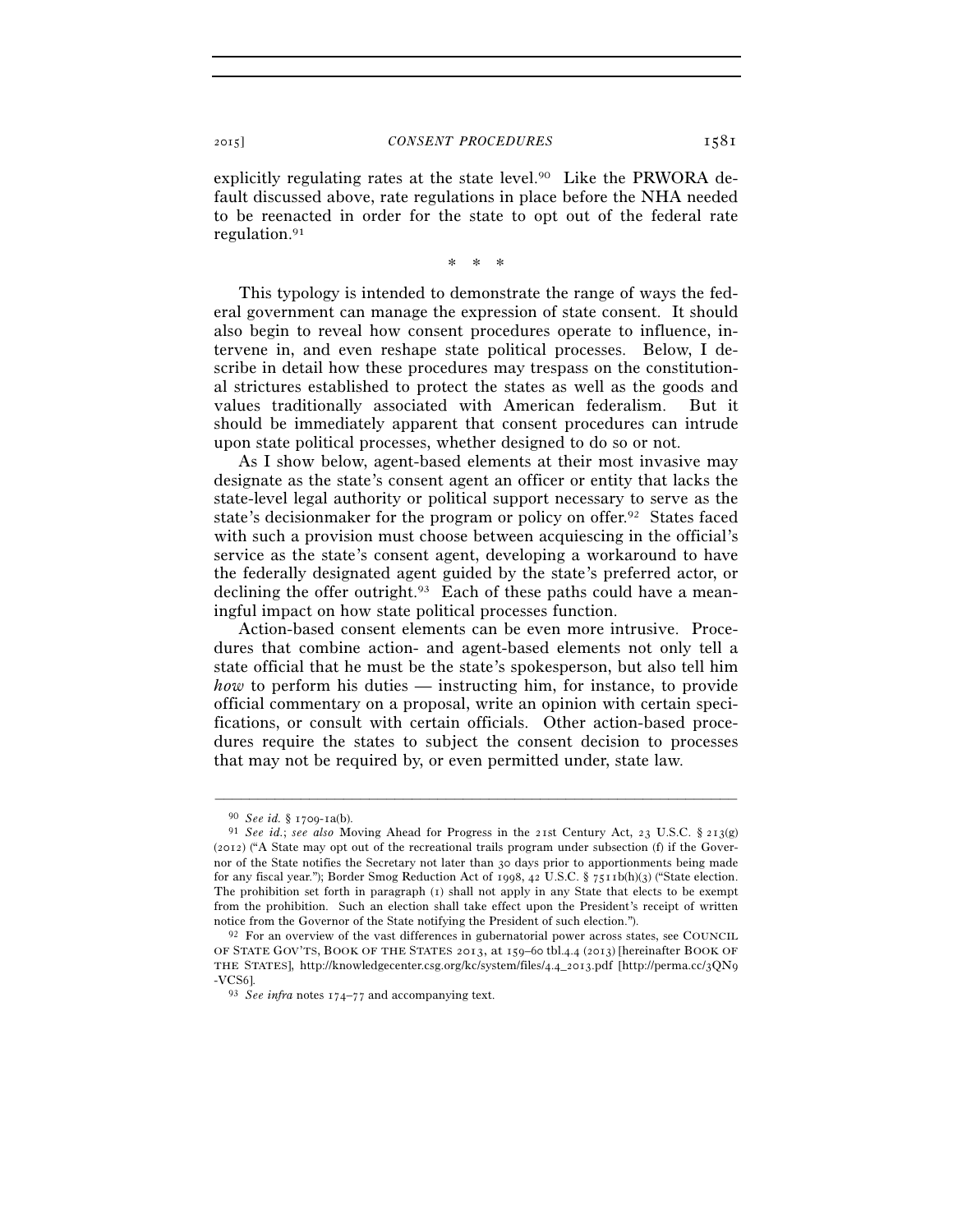explicitly regulating rates at the state level.<sup>90</sup> Like the PRWORA default discussed above, rate regulations in place before the NHA needed to be reenacted in order for the state to opt out of the federal rate regulation.91

\* \* \*

This typology is intended to demonstrate the range of ways the federal government can manage the expression of state consent. It should also begin to reveal how consent procedures operate to influence, intervene in, and even reshape state political processes. Below, I describe in detail how these procedures may trespass on the constitutional strictures established to protect the states as well as the goods and values traditionally associated with American federalism. But it should be immediately apparent that consent procedures can intrude upon state political processes, whether designed to do so or not.

As I show below, agent-based elements at their most invasive may designate as the state's consent agent an officer or entity that lacks the state-level legal authority or political support necessary to serve as the state's decisionmaker for the program or policy on offer.92 States faced with such a provision must choose between acquiescing in the official's service as the state's consent agent, developing a workaround to have the federally designated agent guided by the state's preferred actor, or declining the offer outright.<sup>93</sup> Each of these paths could have a meaningful impact on how state political processes function.

Action-based consent elements can be even more intrusive. Procedures that combine action- and agent-based elements not only tell a state official that he must be the state's spokesperson, but also tell him *how* to perform his duties — instructing him, for instance, to provide official commentary on a proposal, write an opinion with certain specifications, or consult with certain officials. Other action-based procedures require the states to subject the consent decision to processes that may not be required by, or even permitted under, state law.

<sup>90</sup> *See id.* § 1709-1a(b). 91 *See id.*; *see also* Moving Ahead for Progress in the 21st Century Act, 23 U.S.C. § 213(g) (2012) ("A State may opt out of the recreational trails program under subsection (f) if the Governor of the State notifies the Secretary not later than 30 days prior to apportionments being made for any fiscal year."); Border Smog Reduction Act of 1998, 42 U.S.C. § 7511b(h)(3) ("State election. The prohibition set forth in paragraph (1) shall not apply in any State that elects to be exempt from the prohibition. Such an election shall take effect upon the President's receipt of written notice from the Governor of the State notifying the President of such election.").

 $92$  For an overview of the vast differences in gubernatorial power across states, see COUNCIL OF STATE GOV'TS, BOOK OF THE STATES 2013, at 159–60 tbl.4.4 (2013) [hereinafter BOOK OF THE STATES], http://knowledgecenter.csg.org/kc/system/files/4.4\_2013.pdf [http://perma.cc/3QN9 -VCS6]. 93 *See infra* notes 174–77 and accompanying text.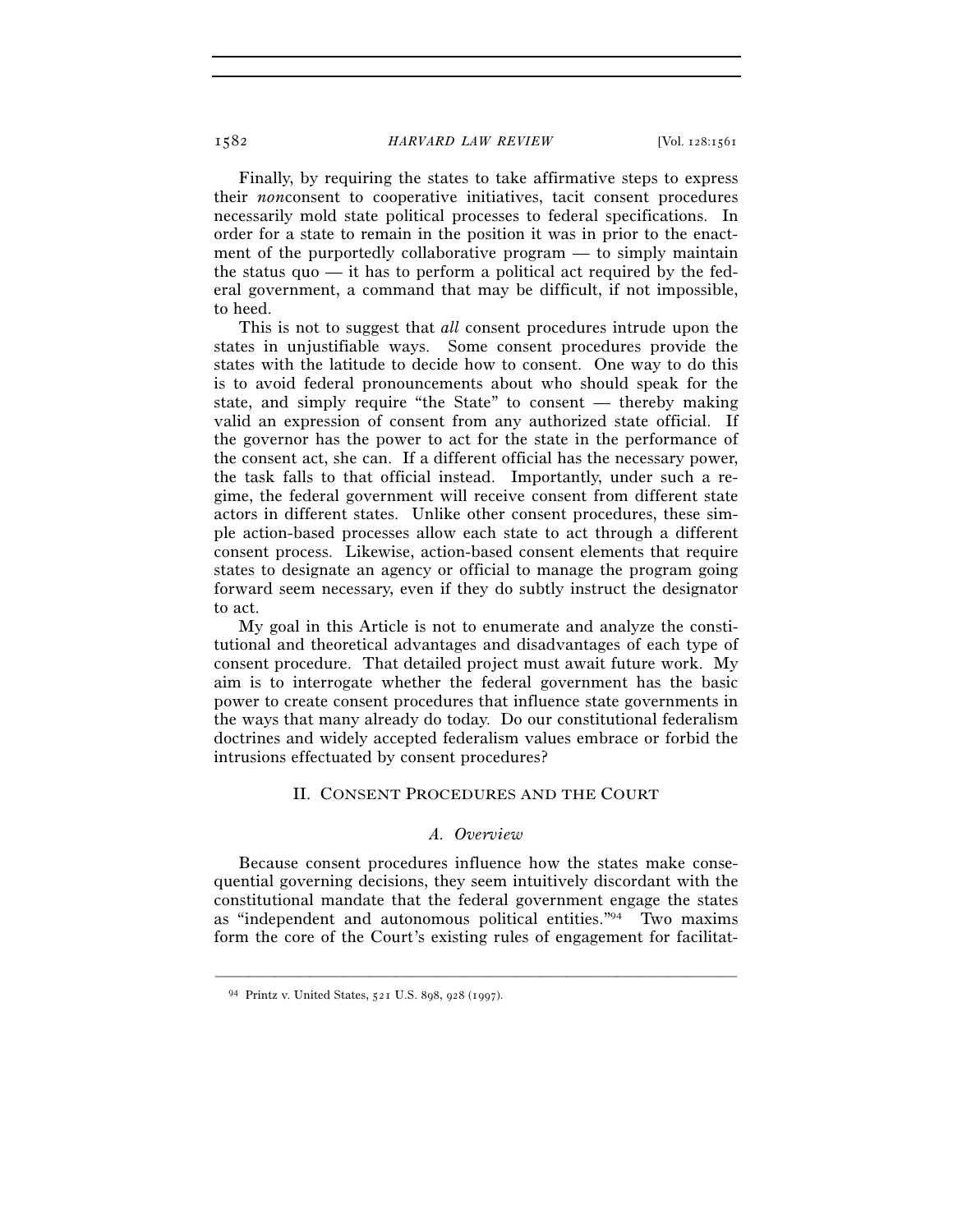Finally, by requiring the states to take affirmative steps to express their *non*consent to cooperative initiatives, tacit consent procedures necessarily mold state political processes to federal specifications. In order for a state to remain in the position it was in prior to the enactment of the purportedly collaborative program — to simply maintain the status quo  $\frac{d}{dx}$  it has to perform a political act required by the federal government, a command that may be difficult, if not impossible, to heed.

This is not to suggest that *all* consent procedures intrude upon the states in unjustifiable ways. Some consent procedures provide the states with the latitude to decide how to consent. One way to do this is to avoid federal pronouncements about who should speak for the state, and simply require "the State" to consent — thereby making valid an expression of consent from any authorized state official. If the governor has the power to act for the state in the performance of the consent act, she can. If a different official has the necessary power, the task falls to that official instead. Importantly, under such a regime, the federal government will receive consent from different state actors in different states. Unlike other consent procedures, these simple action-based processes allow each state to act through a different consent process. Likewise, action-based consent elements that require states to designate an agency or official to manage the program going forward seem necessary, even if they do subtly instruct the designator to act.

My goal in this Article is not to enumerate and analyze the constitutional and theoretical advantages and disadvantages of each type of consent procedure. That detailed project must await future work. My aim is to interrogate whether the federal government has the basic power to create consent procedures that influence state governments in the ways that many already do today. Do our constitutional federalism doctrines and widely accepted federalism values embrace or forbid the intrusions effectuated by consent procedures?

# II. CONSENT PROCEDURES AND THE COURT

# *A. Overview*

Because consent procedures influence how the states make consequential governing decisions, they seem intuitively discordant with the constitutional mandate that the federal government engage the states as "independent and autonomous political entities."94 Two maxims form the core of the Court's existing rules of engagement for facilitat-

<sup>94</sup> Printz v. United States, 521 U.S. 898, 928 (1997).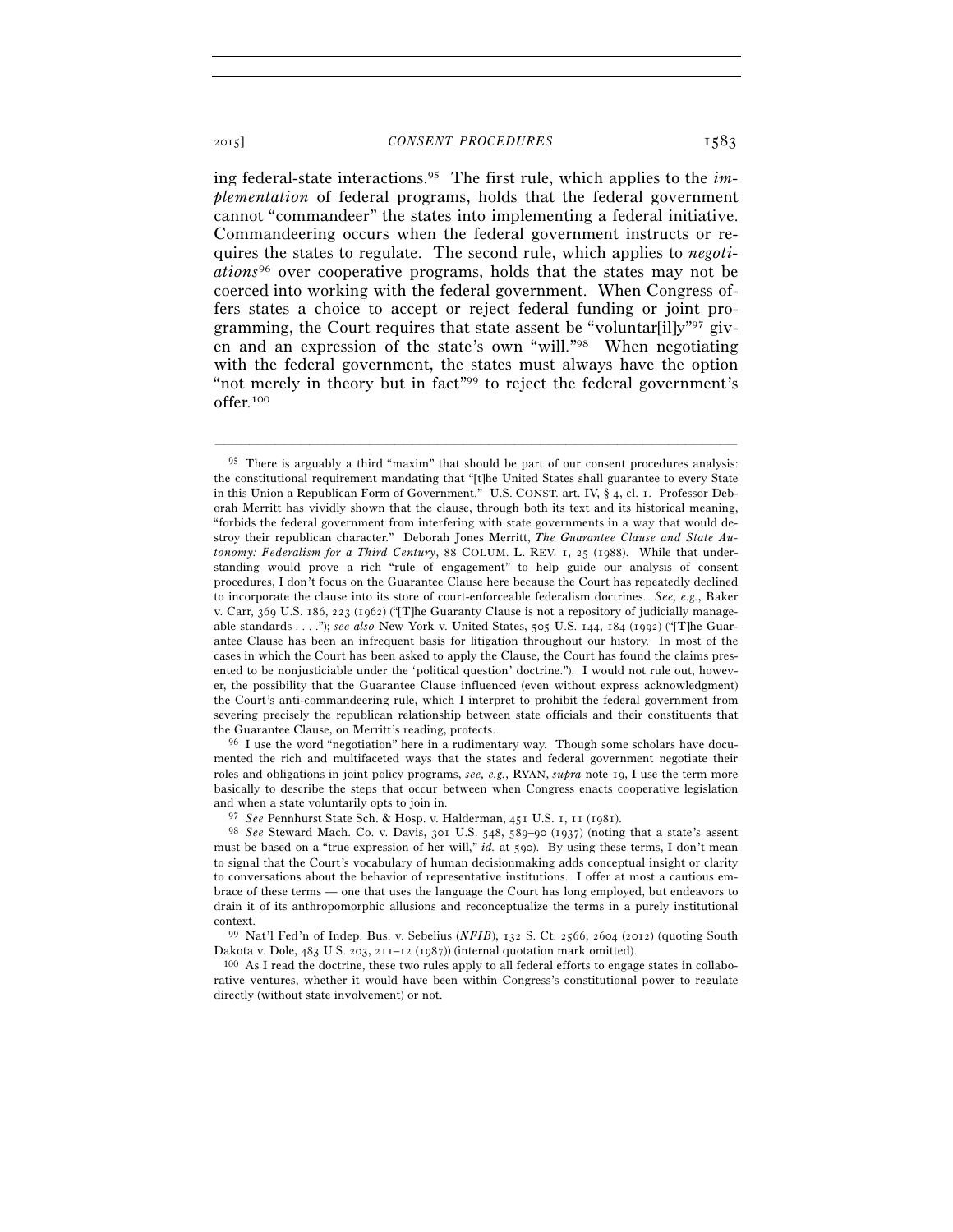ing federal-state interactions.95 The first rule, which applies to the *implementation* of federal programs, holds that the federal government cannot "commandeer" the states into implementing a federal initiative. Commandeering occurs when the federal government instructs or requires the states to regulate. The second rule, which applies to *negotiations*<sup>96</sup> over cooperative programs, holds that the states may not be coerced into working with the federal government. When Congress offers states a choice to accept or reject federal funding or joint programming, the Court requires that state assent be "voluntar[il]y"97 given and an expression of the state's own "will."98 When negotiating with the federal government, the states must always have the option "not merely in theory but in fact"<sup>99</sup> to reject the federal government's offer.100

–––––––––––––––––––––––––––––––––––––––––––––––––––––––––––––

mented the rich and multifaceted ways that the states and federal government negotiate their roles and obligations in joint policy programs, *see, e.g.*, RYAN, *supra* note 19, I use the term more basically to describe the steps that occur between when Congress enacts cooperative legislation and when a state voluntarily opts to join in.

Dakota v. Dole, 483 U.S. 203, 211–12 (1987)) (internal quotation mark omitted).<br><sup>100</sup> As I read the doctrine, these two rules apply to all federal efforts to engage states in collabo-

rative ventures, whether it would have been within Congress's constitutional power to regulate directly (without state involvement) or not.

<sup>95</sup> There is arguably a third "maxim" that should be part of our consent procedures analysis: the constitutional requirement mandating that "[t]he United States shall guarantee to every State in this Union a Republican Form of Government." U.S. CONST. art. IV, § 4, cl. 1. Professor Deborah Merritt has vividly shown that the clause, through both its text and its historical meaning, "forbids the federal government from interfering with state governments in a way that would destroy their republican character." Deborah Jones Merritt, *The Guarantee Clause and State Autonomy: Federalism for a Third Century*, 88 COLUM. L. REV. 1, 25 (1988). While that understanding would prove a rich "rule of engagement" to help guide our analysis of consent procedures, I don't focus on the Guarantee Clause here because the Court has repeatedly declined to incorporate the clause into its store of court-enforceable federalism doctrines. *See, e.g.*, Baker v. Carr, 369 U.S. 186, 223 (1962) ("[T]he Guaranty Clause is not a repository of judicially manageable standards . . . ."); *see also* New York v. United States, 505 U.S. 144, 184 (1992) ("[T]he Guarantee Clause has been an infrequent basis for litigation throughout our history. In most of the cases in which the Court has been asked to apply the Clause, the Court has found the claims presented to be nonjusticiable under the 'political question' doctrine."). I would not rule out, however, the possibility that the Guarantee Clause influenced (even without express acknowledgment) the Court's anti-commandeering rule, which I interpret to prohibit the federal government from severing precisely the republican relationship between state officials and their constituents that the Guarantee Clause, on Merritt's reading, protects.<br><sup>96</sup> I use the word "negotiation" here in a rudimentary way. Though some scholars have docu-

<sup>97</sup> *See* Pennhurst State Sch. & Hosp. v. Halderman, 451 U.S. 1, 11 (1981). 98 *See* Steward Mach. Co. v. Davis, 301 U.S. 548, 589–90 (1937) (noting that a state's assent must be based on a "true expression of her will," *id.* at 590). By using these terms, I don't mean to signal that the Court's vocabulary of human decisionmaking adds conceptual insight or clarity to conversations about the behavior of representative institutions. I offer at most a cautious embrace of these terms — one that uses the language the Court has long employed, but endeavors to drain it of its anthropomorphic allusions and reconceptualize the terms in a purely institutional context. 99 Nat'l Fed'n of Indep. Bus. v. Sebelius (*NFIB*), 132 S. Ct. 2566, 2604 (2012) (quoting South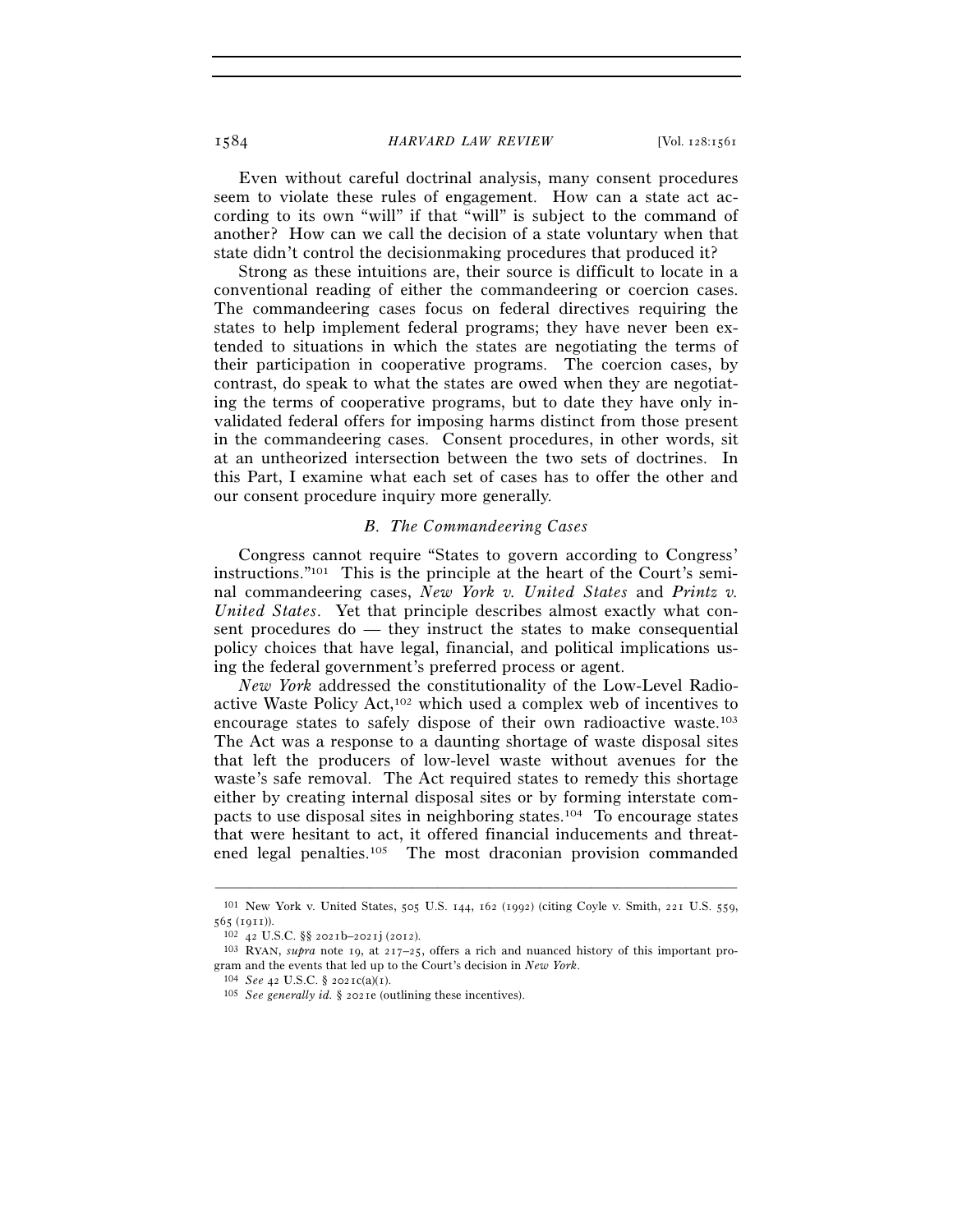Even without careful doctrinal analysis, many consent procedures seem to violate these rules of engagement. How can a state act according to its own "will" if that "will" is subject to the command of another? How can we call the decision of a state voluntary when that state didn't control the decisionmaking procedures that produced it?

Strong as these intuitions are, their source is difficult to locate in a conventional reading of either the commandeering or coercion cases. The commandeering cases focus on federal directives requiring the states to help implement federal programs; they have never been extended to situations in which the states are negotiating the terms of their participation in cooperative programs. The coercion cases, by contrast, do speak to what the states are owed when they are negotiating the terms of cooperative programs, but to date they have only invalidated federal offers for imposing harms distinct from those present in the commandeering cases. Consent procedures, in other words, sit at an untheorized intersection between the two sets of doctrines. In this Part, I examine what each set of cases has to offer the other and our consent procedure inquiry more generally.

# *B. The Commandeering Cases*

Congress cannot require "States to govern according to Congress' instructions."101 This is the principle at the heart of the Court's seminal commandeering cases, *New York v. United States* and *Printz v. United States*. Yet that principle describes almost exactly what consent procedures do — they instruct the states to make consequential policy choices that have legal, financial, and political implications using the federal government's preferred process or agent.

*New York* addressed the constitutionality of the Low-Level Radioactive Waste Policy Act,102 which used a complex web of incentives to encourage states to safely dispose of their own radioactive waste.103 The Act was a response to a daunting shortage of waste disposal sites that left the producers of low-level waste without avenues for the waste's safe removal. The Act required states to remedy this shortage either by creating internal disposal sites or by forming interstate compacts to use disposal sites in neighboring states.104 To encourage states that were hesitant to act, it offered financial inducements and threatened legal penalties.105 The most draconian provision commanded

<sup>–––––––––––––––––––––––––––––––––––––––––––––––––––––––––––––</sup> 101 New York v. United States, 505 U.S. 144, 162 (1992) (citing Coyle v. Smith, 221 U.S. 559, <sup>565</sup> (1911)). 102 <sup>42</sup> U.S.C. §§ 2021b–2021j (2012). 103 RYAN, *supra* note 19, at 217–25, offers a rich and nuanced history of this important pro-

gram and the events that led up to the Court's decision in *New York*. <sup>104</sup> *See* 42 U.S.C. § 2021c(a)(1). <sup>105</sup> *See generally id.* § 2021e (outlining these incentives).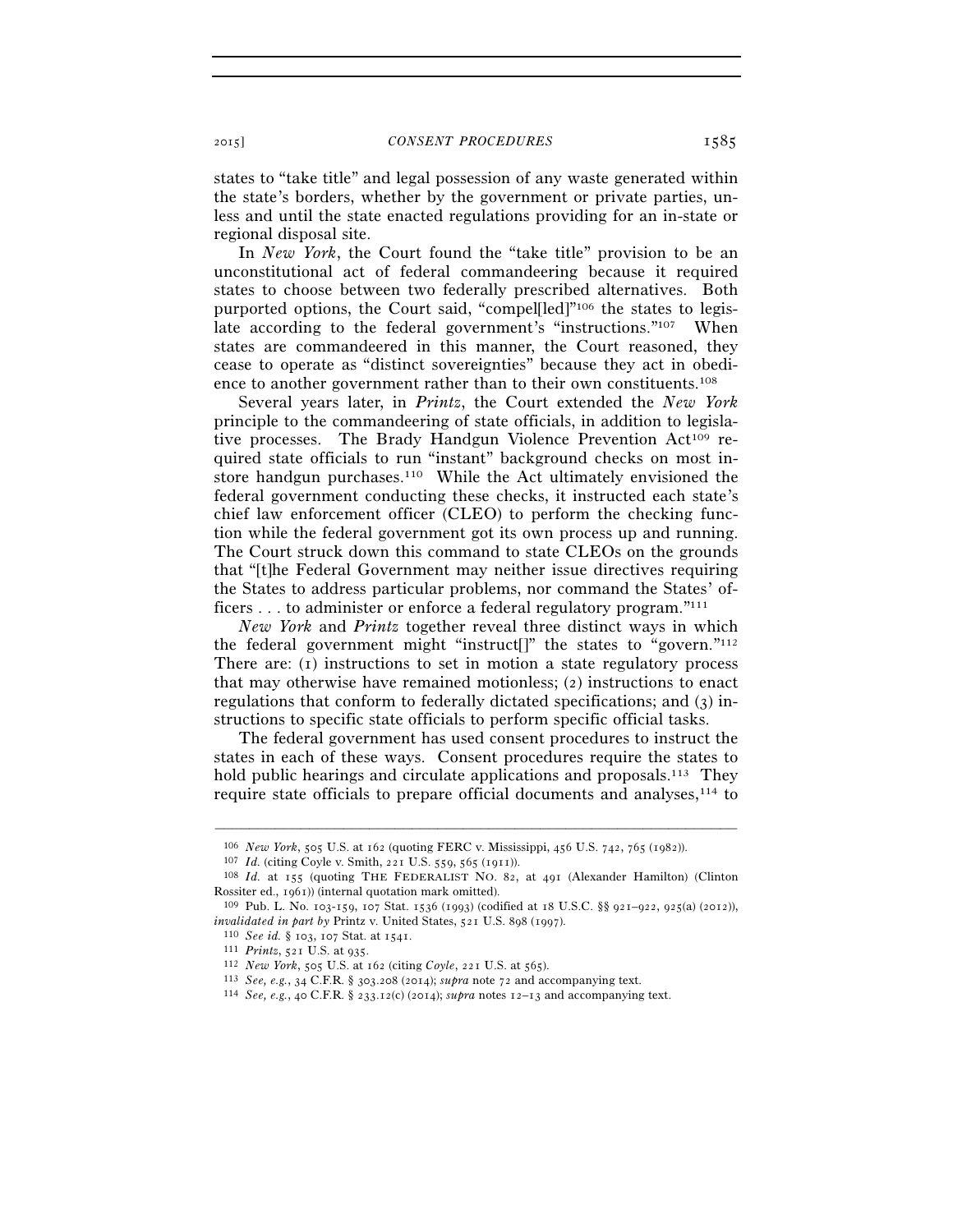states to "take title" and legal possession of any waste generated within the state's borders, whether by the government or private parties, unless and until the state enacted regulations providing for an in-state or regional disposal site.

In *New York*, the Court found the "take title" provision to be an unconstitutional act of federal commandeering because it required states to choose between two federally prescribed alternatives. Both purported options, the Court said, "compel[led]"106 the states to legislate according to the federal government's "instructions."<sup>107</sup> When states are commandeered in this manner, the Court reasoned, they cease to operate as "distinct sovereignties" because they act in obedience to another government rather than to their own constituents.108

Several years later, in *Printz*, the Court extended the *New York* principle to the commandeering of state officials, in addition to legislative processes. The Brady Handgun Violence Prevention Act109 required state officials to run "instant" background checks on most instore handgun purchases.<sup>110</sup> While the Act ultimately envisioned the federal government conducting these checks, it instructed each state's chief law enforcement officer (CLEO) to perform the checking function while the federal government got its own process up and running. The Court struck down this command to state CLEOs on the grounds that "[t]he Federal Government may neither issue directives requiring the States to address particular problems, nor command the States' officers . . . to administer or enforce a federal regulatory program."111

*New York* and *Printz* together reveal three distinct ways in which the federal government might "instruct[]" the states to "govern."112 There are: (1) instructions to set in motion a state regulatory process that may otherwise have remained motionless; (2) instructions to enact regulations that conform to federally dictated specifications; and (3) instructions to specific state officials to perform specific official tasks.

The federal government has used consent procedures to instruct the states in each of these ways. Consent procedures require the states to hold public hearings and circulate applications and proposals.<sup>113</sup> They require state officials to prepare official documents and analyses,<sup>114</sup> to

<sup>&</sup>lt;sup>106</sup> *New York*, 505 U.S. at 162 (quoting FERC v. Mississippi, 456 U.S. 742, 765 (1982)).<br><sup>107</sup> *Id.* (citing Coyle v. Smith, 221 U.S. 559, 565 (1911)).<br><sup>108</sup> *Id.* at 155 (quoting THE FEDERALIST NO. 82, at 491 (Alexande Rossiter ed., 1961)) (internal quotation mark omitted).<br><sup>109</sup> Pub. L. No. 103-159, 107 Stat. 1536 (1993) (codified at 18 U.S.C. §§ 921–922, 925(a) (2012)),

*invalidated in part by* Printz v. United States, 521 U.S. 898 (1997). 110 *See id.* § 103, 107 Stat. at 1541. 111 *Printz*, 521 U.S. at 935.

<sup>112</sup> *New York*, 505 U.S. at 162 (citing *Coyle*, 221 U.S. at 565).

<sup>113</sup> *See, e.g.*, 34 C.F.R. § 303.208 (2014); *supra* note 72 and accompanying text. 114 *See, e.g.*, 40 C.F.R. § 233.12(c) (2014); *supra* notes 12–13 and accompanying text.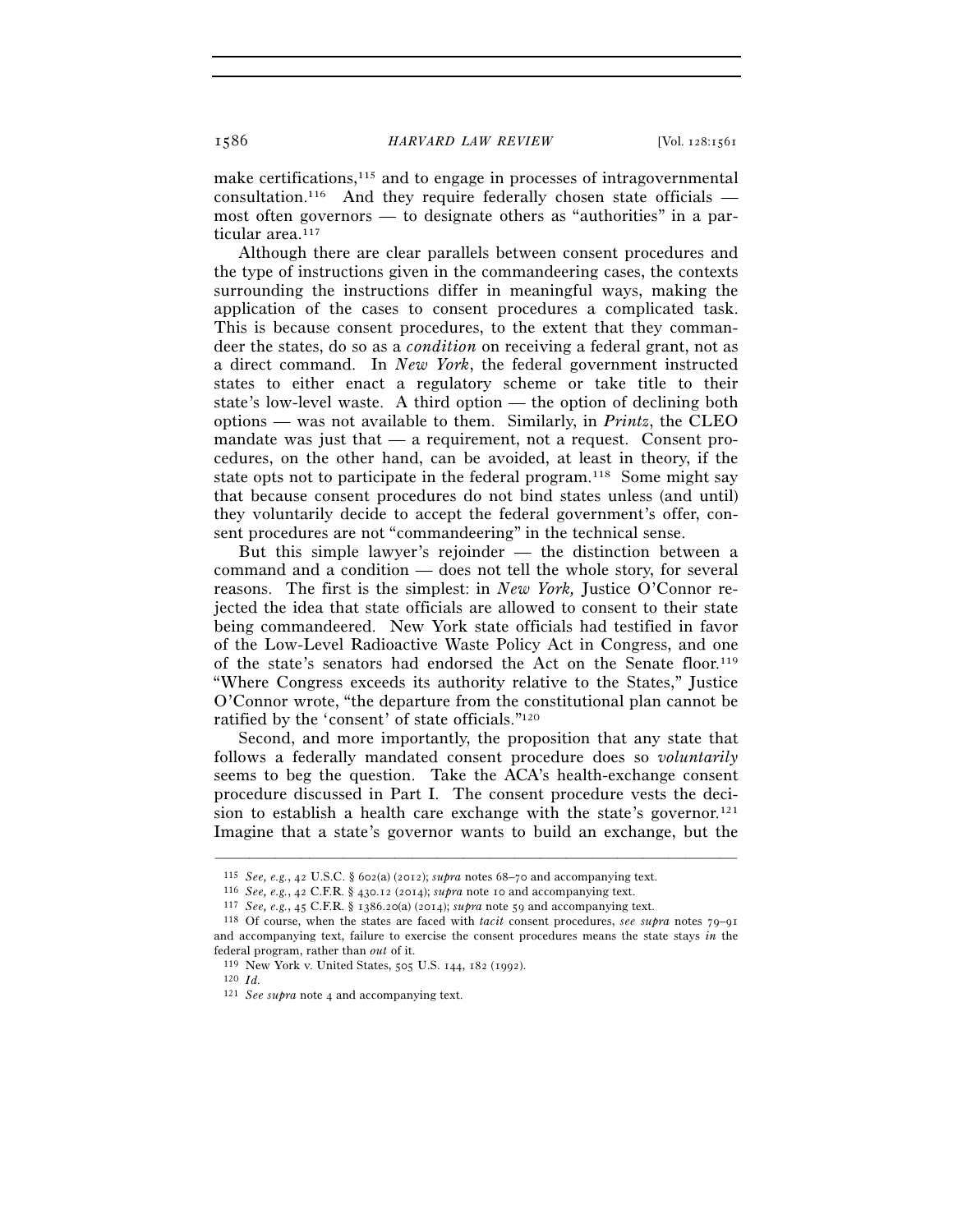make certifications,115 and to engage in processes of intragovernmental consultation.<sup>116</sup> And they require federally chosen state officials  $$ most often governors — to designate others as "authorities" in a particular area.<sup>117</sup>

Although there are clear parallels between consent procedures and the type of instructions given in the commandeering cases, the contexts surrounding the instructions differ in meaningful ways, making the application of the cases to consent procedures a complicated task. This is because consent procedures, to the extent that they commandeer the states, do so as a *condition* on receiving a federal grant, not as a direct command. In *New York*, the federal government instructed states to either enact a regulatory scheme or take title to their state's low-level waste. A third option — the option of declining both options — was not available to them. Similarly, in *Printz*, the CLEO mandate was just that  $-$  a requirement, not a request. Consent procedures, on the other hand, can be avoided, at least in theory, if the state opts not to participate in the federal program.<sup>118</sup> Some might say that because consent procedures do not bind states unless (and until) they voluntarily decide to accept the federal government's offer, consent procedures are not "commandeering" in the technical sense.

But this simple lawyer's rejoinder — the distinction between a command and a condition — does not tell the whole story, for several reasons. The first is the simplest: in *New York,* Justice O'Connor rejected the idea that state officials are allowed to consent to their state being commandeered. New York state officials had testified in favor of the Low-Level Radioactive Waste Policy Act in Congress, and one of the state's senators had endorsed the Act on the Senate floor.119 "Where Congress exceeds its authority relative to the States," Justice O'Connor wrote, "the departure from the constitutional plan cannot be ratified by the 'consent' of state officials."120

Second, and more importantly, the proposition that any state that follows a federally mandated consent procedure does so *voluntarily* seems to beg the question. Take the ACA's health-exchange consent procedure discussed in Part I. The consent procedure vests the decision to establish a health care exchange with the state's governor.<sup>121</sup> Imagine that a state's governor wants to build an exchange, but the

–––––––––––––––––––––––––––––––––––––––––––––––––––––––––––––

120 *Id.*

<sup>&</sup>lt;sup>115</sup> *See, e.g., 42* U.S.C. § 602(a) (2012); *supra* notes 68–70 and accompanying text.<br><sup>116</sup> *See, e.g., 42* C.F.R. § 430.12 (2014); *supra* note 10 and accompanying text.<br><sup>117</sup> *See, e.g., 45* C.F.R. § 1386.20(a) (2014 and accompanying text, failure to exercise the consent procedures means the state stays *in* the federal program, rather than *out* of it. 119 New York v. United States, 505 U.S. 144, 182 (1992).

<sup>121</sup> *See supra* note 4 and accompanying text.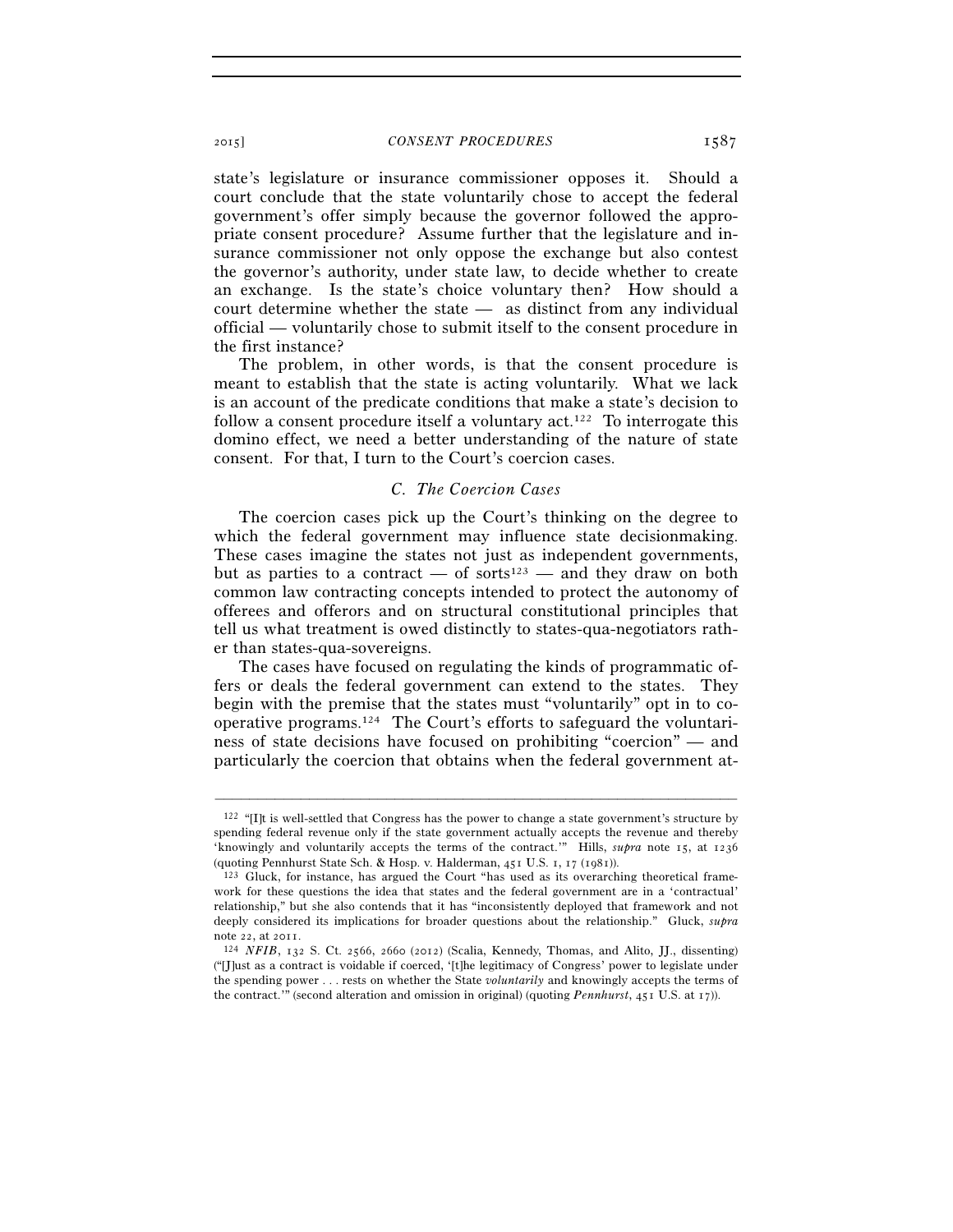state's legislature or insurance commissioner opposes it. Should a court conclude that the state voluntarily chose to accept the federal government's offer simply because the governor followed the appropriate consent procedure? Assume further that the legislature and insurance commissioner not only oppose the exchange but also contest the governor's authority, under state law, to decide whether to create an exchange. Is the state's choice voluntary then? How should a court determine whether the state — as distinct from any individual official — voluntarily chose to submit itself to the consent procedure in the first instance?

The problem, in other words, is that the consent procedure is meant to establish that the state is acting voluntarily. What we lack is an account of the predicate conditions that make a state's decision to follow a consent procedure itself a voluntary  $act.^{122}$  To interrogate this domino effect, we need a better understanding of the nature of state consent. For that, I turn to the Court's coercion cases.

# *C. The Coercion Cases*

The coercion cases pick up the Court's thinking on the degree to which the federal government may influence state decisionmaking. These cases imagine the states not just as independent governments, but as parties to a contract — of sorts<sup>123</sup> — and they draw on both common law contracting concepts intended to protect the autonomy of offerees and offerors and on structural constitutional principles that tell us what treatment is owed distinctly to states-qua-negotiators rather than states-qua-sovereigns.

The cases have focused on regulating the kinds of programmatic offers or deals the federal government can extend to the states. They begin with the premise that the states must "voluntarily" opt in to cooperative programs.124 The Court's efforts to safeguard the voluntariness of state decisions have focused on prohibiting "coercion" — and particularly the coercion that obtains when the federal government at-

<sup>122</sup> "[I]t is well-settled that Congress has the power to change a state government's structure by spending federal revenue only if the state government actually accepts the revenue and thereby 'knowingly and voluntarily accepts the terms of the contract.'" Hills, *supra* note 15, at 1236 (quoting Pennhurst State Sch. & Hosp. v. Halderman, 451 U.S. 1, 17 (1981)).

<sup>123</sup> Gluck, for instance, has argued the Court "has used as its overarching theoretical framework for these questions the idea that states and the federal government are in a 'contractual' relationship," but she also contends that it has "inconsistently deployed that framework and not deeply considered its implications for broader questions about the relationship." Gluck, *supra* note 22, at 2011. 124 *NFIB*, 132 S. Ct. 2566, 2660 (2012) (Scalia, Kennedy, Thomas, and Alito, JJ., dissenting)

<sup>(&</sup>quot;[J]ust as a contract is voidable if coerced, '[t]he legitimacy of Congress' power to legislate under the spending power . . . rests on whether the State *voluntarily* and knowingly accepts the terms of the contract.'" (second alteration and omission in original) (quoting *Pennhurst*, 451 U.S. at 17)).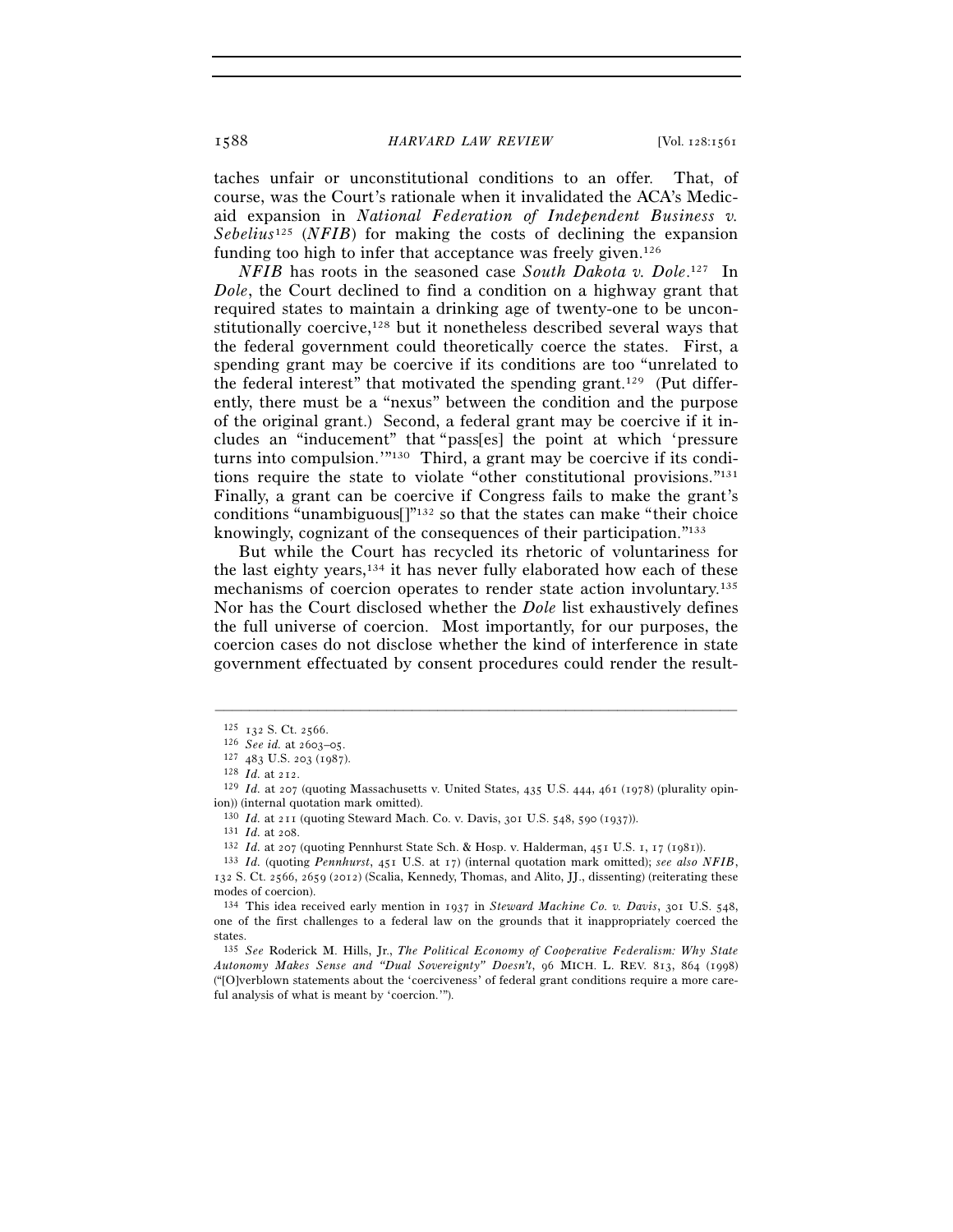taches unfair or unconstitutional conditions to an offer. That, of course, was the Court's rationale when it invalidated the ACA's Medicaid expansion in *National Federation of Independent Business v. Sebelius*125 (*NFIB*) for making the costs of declining the expansion funding too high to infer that acceptance was freely given.<sup>126</sup>

*NFIB* has roots in the seasoned case *South Dakota v. Dole*. 127 In *Dole*, the Court declined to find a condition on a highway grant that required states to maintain a drinking age of twenty-one to be unconstitutionally coercive,<sup>128</sup> but it nonetheless described several ways that the federal government could theoretically coerce the states. First, a spending grant may be coercive if its conditions are too "unrelated to the federal interest" that motivated the spending grant.129 (Put differently, there must be a "nexus" between the condition and the purpose of the original grant.) Second, a federal grant may be coercive if it includes an "inducement" that "pass[es] the point at which 'pressure turns into compulsion.'"130 Third, a grant may be coercive if its conditions require the state to violate "other constitutional provisions."131 Finally, a grant can be coercive if Congress fails to make the grant's conditions "unambiguous $\lceil$ "<sup>132</sup> so that the states can make "their choice" knowingly, cognizant of the consequences of their participation."133

But while the Court has recycled its rhetoric of voluntariness for the last eighty years,134 it has never fully elaborated how each of these mechanisms of coercion operates to render state action involuntary.135 Nor has the Court disclosed whether the *Dole* list exhaustively defines the full universe of coercion. Most importantly, for our purposes, the coercion cases do not disclose whether the kind of interference in state government effectuated by consent procedures could render the result-

–––––––––––––––––––––––––––––––––––––––––––––––––––––––––––––

<sup>130</sup> *Id.* at 211 (quoting Steward Mach. Co. v. Davis, 301 U.S. 548, 590 (1937)).<br><sup>131</sup> *Id.* at 208.<br><sup>132</sup> *Id.* at 207 (quoting Pennhurst State Sch. & Hosp. v. Halderman, 451 U.S. 1, 17 (1981)).<br><sup>133</sup> *Id.* (quoting *P* 

<sup>125</sup> <sup>132</sup> S. Ct. 2566. 126 *See id.* at 2603–05.

<sup>128</sup> *Id.* at 212.<br><sup>129</sup> *Id.* at 207 (quoting Massachusetts v. United States, 435 U.S. 444, 461 (1978) (plurality opinion)) (internal quotation mark omitted).

<sup>132</sup> S. Ct. 2566, 2659 (2012) (Scalia, Kennedy, Thomas, and Alito, JJ., dissenting) (reiterating these modes of coercion).

<sup>134</sup> This idea received early mention in 1937 in *Steward Machine Co. v. Davis*, 301 U.S. 548, one of the first challenges to a federal law on the grounds that it inappropriately coerced the states.

<sup>135</sup> *See* Roderick M. Hills, Jr., *The Political Economy of Cooperative Federalism: Why State Autonomy Makes Sense and "Dual Sovereignty" Doesn't*, 96 MICH. L. REV. 813, 864 (1998) ("[O]verblown statements about the 'coerciveness' of federal grant conditions require a more careful analysis of what is meant by 'coercion.'").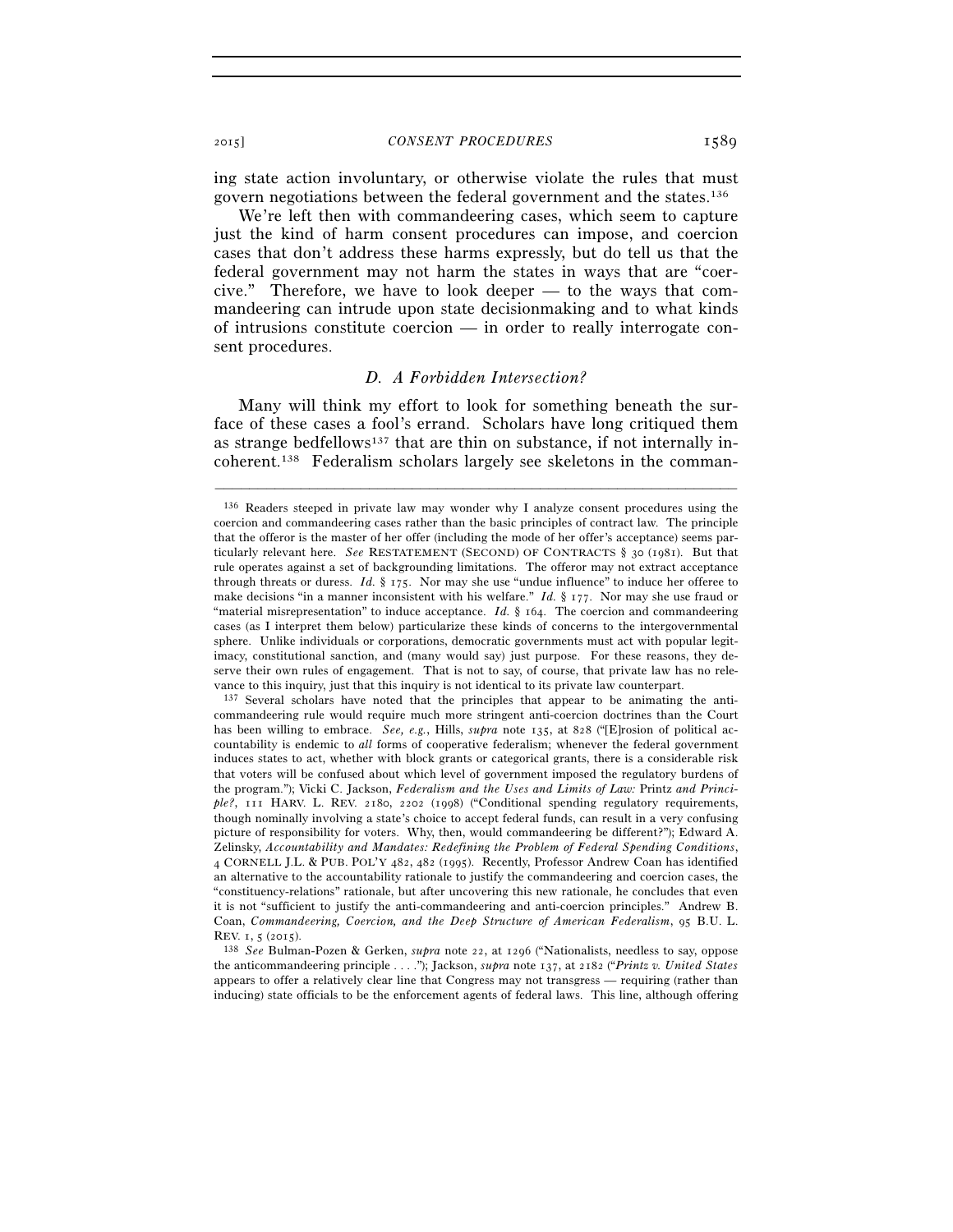ing state action involuntary, or otherwise violate the rules that must govern negotiations between the federal government and the states.136

We're left then with commandeering cases, which seem to capture just the kind of harm consent procedures can impose, and coercion cases that don't address these harms expressly, but do tell us that the federal government may not harm the states in ways that are "coercive." Therefore, we have to look deeper — to the ways that commandeering can intrude upon state decisionmaking and to what kinds of intrusions constitute coercion — in order to really interrogate consent procedures.

# *D. A Forbidden Intersection?*

Many will think my effort to look for something beneath the surface of these cases a fool's errand. Scholars have long critiqued them as strange bedfellows<sup>137</sup> that are thin on substance, if not internally incoherent.138 Federalism scholars largely see skeletons in the comman-

<sup>136</sup> Readers steeped in private law may wonder why I analyze consent procedures using the coercion and commandeering cases rather than the basic principles of contract law. The principle that the offeror is the master of her offer (including the mode of her offer's acceptance) seems particularly relevant here. *See* RESTATEMENT (SECOND) OF CONTRACTS § 30 (1981). But that rule operates against a set of backgrounding limitations. The offeror may not extract acceptance through threats or duress. *Id.* § 175. Nor may she use "undue influence" to induce her offeree to make decisions "in a manner inconsistent with his welfare." *Id.* § 177. Nor may she use fraud or "material misrepresentation" to induce acceptance. *Id.* § 164. The coercion and commandeering cases (as I interpret them below) particularize these kinds of concerns to the intergovernmental sphere. Unlike individuals or corporations, democratic governments must act with popular legitimacy, constitutional sanction, and (many would say) just purpose. For these reasons, they deserve their own rules of engagement. That is not to say, of course, that private law has no relevance to this inquiry, just that this inquiry is not identical to its private law counterpart.<br><sup>137</sup> Several scholars have noted that the principles that appear to be animating the anti-

commandeering rule would require much more stringent anti-coercion doctrines than the Court has been willing to embrace. *See, e.g.*, Hills, *supra* note 135, at 828 ("[E]rosion of political accountability is endemic to *all* forms of cooperative federalism; whenever the federal government induces states to act, whether with block grants or categorical grants, there is a considerable risk that voters will be confused about which level of government imposed the regulatory burdens of the program."); Vicki C. Jackson, *Federalism and the Uses and Limits of Law:* Printz *and Princi*ple?, 111 HARV. L. REV. 2180, 2202 (1998) ("Conditional spending regulatory requirements, though nominally involving a state's choice to accept federal funds, can result in a very confusing picture of responsibility for voters. Why, then, would commandeering be different?"); Edward A. Zelinsky, *Accountability and Mandates: Redefining the Problem of Federal Spending Conditions*, 4 CORNELL J.L. & PUB. POL'Y 482, 482 (1995). Recently, Professor Andrew Coan has identified an alternative to the accountability rationale to justify the commandeering and coercion cases, the "constituency-relations" rationale, but after uncovering this new rationale, he concludes that even it is not "sufficient to justify the anti-commandeering and anti-coercion principles." Andrew B. Coan, *Commandeering, Coercion, and the Deep Structure of American Federalism*, 95 B.U. L.

REV. 1, 5 (2015). 138 *See* Bulman-Pozen & Gerken, *supra* note 22, at 1296 ("Nationalists, needless to say, oppose the anticommandeering principle . . . ."); Jackson, *supra* note 137, at 2182 ("*Printz v. United States* appears to offer a relatively clear line that Congress may not transgress — requiring (rather than inducing) state officials to be the enforcement agents of federal laws. This line, although offering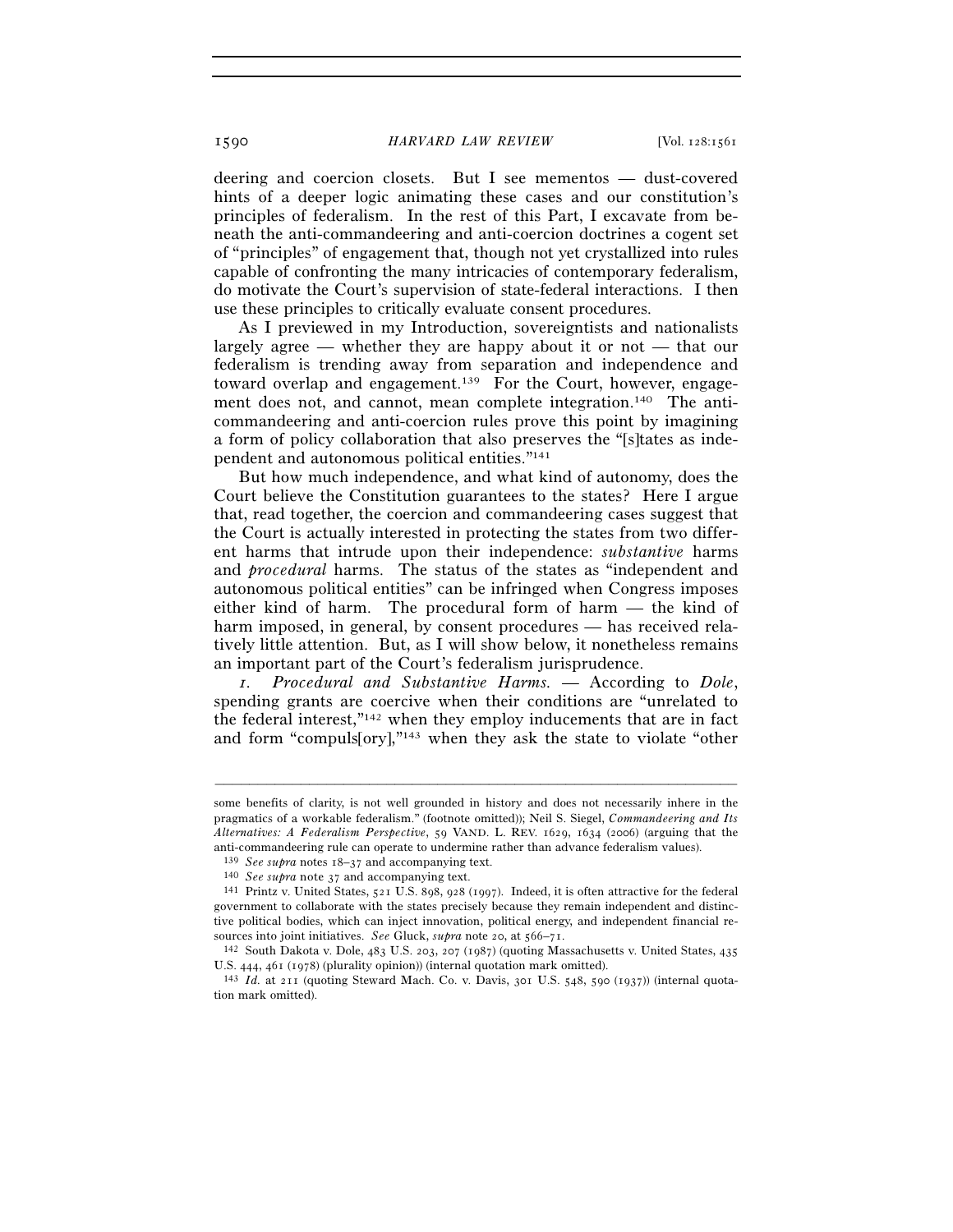deering and coercion closets. But I see mementos — dust-covered hints of a deeper logic animating these cases and our constitution's principles of federalism. In the rest of this Part, I excavate from beneath the anti-commandeering and anti-coercion doctrines a cogent set of "principles" of engagement that, though not yet crystallized into rules capable of confronting the many intricacies of contemporary federalism, do motivate the Court's supervision of state-federal interactions. I then use these principles to critically evaluate consent procedures.

As I previewed in my Introduction, sovereigntists and nationalists largely agree — whether they are happy about it or not — that our federalism is trending away from separation and independence and toward overlap and engagement.139 For the Court, however, engagement does not, and cannot, mean complete integration.<sup>140</sup> The anticommandeering and anti-coercion rules prove this point by imagining a form of policy collaboration that also preserves the "[s]tates as independent and autonomous political entities."141

But how much independence, and what kind of autonomy, does the Court believe the Constitution guarantees to the states? Here I argue that, read together, the coercion and commandeering cases suggest that the Court is actually interested in protecting the states from two different harms that intrude upon their independence: *substantive* harms and *procedural* harms. The status of the states as "independent and autonomous political entities" can be infringed when Congress imposes either kind of harm. The procedural form of harm — the kind of harm imposed, in general, by consent procedures — has received relatively little attention. But, as I will show below, it nonetheless remains an important part of the Court's federalism jurisprudence.

*1. Procedural and Substantive Harms.* — According to *Dole*, spending grants are coercive when their conditions are "unrelated to the federal interest,"142 when they employ inducements that are in fact and form "compuls[ory],"143 when they ask the state to violate "other

some benefits of clarity, is not well grounded in history and does not necessarily inhere in the pragmatics of a workable federalism." (footnote omitted)); Neil S. Siegel, *Commandeering and Its Alternatives: A Federalism Perspective*, 59 VAND. L. REV. 1629, 1634 (2006) (arguing that the anti-commandeering rule can operate to undermine rather than advance federalism values).

<sup>139</sup> *See supra* notes 18–37 and accompanying text. 140 *See supra* note 37 and accompanying text.

<sup>141</sup> Printz v. United States, 521 U.S. 898, 928 (1997). Indeed, it is often attractive for the federal government to collaborate with the states precisely because they remain independent and distinctive political bodies, which can inject innovation, political energy, and independent financial re-

sources into joint initiatives. *See* Gluck, *supra* note 20, at 566–71.<br><sup>142</sup> South Dakota v. Dole, 483 U.S. 203, 207 (1987) (quoting Massachusetts v. United States, 435<br>U.S. 444, 461 (1978) (plurality opinion)) (internal

<sup>&</sup>lt;sup>143</sup> *Id.* at 211 (quoting Steward Mach. Co. v. Davis, 301 U.S. 548, 590 (1937)) (internal quotation mark omitted).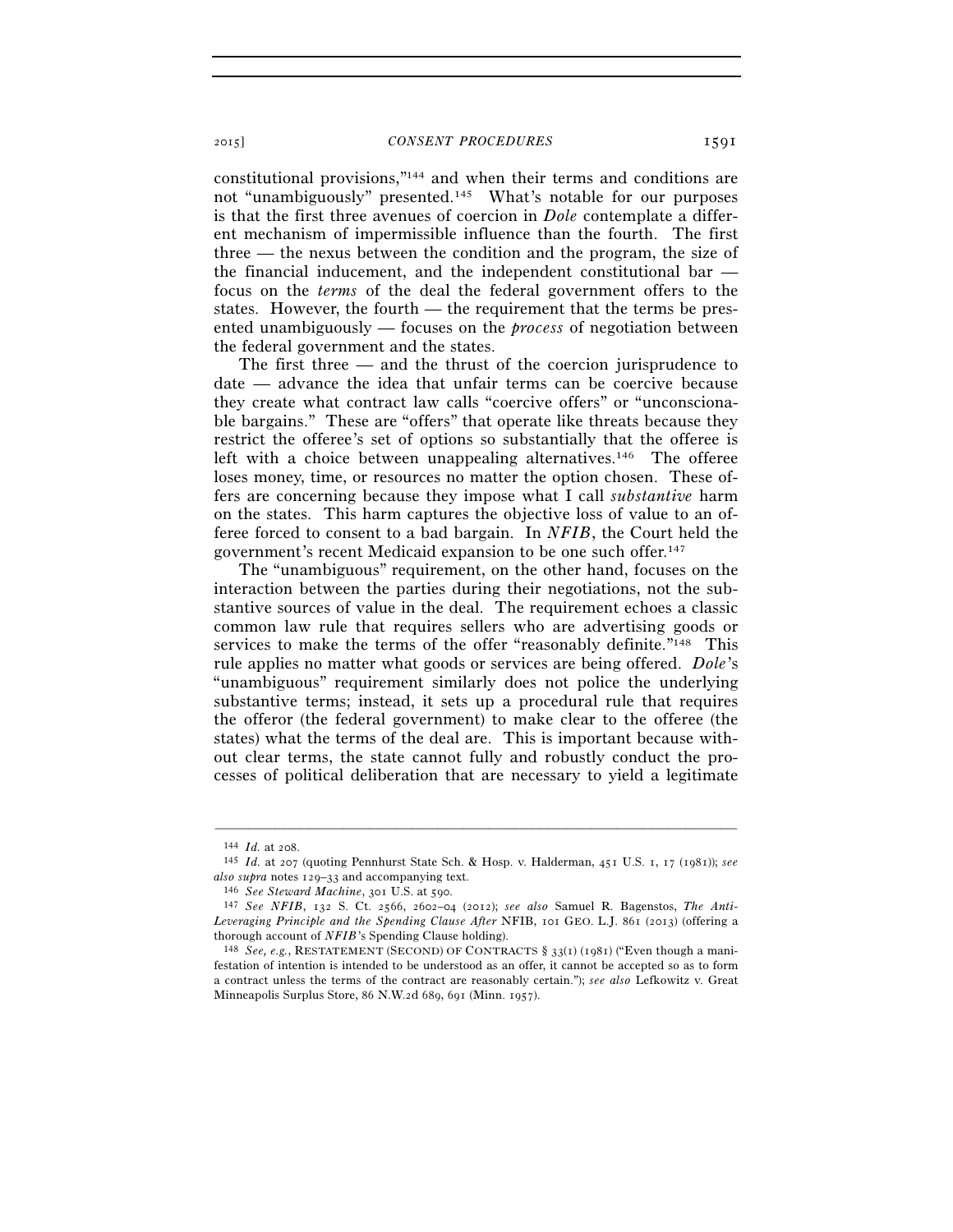constitutional provisions,"144 and when their terms and conditions are not "unambiguously" presented.145 What's notable for our purposes is that the first three avenues of coercion in *Dole* contemplate a different mechanism of impermissible influence than the fourth. The first three — the nexus between the condition and the program, the size of the financial inducement, and the independent constitutional bar focus on the *terms* of the deal the federal government offers to the states. However, the fourth — the requirement that the terms be presented unambiguously — focuses on the *process* of negotiation between the federal government and the states.

The first three — and the thrust of the coercion jurisprudence to date — advance the idea that unfair terms can be coercive because they create what contract law calls "coercive offers" or "unconscionable bargains." These are "offers" that operate like threats because they restrict the offeree's set of options so substantially that the offeree is left with a choice between unappealing alternatives.<sup>146</sup> The offeree loses money, time, or resources no matter the option chosen. These offers are concerning because they impose what I call *substantive* harm on the states. This harm captures the objective loss of value to an offeree forced to consent to a bad bargain. In *NFIB*, the Court held the government's recent Medicaid expansion to be one such offer.147

The "unambiguous" requirement, on the other hand, focuses on the interaction between the parties during their negotiations, not the substantive sources of value in the deal. The requirement echoes a classic common law rule that requires sellers who are advertising goods or services to make the terms of the offer "reasonably definite."<sup>148</sup> This rule applies no matter what goods or services are being offered. *Dole*'s "unambiguous" requirement similarly does not police the underlying substantive terms; instead, it sets up a procedural rule that requires the offeror (the federal government) to make clear to the offeree (the states) what the terms of the deal are. This is important because without clear terms, the state cannot fully and robustly conduct the processes of political deliberation that are necessary to yield a legitimate

<sup>144</sup> *Id.* at 208. 145 *Id.* at 207 (quoting Pennhurst State Sch. & Hosp. v. Halderman, 451 U.S. 1, 17 (1981)); *see*  also supra notes 129–33 and accompanying text.<br><sup>146</sup> See Steward Machine, 301 U.S. at 590.<br><sup>147</sup> See NFIB, 132 S. Ct. 2566, 2602–04 (2012); see also Samuel R. Bagenstos, *The Anti*-

*Leveraging Principle and the Spending Clause After* NFIB, 101 GEO. L.J. 861 (2013) (offering a thorough account of *NFIB*'s Spending Clause holding).<br><sup>148</sup> *See, e.g.*, RESTATEMENT (SECOND) OF CONTRACTS § 33(1) (1981) ("Even though a mani-

festation of intention is intended to be understood as an offer, it cannot be accepted so as to form a contract unless the terms of the contract are reasonably certain."); *see also* Lefkowitz v. Great Minneapolis Surplus Store, 86 N.W.2d 689, 691 (Minn. 1957).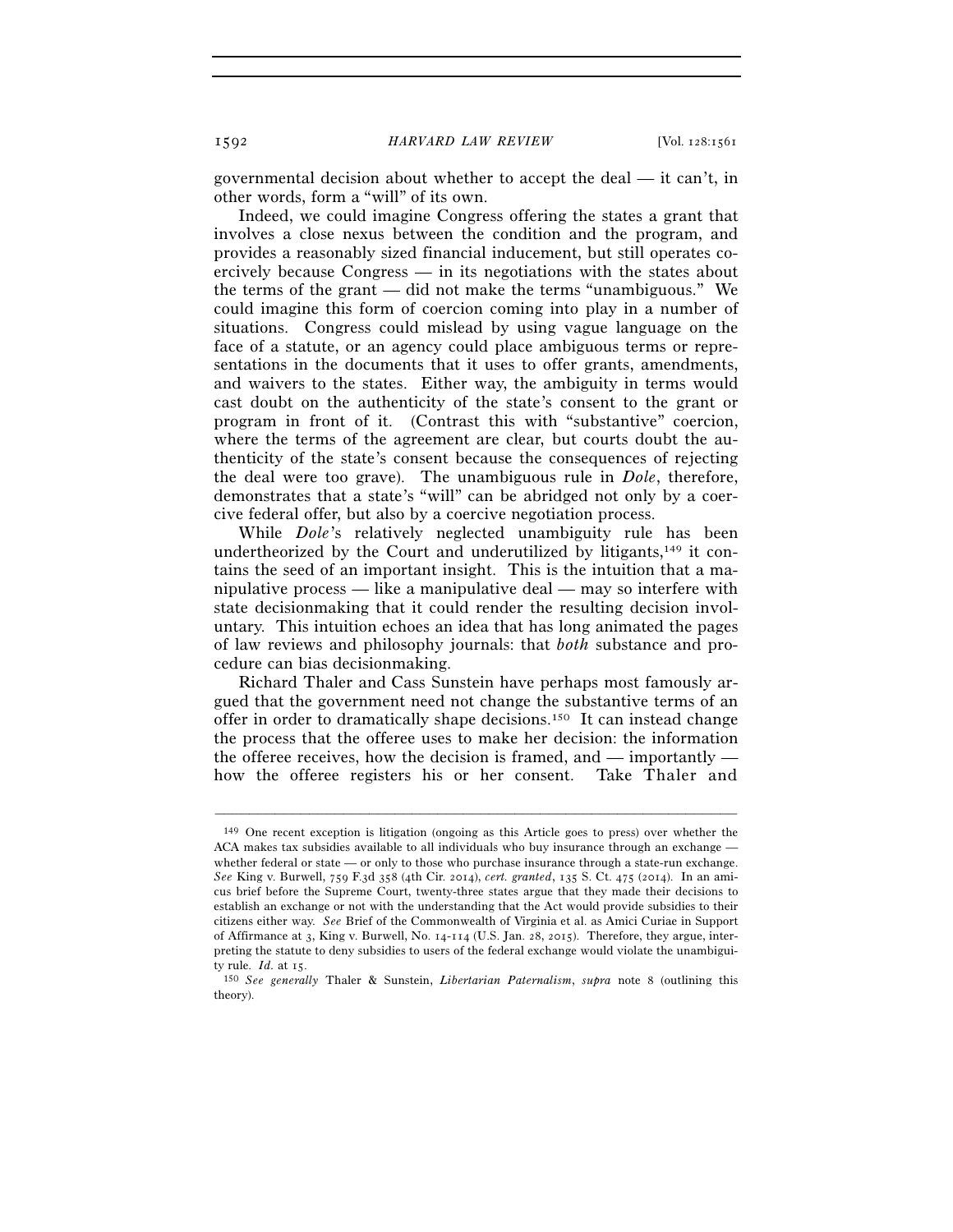governmental decision about whether to accept the deal — it can't, in other words, form a "will" of its own.

Indeed, we could imagine Congress offering the states a grant that involves a close nexus between the condition and the program, and provides a reasonably sized financial inducement, but still operates coercively because Congress — in its negotiations with the states about the terms of the grant — did not make the terms "unambiguous." We could imagine this form of coercion coming into play in a number of situations. Congress could mislead by using vague language on the face of a statute, or an agency could place ambiguous terms or representations in the documents that it uses to offer grants, amendments, and waivers to the states. Either way, the ambiguity in terms would cast doubt on the authenticity of the state's consent to the grant or program in front of it. (Contrast this with "substantive" coercion, where the terms of the agreement are clear, but courts doubt the authenticity of the state's consent because the consequences of rejecting the deal were too grave). The unambiguous rule in *Dole*, therefore, demonstrates that a state's "will" can be abridged not only by a coercive federal offer, but also by a coercive negotiation process.

While *Dole*'s relatively neglected unambiguity rule has been undertheorized by the Court and underutilized by litigants,149 it contains the seed of an important insight. This is the intuition that a manipulative process — like a manipulative deal — may so interfere with state decisionmaking that it could render the resulting decision involuntary. This intuition echoes an idea that has long animated the pages of law reviews and philosophy journals: that *both* substance and procedure can bias decisionmaking.

Richard Thaler and Cass Sunstein have perhaps most famously argued that the government need not change the substantive terms of an offer in order to dramatically shape decisions.150 It can instead change the process that the offeree uses to make her decision: the information the offeree receives, how the decision is framed, and — importantly how the offeree registers his or her consent. Take Thaler and

<sup>149</sup> One recent exception is litigation (ongoing as this Article goes to press) over whether the ACA makes tax subsidies available to all individuals who buy insurance through an exchange whether federal or state — or only to those who purchase insurance through a state-run exchange. *See* King v. Burwell, 759 F.3d 358 (4th Cir. 2014), *cert. granted*, 135 S. Ct. 475 (2014). In an amicus brief before the Supreme Court, twenty-three states argue that they made their decisions to establish an exchange or not with the understanding that the Act would provide subsidies to their citizens either way. *See* Brief of the Commonwealth of Virginia et al. as Amici Curiae in Support of Affirmance at 3, King v. Burwell, No. 14-114 (U.S. Jan. 28, 2015). Therefore, they argue, interpreting the statute to deny subsidies to users of the federal exchange would violate the unambiguity rule.  $Id$  at  $15$ .

ty rule. *Id.* at 15. 150 *See generally* Thaler & Sunstein, *Libertarian Paternalism*, *supra* note 8 (outlining this theory).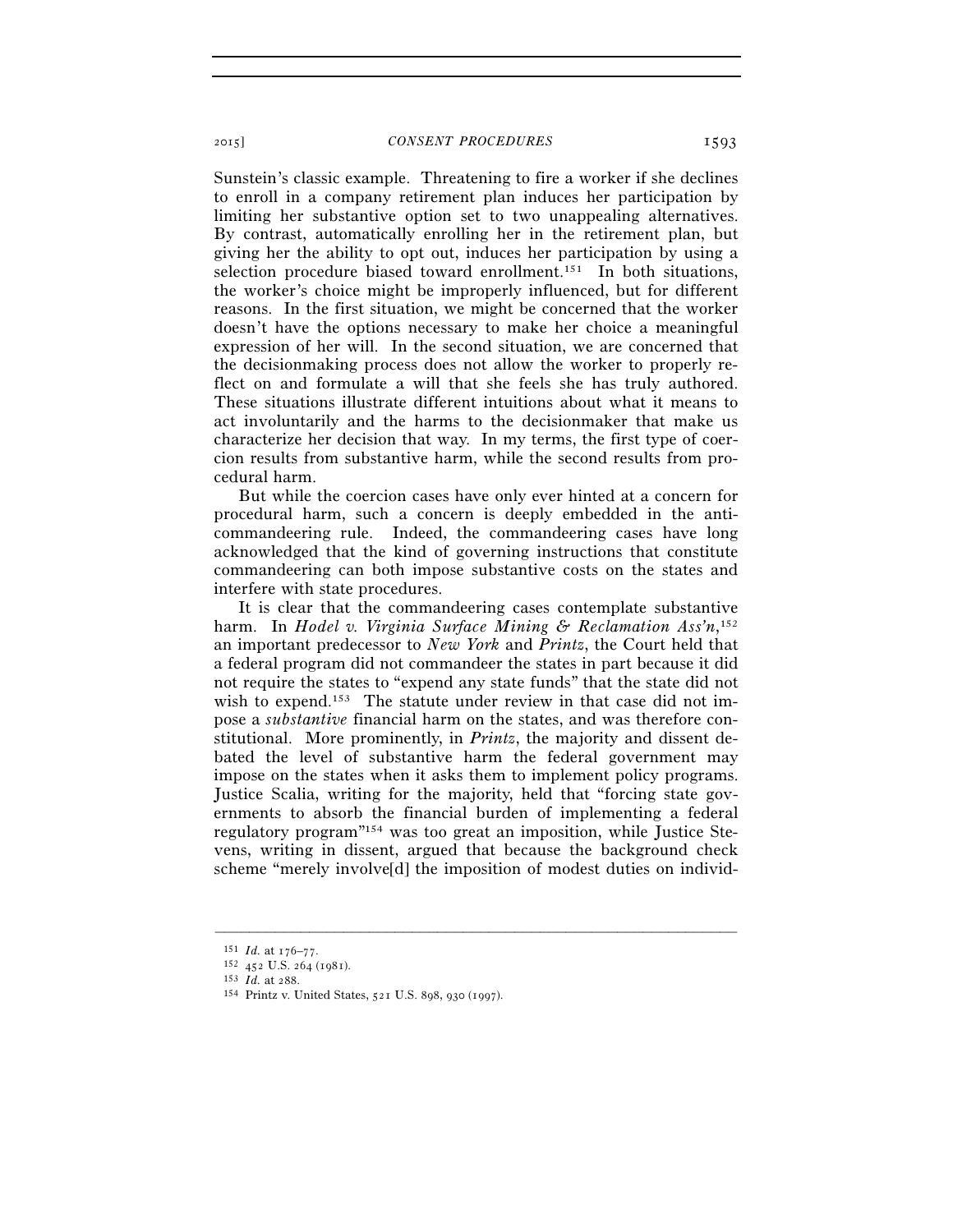Sunstein's classic example. Threatening to fire a worker if she declines to enroll in a company retirement plan induces her participation by limiting her substantive option set to two unappealing alternatives. By contrast, automatically enrolling her in the retirement plan, but giving her the ability to opt out, induces her participation by using a selection procedure biased toward enrollment.<sup>151</sup> In both situations, the worker's choice might be improperly influenced, but for different reasons. In the first situation, we might be concerned that the worker doesn't have the options necessary to make her choice a meaningful expression of her will. In the second situation, we are concerned that the decisionmaking process does not allow the worker to properly reflect on and formulate a will that she feels she has truly authored. These situations illustrate different intuitions about what it means to act involuntarily and the harms to the decisionmaker that make us characterize her decision that way. In my terms, the first type of coercion results from substantive harm, while the second results from procedural harm.

But while the coercion cases have only ever hinted at a concern for procedural harm, such a concern is deeply embedded in the anticommandeering rule. Indeed, the commandeering cases have long acknowledged that the kind of governing instructions that constitute commandeering can both impose substantive costs on the states and interfere with state procedures.

It is clear that the commandeering cases contemplate substantive harm. In *Hodel v. Virginia Surface Mining & Reclamation Ass'n*, 152 an important predecessor to *New York* and *Printz*, the Court held that a federal program did not commandeer the states in part because it did not require the states to "expend any state funds" that the state did not wish to expend.<sup>153</sup> The statute under review in that case did not impose a *substantive* financial harm on the states, and was therefore constitutional. More prominently, in *Printz*, the majority and dissent debated the level of substantive harm the federal government may impose on the states when it asks them to implement policy programs. Justice Scalia, writing for the majority, held that "forcing state governments to absorb the financial burden of implementing a federal regulatory program"154 was too great an imposition, while Justice Stevens, writing in dissent, argued that because the background check scheme "merely involve[d] the imposition of modest duties on individ-

<sup>151</sup> *Id.* at 176–77.<br>
<sup>152</sup> 452 U.S. 264 (1981).<br>
<sup>153</sup> *Id.* at 288.<br>
<sup>154</sup> Printz v. United States, 521 U.S. 898, 930 (1997).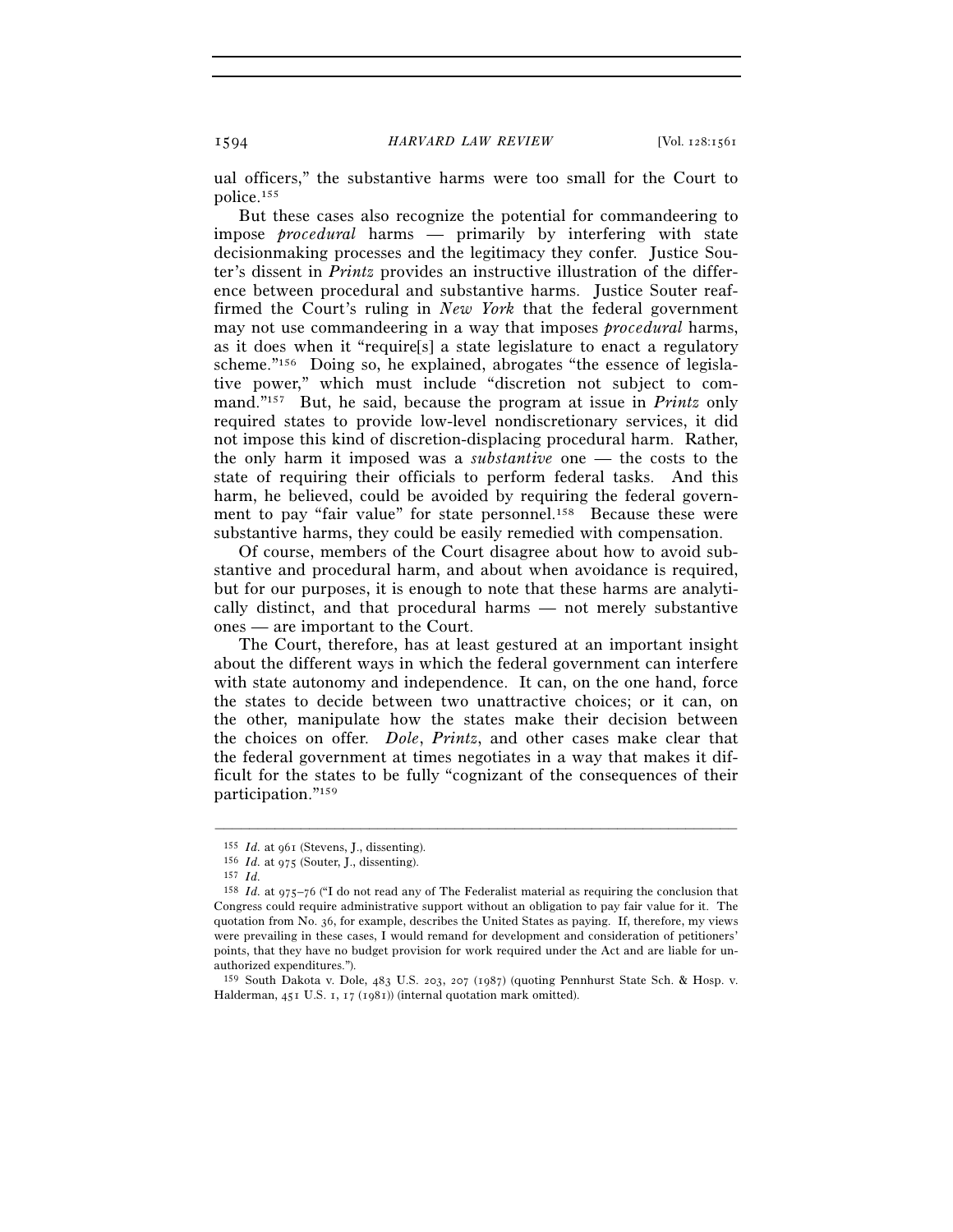ual officers," the substantive harms were too small for the Court to police.155

But these cases also recognize the potential for commandeering to impose *procedural* harms — primarily by interfering with state decisionmaking processes and the legitimacy they confer. Justice Souter's dissent in *Printz* provides an instructive illustration of the difference between procedural and substantive harms. Justice Souter reaffirmed the Court's ruling in *New York* that the federal government may not use commandeering in a way that imposes *procedural* harms, as it does when it "require[s] a state legislature to enact a regulatory scheme."156 Doing so, he explained, abrogates "the essence of legislative power," which must include "discretion not subject to command."157 But, he said, because the program at issue in *Printz* only required states to provide low-level nondiscretionary services, it did not impose this kind of discretion-displacing procedural harm. Rather, the only harm it imposed was a *substantive* one — the costs to the state of requiring their officials to perform federal tasks. And this harm, he believed, could be avoided by requiring the federal government to pay "fair value" for state personnel.<sup>158</sup> Because these were substantive harms, they could be easily remedied with compensation.

Of course, members of the Court disagree about how to avoid substantive and procedural harm, and about when avoidance is required, but for our purposes, it is enough to note that these harms are analytically distinct, and that procedural harms — not merely substantive ones — are important to the Court.

The Court, therefore, has at least gestured at an important insight about the different ways in which the federal government can interfere with state autonomy and independence. It can, on the one hand, force the states to decide between two unattractive choices; or it can, on the other, manipulate how the states make their decision between the choices on offer. *Dole*, *Printz*, and other cases make clear that the federal government at times negotiates in a way that makes it difficult for the states to be fully "cognizant of the consequences of their participation."159

<sup>155</sup> *Id.* at 961 (Stevens, J., dissenting). 156 *Id.* at 975 (Souter, J., dissenting). 157 *Id.*

<sup>158</sup> *Id.* at 975–76 ("I do not read any of The Federalist material as requiring the conclusion that Congress could require administrative support without an obligation to pay fair value for it. The quotation from No. 36, for example, describes the United States as paying. If, therefore, my views were prevailing in these cases, I would remand for development and consideration of petitioners' points, that they have no budget provision for work required under the Act and are liable for unauthorized expenditures.").

<sup>159</sup> South Dakota v. Dole, 483 U.S. 203, 207 (1987) (quoting Pennhurst State Sch. & Hosp. v. Halderman, 451 U.S. 1, 17 (1981)) (internal quotation mark omitted).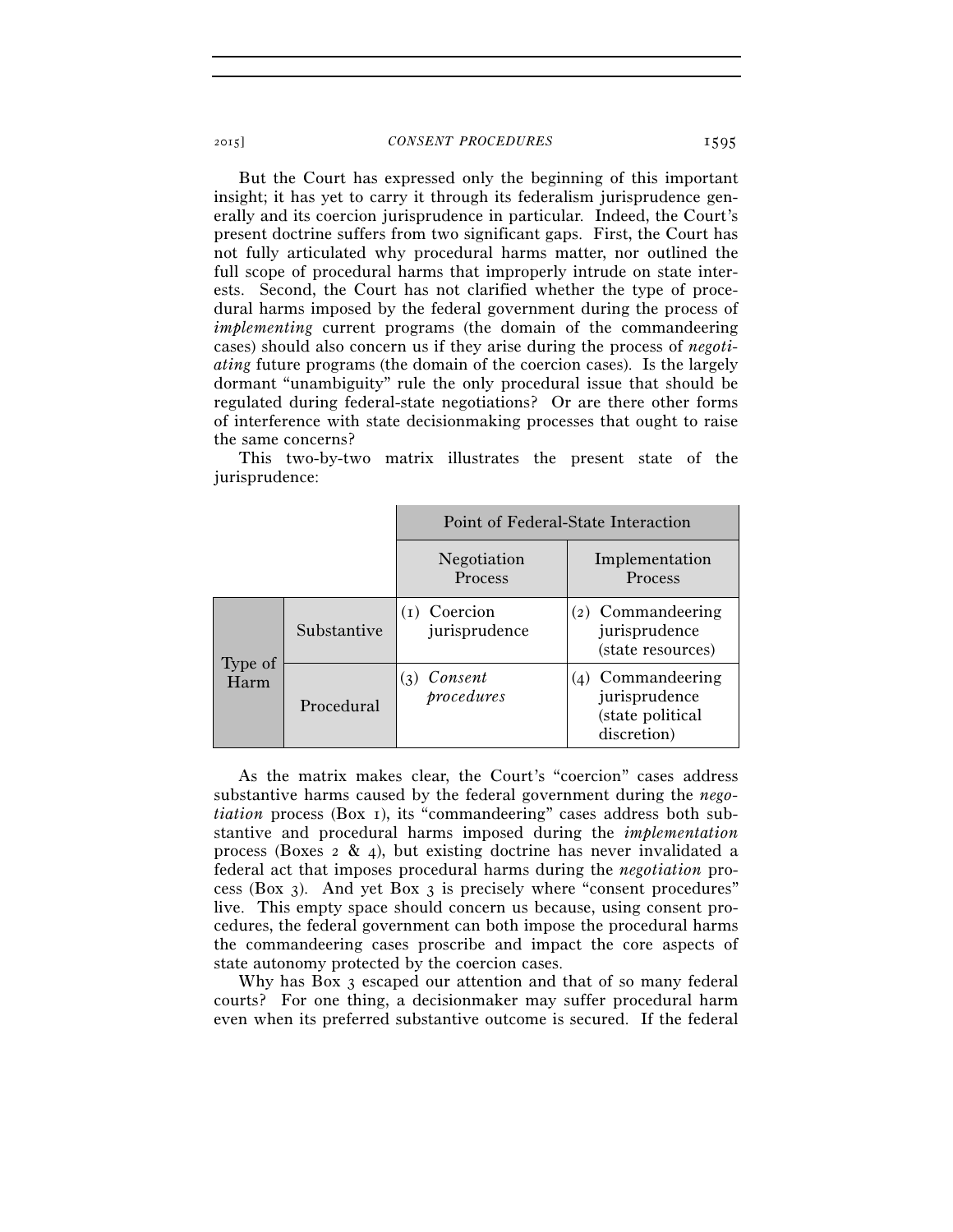But the Court has expressed only the beginning of this important insight; it has yet to carry it through its federalism jurisprudence generally and its coercion jurisprudence in particular. Indeed, the Court's present doctrine suffers from two significant gaps. First, the Court has not fully articulated why procedural harms matter, nor outlined the full scope of procedural harms that improperly intrude on state interests. Second, the Court has not clarified whether the type of procedural harms imposed by the federal government during the process of *implementing* current programs (the domain of the commandeering cases) should also concern us if they arise during the process of *negotiating* future programs (the domain of the coercion cases). Is the largely dormant "unambiguity" rule the only procedural issue that should be regulated during federal-state negotiations? Or are there other forms of interference with state decisionmaking processes that ought to raise the same concerns?

This two-by-two matrix illustrates the present state of the jurisprudence:

|                 |             | Point of Federal-State Interaction |                                                                       |  |
|-----------------|-------------|------------------------------------|-----------------------------------------------------------------------|--|
|                 |             | Negotiation<br>Process             | Implementation<br>Process                                             |  |
|                 | Substantive | Coercion<br>jurisprudence          | (2) Commandeering<br>jurisprudence<br>(state resources)               |  |
| Type of<br>Harm | Procedural  | Consent<br>(3)<br>procedures       | (4) Commandeering<br>jurisprudence<br>(state political<br>discretion) |  |

As the matrix makes clear, the Court's "coercion" cases address substantive harms caused by the federal government during the *negotiation* process (Box 1), its "commandeering" cases address both substantive and procedural harms imposed during the *implementation* process (Boxes  $2 \& 4$ ), but existing doctrine has never invalidated a federal act that imposes procedural harms during the *negotiation* process (Box 3). And yet Box 3 is precisely where "consent procedures" live. This empty space should concern us because, using consent procedures, the federal government can both impose the procedural harms the commandeering cases proscribe and impact the core aspects of state autonomy protected by the coercion cases.

Why has Box 3 escaped our attention and that of so many federal courts? For one thing, a decisionmaker may suffer procedural harm even when its preferred substantive outcome is secured. If the federal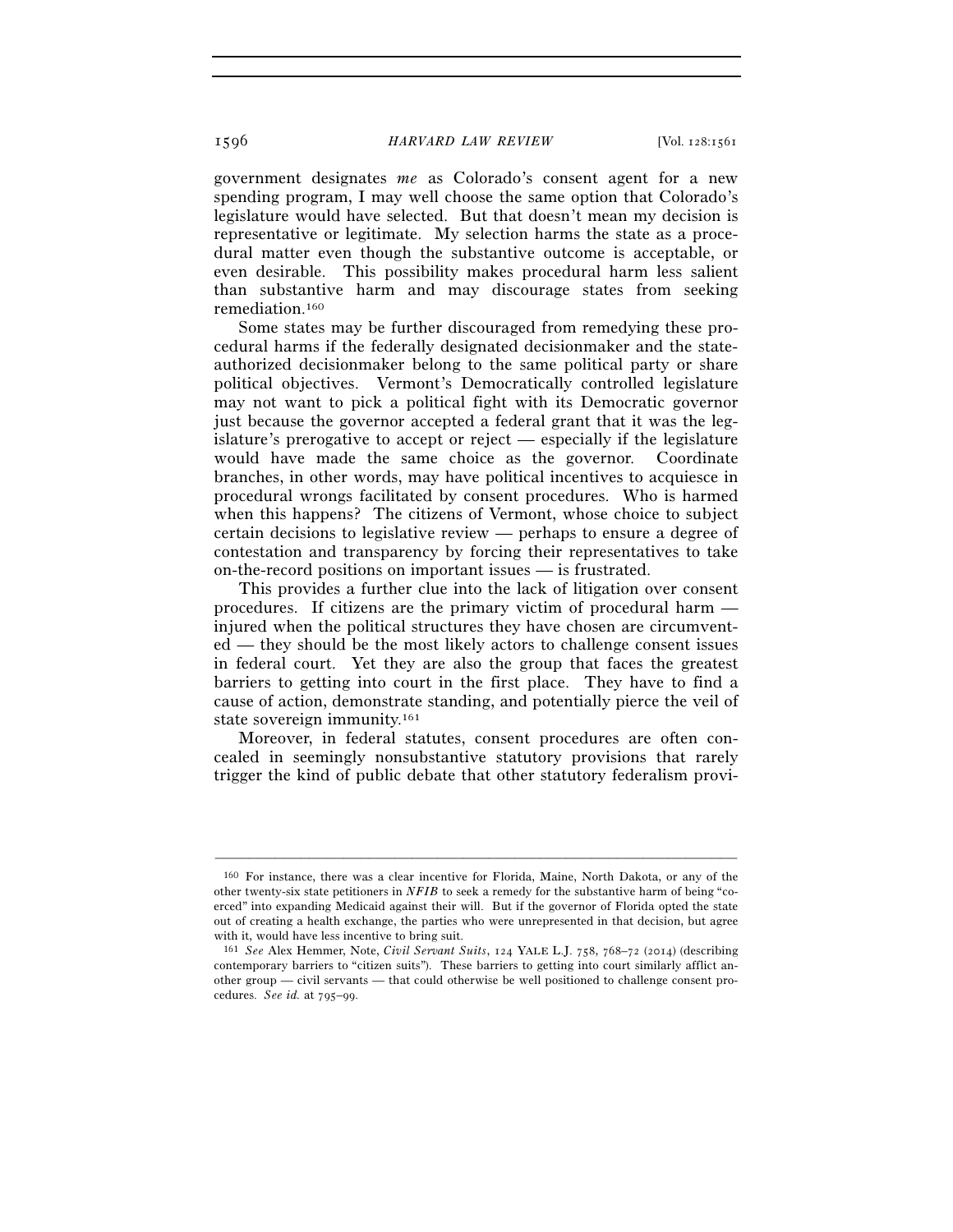government designates *me* as Colorado's consent agent for a new spending program, I may well choose the same option that Colorado's legislature would have selected. But that doesn't mean my decision is representative or legitimate. My selection harms the state as a procedural matter even though the substantive outcome is acceptable, or even desirable. This possibility makes procedural harm less salient than substantive harm and may discourage states from seeking remediation.160

Some states may be further discouraged from remedying these procedural harms if the federally designated decisionmaker and the stateauthorized decisionmaker belong to the same political party or share political objectives. Vermont's Democratically controlled legislature may not want to pick a political fight with its Democratic governor just because the governor accepted a federal grant that it was the legislature's prerogative to accept or reject — especially if the legislature would have made the same choice as the governor. Coordinate branches, in other words, may have political incentives to acquiesce in procedural wrongs facilitated by consent procedures. Who is harmed when this happens? The citizens of Vermont, whose choice to subject certain decisions to legislative review — perhaps to ensure a degree of contestation and transparency by forcing their representatives to take on-the-record positions on important issues — is frustrated.

This provides a further clue into the lack of litigation over consent procedures. If citizens are the primary victim of procedural harm injured when the political structures they have chosen are circumvented — they should be the most likely actors to challenge consent issues in federal court. Yet they are also the group that faces the greatest barriers to getting into court in the first place. They have to find a cause of action, demonstrate standing, and potentially pierce the veil of state sovereign immunity.161

Moreover, in federal statutes, consent procedures are often concealed in seemingly nonsubstantive statutory provisions that rarely trigger the kind of public debate that other statutory federalism provi-

<sup>160</sup> For instance, there was a clear incentive for Florida, Maine, North Dakota, or any of the other twenty-six state petitioners in *NFIB* to seek a remedy for the substantive harm of being "coerced" into expanding Medicaid against their will. But if the governor of Florida opted the state out of creating a health exchange, the parties who were unrepresented in that decision, but agree with it, would have less incentive to bring suit.

<sup>161</sup> *See* Alex Hemmer, Note, *Civil Servant Suits*, 124 YALE L.J. 758, 768–72 (2014) (describing contemporary barriers to "citizen suits"). These barriers to getting into court similarly afflict another group — civil servants — that could otherwise be well positioned to challenge consent procedures. *See id.* at 795–99.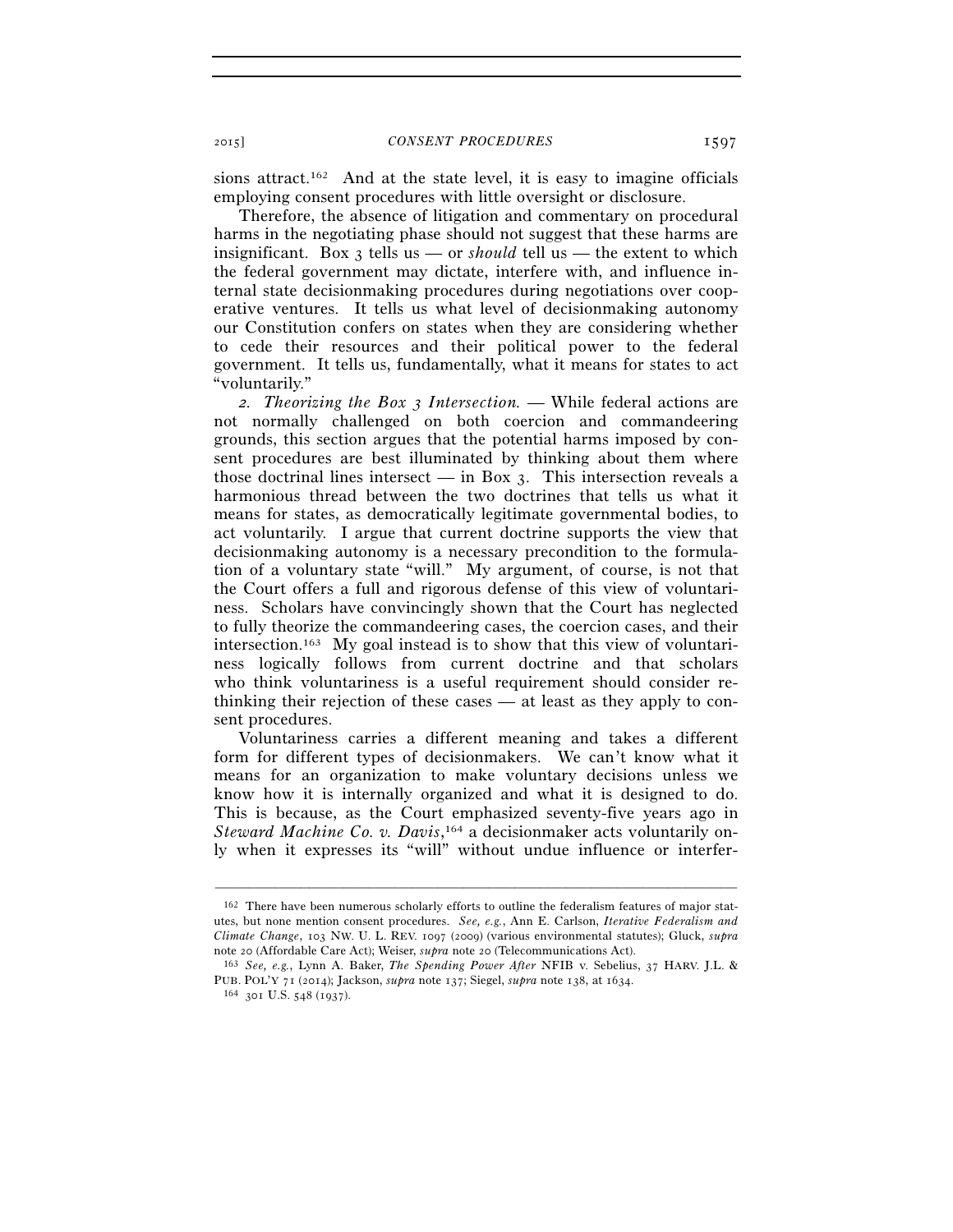sions attract.162 And at the state level, it is easy to imagine officials employing consent procedures with little oversight or disclosure.

Therefore, the absence of litigation and commentary on procedural harms in the negotiating phase should not suggest that these harms are insignificant. Box 3 tells us — or *should* tell us — the extent to which the federal government may dictate, interfere with, and influence internal state decisionmaking procedures during negotiations over cooperative ventures. It tells us what level of decisionmaking autonomy our Constitution confers on states when they are considering whether to cede their resources and their political power to the federal government. It tells us, fundamentally, what it means for states to act "voluntarily."

*2. Theorizing the Box 3 Intersection.* — While federal actions are not normally challenged on both coercion and commandeering grounds, this section argues that the potential harms imposed by consent procedures are best illuminated by thinking about them where those doctrinal lines intersect  $-$  in Box 3. This intersection reveals a harmonious thread between the two doctrines that tells us what it means for states, as democratically legitimate governmental bodies, to act voluntarily. I argue that current doctrine supports the view that decisionmaking autonomy is a necessary precondition to the formulation of a voluntary state "will." My argument, of course, is not that the Court offers a full and rigorous defense of this view of voluntariness. Scholars have convincingly shown that the Court has neglected to fully theorize the commandeering cases, the coercion cases, and their intersection.<sup>163</sup> My goal instead is to show that this view of voluntariness logically follows from current doctrine and that scholars who think voluntariness is a useful requirement should consider rethinking their rejection of these cases — at least as they apply to consent procedures.

Voluntariness carries a different meaning and takes a different form for different types of decisionmakers. We can't know what it means for an organization to make voluntary decisions unless we know how it is internally organized and what it is designed to do. This is because, as the Court emphasized seventy-five years ago in *Steward Machine Co. v. Davis*, 164 a decisionmaker acts voluntarily only when it expresses its "will" without undue influence or interfer-

<sup>162</sup> There have been numerous scholarly efforts to outline the federalism features of major statutes, but none mention consent procedures. *See, e.g.*, Ann E. Carlson, *Iterative Federalism and Climate Change*, 103 NW. U. L. REV. 1097 (2009) (various environmental statutes); Gluck, *supra* note 20 (Affordable Care Act); Weiser, *supra* note 20 (Telecommunications Act). 163 *See, e.g.*, Lynn A. Baker, *The Spending Power After* NFIB v. Sebelius, 37 HARV. J.L. &

PUB. POL'Y <sup>71</sup> (2014); Jackson, *supra* note 137; Siegel, *supra* note 138, at 1634. 164 <sup>301</sup> U.S. 548 (1937).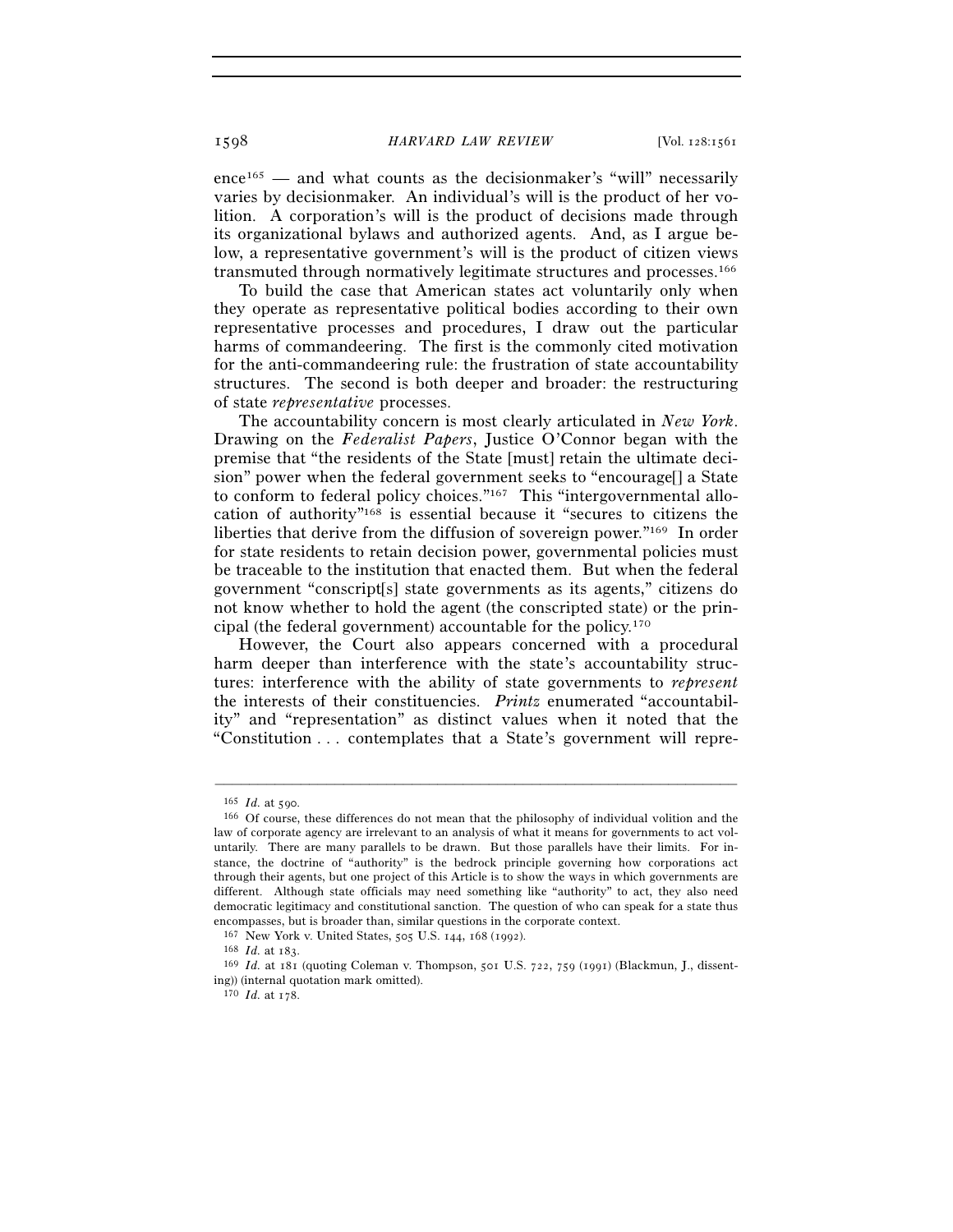ence<sup>165</sup> — and what counts as the decisionmaker's "will" necessarily varies by decisionmaker. An individual's will is the product of her volition. A corporation's will is the product of decisions made through its organizational bylaws and authorized agents. And, as I argue below, a representative government's will is the product of citizen views transmuted through normatively legitimate structures and processes.166

To build the case that American states act voluntarily only when they operate as representative political bodies according to their own representative processes and procedures, I draw out the particular harms of commandeering. The first is the commonly cited motivation for the anti-commandeering rule: the frustration of state accountability structures. The second is both deeper and broader: the restructuring of state *representative* processes.

The accountability concern is most clearly articulated in *New York*. Drawing on the *Federalist Papers*, Justice O'Connor began with the premise that "the residents of the State [must] retain the ultimate decision" power when the federal government seeks to "encourage[] a State to conform to federal policy choices."<sup>167</sup> This "intergovernmental allocation of authority"168 is essential because it "secures to citizens the liberties that derive from the diffusion of sovereign power."169 In order for state residents to retain decision power, governmental policies must be traceable to the institution that enacted them. But when the federal government "conscript[s] state governments as its agents," citizens do not know whether to hold the agent (the conscripted state) or the principal (the federal government) accountable for the policy.170

However, the Court also appears concerned with a procedural harm deeper than interference with the state's accountability structures: interference with the ability of state governments to *represent* the interests of their constituencies. *Printz* enumerated "accountability" and "representation" as distinct values when it noted that the "Constitution . . . contemplates that a State's government will repre-

<sup>165</sup> *Id.* at 590.<br><sup>166</sup> Of course, these differences do not mean that the philosophy of individual volition and the law of corporate agency are irrelevant to an analysis of what it means for governments to act voluntarily. There are many parallels to be drawn. But those parallels have their limits. For instance, the doctrine of "authority" is the bedrock principle governing how corporations act through their agents, but one project of this Article is to show the ways in which governments are different. Although state officials may need something like "authority" to act, they also need democratic legitimacy and constitutional sanction. The question of who can speak for a state thus encompasses, but is broader than, similar questions in the corporate context.

<sup>167</sup> New York v. United States, 505 U.S. 144, 168 (1992). 168 *Id.* at 183. 169 *Id.* at 181 (quoting Coleman v. Thompson, 501 U.S. 722, 759 (1991) (Blackmun, J., dissenting)) (internal quotation mark omitted).

<sup>170</sup> *Id.* at 178.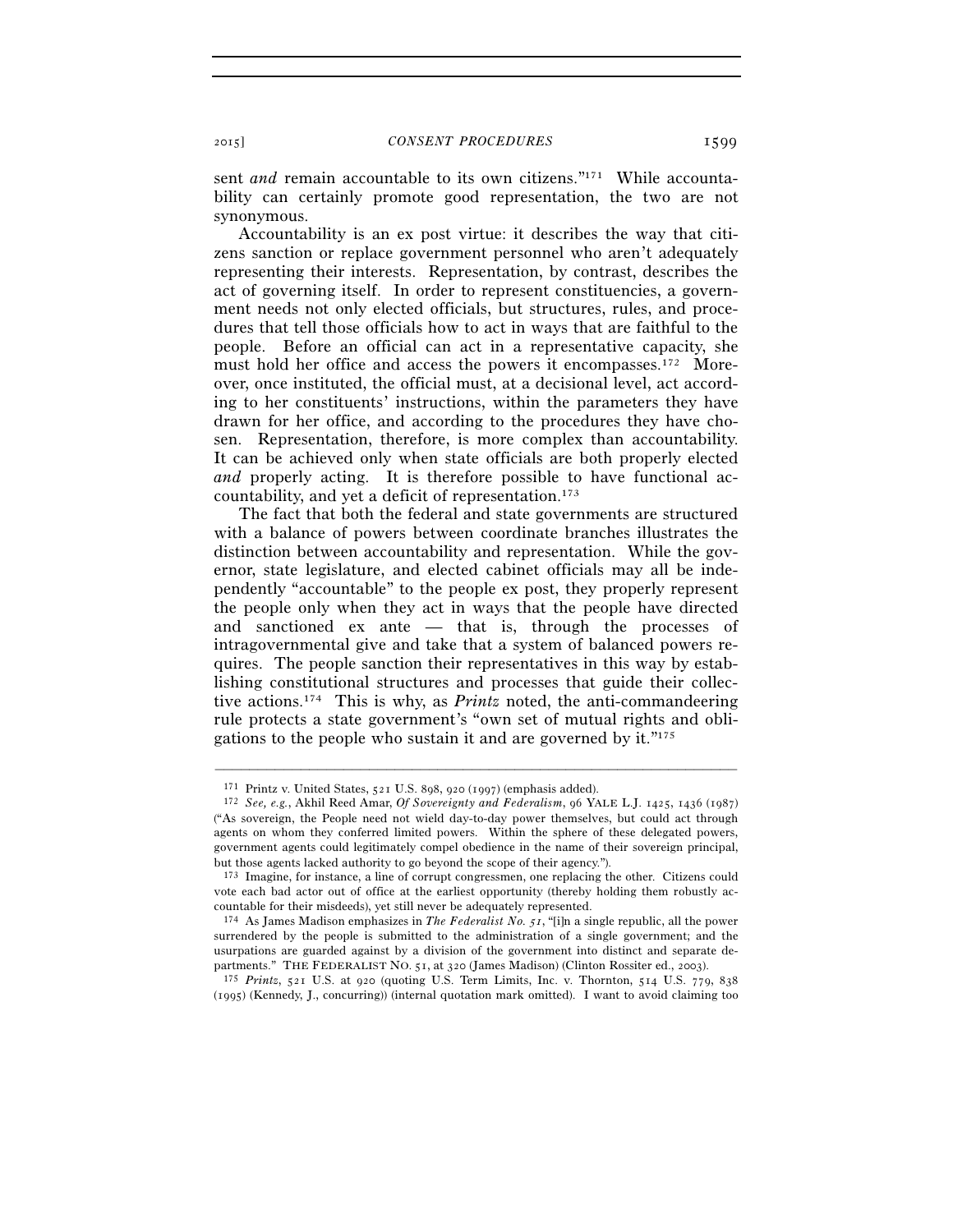sent *and* remain accountable to its own citizens."<sup>171</sup> While accountability can certainly promote good representation, the two are not synonymous.

Accountability is an ex post virtue: it describes the way that citizens sanction or replace government personnel who aren't adequately representing their interests. Representation, by contrast, describes the act of governing itself. In order to represent constituencies, a government needs not only elected officials, but structures, rules, and procedures that tell those officials how to act in ways that are faithful to the people. Before an official can act in a representative capacity, she must hold her office and access the powers it encompasses.172 Moreover, once instituted, the official must, at a decisional level, act according to her constituents' instructions, within the parameters they have drawn for her office, and according to the procedures they have chosen. Representation, therefore, is more complex than accountability. It can be achieved only when state officials are both properly elected *and* properly acting. It is therefore possible to have functional accountability, and yet a deficit of representation.173

The fact that both the federal and state governments are structured with a balance of powers between coordinate branches illustrates the distinction between accountability and representation. While the governor, state legislature, and elected cabinet officials may all be independently "accountable" to the people ex post, they properly represent the people only when they act in ways that the people have directed and sanctioned ex ante — that is, through the processes of intragovernmental give and take that a system of balanced powers requires. The people sanction their representatives in this way by establishing constitutional structures and processes that guide their collective actions.174 This is why, as *Printz* noted, the anti-commandeering rule protects a state government's "own set of mutual rights and obligations to the people who sustain it and are governed by it."175

<sup>171</sup> Printz v. United States, 521 U.S. 898, 920 (1997) (emphasis added). 172 *See, e.g.*, Akhil Reed Amar, *Of Sovereignty and Federalism*, 96 YALE L.J. 1425, 1436 (1987) ("As sovereign, the People need not wield day-to-day power themselves, but could act through agents on whom they conferred limited powers. Within the sphere of these delegated powers, government agents could legitimately compel obedience in the name of their sovereign principal, but those agents lacked authority to go beyond the scope of their agency.").

<sup>173</sup> Imagine, for instance, a line of corrupt congressmen, one replacing the other. Citizens could vote each bad actor out of office at the earliest opportunity (thereby holding them robustly accountable for their misdeeds), yet still never be adequately represented.

<sup>174</sup> As James Madison emphasizes in *The Federalist No. 51*, "[i]n a single republic, all the power surrendered by the people is submitted to the administration of a single government; and the usurpations are guarded against by a division of the government into distinct and separate departments." THE FEDERALIST NO.  $51$ , at  $320$  (James Madison) (Clinton Rossiter ed.,  $2003$ ).

<sup>175</sup> *Printz*, 521 U.S. at 920 (quoting U.S. Term Limits, Inc. v. Thornton, 514 U.S. 779, 838 (1995) (Kennedy, J., concurring)) (internal quotation mark omitted). I want to avoid claiming too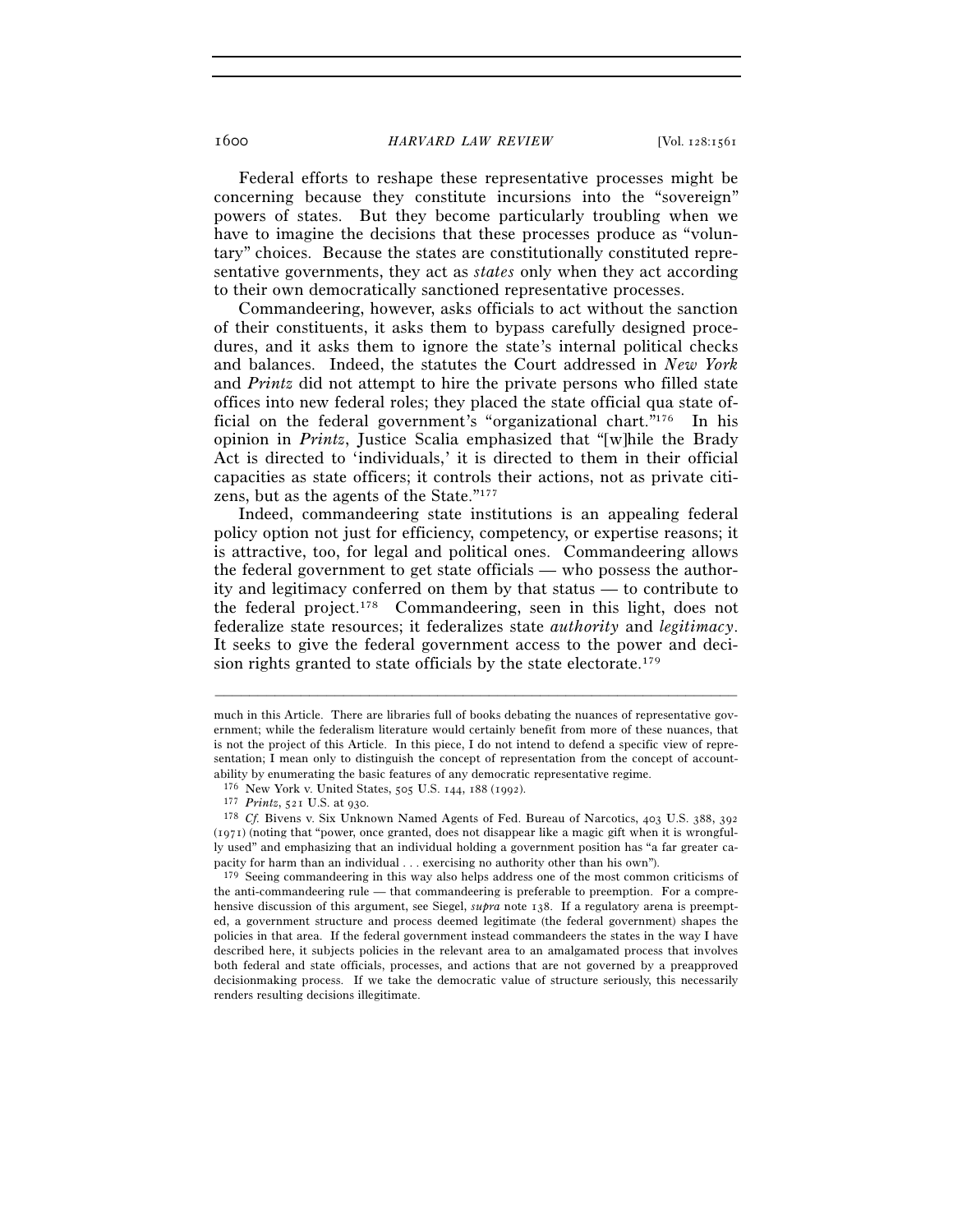Federal efforts to reshape these representative processes might be concerning because they constitute incursions into the "sovereign" powers of states. But they become particularly troubling when we have to imagine the decisions that these processes produce as "voluntary" choices. Because the states are constitutionally constituted representative governments, they act as *states* only when they act according to their own democratically sanctioned representative processes.

Commandeering, however, asks officials to act without the sanction of their constituents, it asks them to bypass carefully designed procedures, and it asks them to ignore the state's internal political checks and balances. Indeed, the statutes the Court addressed in *New York* and *Printz* did not attempt to hire the private persons who filled state offices into new federal roles; they placed the state official qua state official on the federal government's "organizational chart."176 In his opinion in *Printz*, Justice Scalia emphasized that "[w]hile the Brady Act is directed to 'individuals,' it is directed to them in their official capacities as state officers; it controls their actions, not as private citizens, but as the agents of the State."177

Indeed, commandeering state institutions is an appealing federal policy option not just for efficiency, competency, or expertise reasons; it is attractive, too, for legal and political ones. Commandeering allows the federal government to get state officials — who possess the authority and legitimacy conferred on them by that status — to contribute to the federal project.178 Commandeering, seen in this light, does not federalize state resources; it federalizes state *authority* and *legitimacy*. It seeks to give the federal government access to the power and decision rights granted to state officials by the state electorate.179

–––––––––––––––––––––––––––––––––––––––––––––––––––––––––––––

179 Seeing commandeering in this way also helps address one of the most common criticisms of the anti-commandeering rule — that commandeering is preferable to preemption. For a comprehensive discussion of this argument, see Siegel, *supra* note 138. If a regulatory arena is preempted, a government structure and process deemed legitimate (the federal government) shapes the policies in that area. If the federal government instead commandeers the states in the way I have described here, it subjects policies in the relevant area to an amalgamated process that involves both federal and state officials, processes, and actions that are not governed by a preapproved decisionmaking process. If we take the democratic value of structure seriously, this necessarily renders resulting decisions illegitimate.

much in this Article. There are libraries full of books debating the nuances of representative government; while the federalism literature would certainly benefit from more of these nuances, that is not the project of this Article. In this piece, I do not intend to defend a specific view of representation; I mean only to distinguish the concept of representation from the concept of accountability by enumerating the basic features of any democratic representative regime.

<sup>176</sup> New York v. United States, 505 U.S. 144, 188 (1992). 177 *Printz*, 521 U.S. at 930. 178 *Cf.* Bivens v. Six Unknown Named Agents of Fed. Bureau of Narcotics, 403 U.S. 388, <sup>392</sup> (1971) (noting that "power, once granted, does not disappear like a magic gift when it is wrongfully used" and emphasizing that an individual holding a government position has "a far greater capacity for harm than an individual . . . exercising no authority other than his own").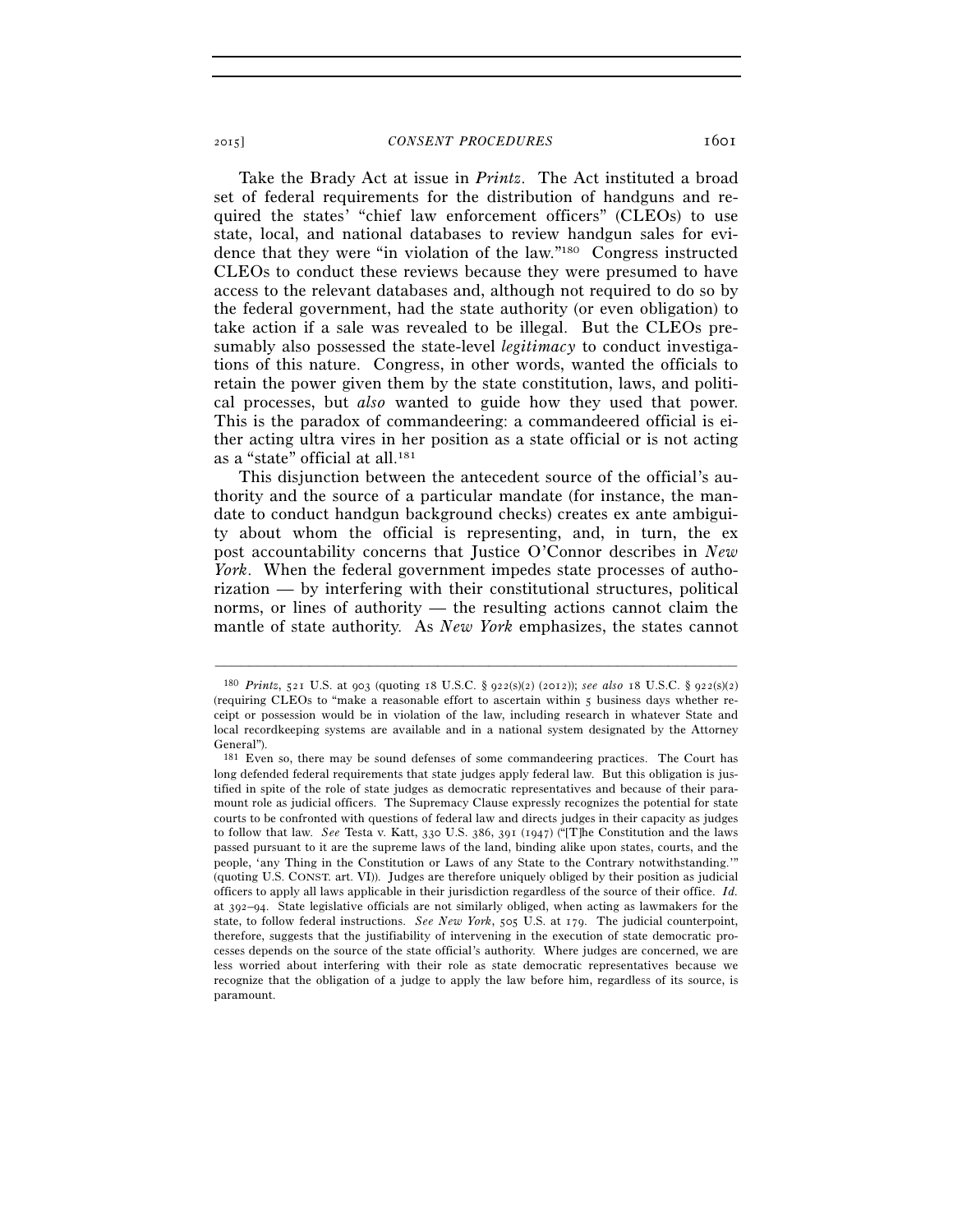Take the Brady Act at issue in *Printz*. The Act instituted a broad set of federal requirements for the distribution of handguns and required the states' "chief law enforcement officers" (CLEOs) to use state, local, and national databases to review handgun sales for evidence that they were "in violation of the law."180 Congress instructed CLEOs to conduct these reviews because they were presumed to have access to the relevant databases and, although not required to do so by the federal government, had the state authority (or even obligation) to take action if a sale was revealed to be illegal. But the CLEOs presumably also possessed the state-level *legitimacy* to conduct investigations of this nature. Congress, in other words, wanted the officials to retain the power given them by the state constitution, laws, and political processes, but *also* wanted to guide how they used that power. This is the paradox of commandeering: a commandeered official is either acting ultra vires in her position as a state official or is not acting as a "state" official at all.181

This disjunction between the antecedent source of the official's authority and the source of a particular mandate (for instance, the mandate to conduct handgun background checks) creates ex ante ambiguity about whom the official is representing, and, in turn, the ex post accountability concerns that Justice O'Connor describes in *New York*. When the federal government impedes state processes of authorization — by interfering with their constitutional structures, political norms, or lines of authority — the resulting actions cannot claim the mantle of state authority. As *New York* emphasizes, the states cannot

<sup>180</sup> *Printz*, 521 U.S. at 903 (quoting 18 U.S.C. § 922(s)(2) (2012)); *see also* 18 U.S.C. § 922(s)(2) (requiring CLEOs to "make a reasonable effort to ascertain within 5 business days whether receipt or possession would be in violation of the law, including research in whatever State and local recordkeeping systems are available and in a national system designated by the Attorney General").

<sup>181</sup> Even so, there may be sound defenses of some commandeering practices. The Court has long defended federal requirements that state judges apply federal law. But this obligation is justified in spite of the role of state judges as democratic representatives and because of their paramount role as judicial officers. The Supremacy Clause expressly recognizes the potential for state courts to be confronted with questions of federal law and directs judges in their capacity as judges to follow that law. *See* Testa v. Katt, 330 U.S. 386, 391 (1947) ("[T]he Constitution and the laws passed pursuant to it are the supreme laws of the land, binding alike upon states, courts, and the people, 'any Thing in the Constitution or Laws of any State to the Contrary notwithstanding.'" (quoting U.S. CONST. art. VI)). Judges are therefore uniquely obliged by their position as judicial officers to apply all laws applicable in their jurisdiction regardless of the source of their office. *Id.* at 392–94. State legislative officials are not similarly obliged, when acting as lawmakers for the state, to follow federal instructions. *See New York*, 505 U.S. at 179. The judicial counterpoint, therefore, suggests that the justifiability of intervening in the execution of state democratic processes depends on the source of the state official's authority. Where judges are concerned, we are less worried about interfering with their role as state democratic representatives because we recognize that the obligation of a judge to apply the law before him, regardless of its source, is paramount.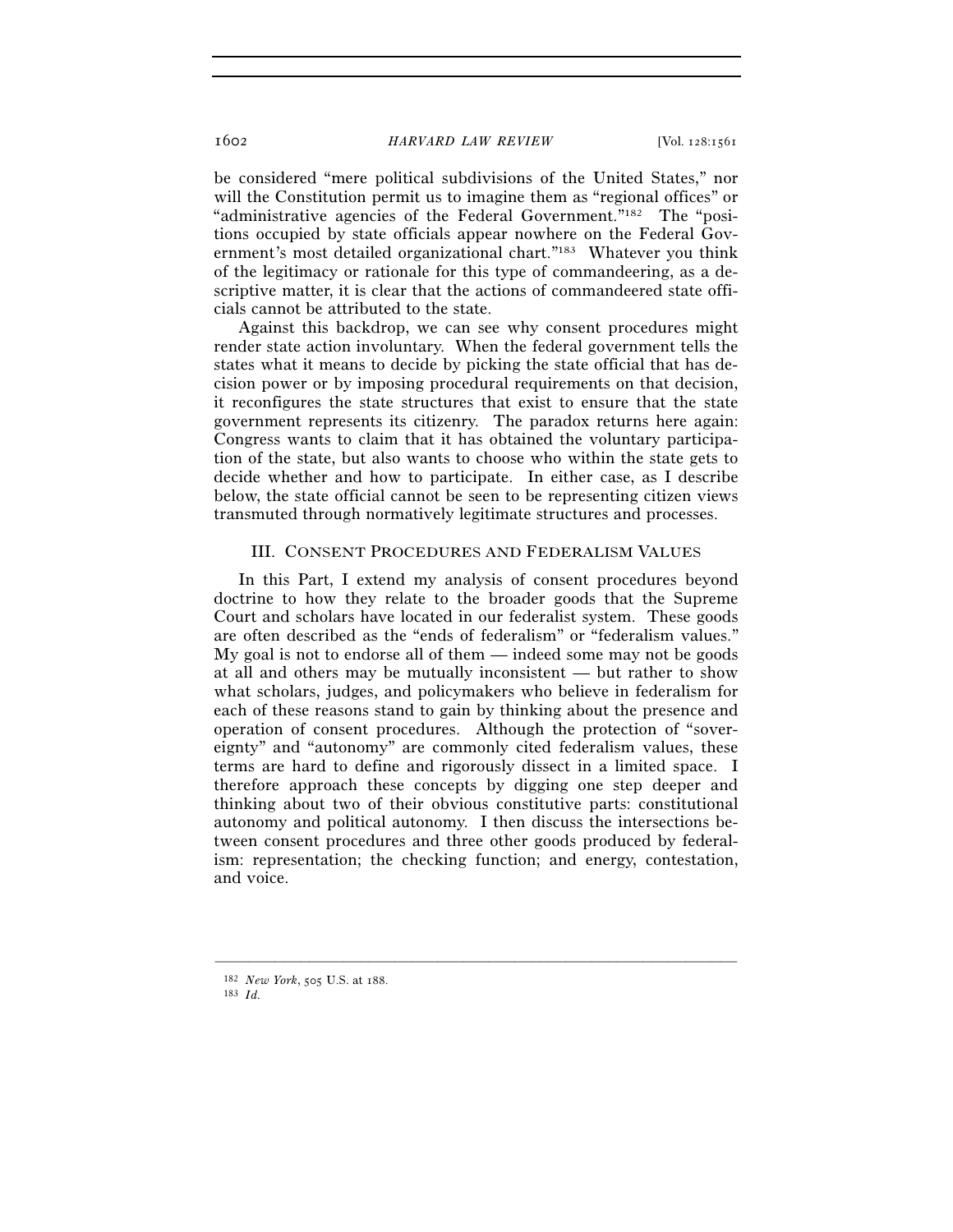be considered "mere political subdivisions of the United States," nor will the Constitution permit us to imagine them as "regional offices" or "administrative agencies of the Federal Government."182 The "positions occupied by state officials appear nowhere on the Federal Government's most detailed organizational chart."183 Whatever you think of the legitimacy or rationale for this type of commandeering, as a descriptive matter, it is clear that the actions of commandeered state officials cannot be attributed to the state.

Against this backdrop, we can see why consent procedures might render state action involuntary. When the federal government tells the states what it means to decide by picking the state official that has decision power or by imposing procedural requirements on that decision, it reconfigures the state structures that exist to ensure that the state government represents its citizenry. The paradox returns here again: Congress wants to claim that it has obtained the voluntary participation of the state, but also wants to choose who within the state gets to decide whether and how to participate. In either case, as I describe below, the state official cannot be seen to be representing citizen views transmuted through normatively legitimate structures and processes.

#### III. CONSENT PROCEDURES AND FEDERALISM VALUES

In this Part, I extend my analysis of consent procedures beyond doctrine to how they relate to the broader goods that the Supreme Court and scholars have located in our federalist system. These goods are often described as the "ends of federalism" or "federalism values." My goal is not to endorse all of them — indeed some may not be goods at all and others may be mutually inconsistent — but rather to show what scholars, judges, and policymakers who believe in federalism for each of these reasons stand to gain by thinking about the presence and operation of consent procedures. Although the protection of "sovereignty" and "autonomy" are commonly cited federalism values, these terms are hard to define and rigorously dissect in a limited space. I therefore approach these concepts by digging one step deeper and thinking about two of their obvious constitutive parts: constitutional autonomy and political autonomy. I then discuss the intersections between consent procedures and three other goods produced by federalism: representation; the checking function; and energy, contestation, and voice.

<sup>182</sup> *New York*, 505 U.S. at 188. 183 *Id.*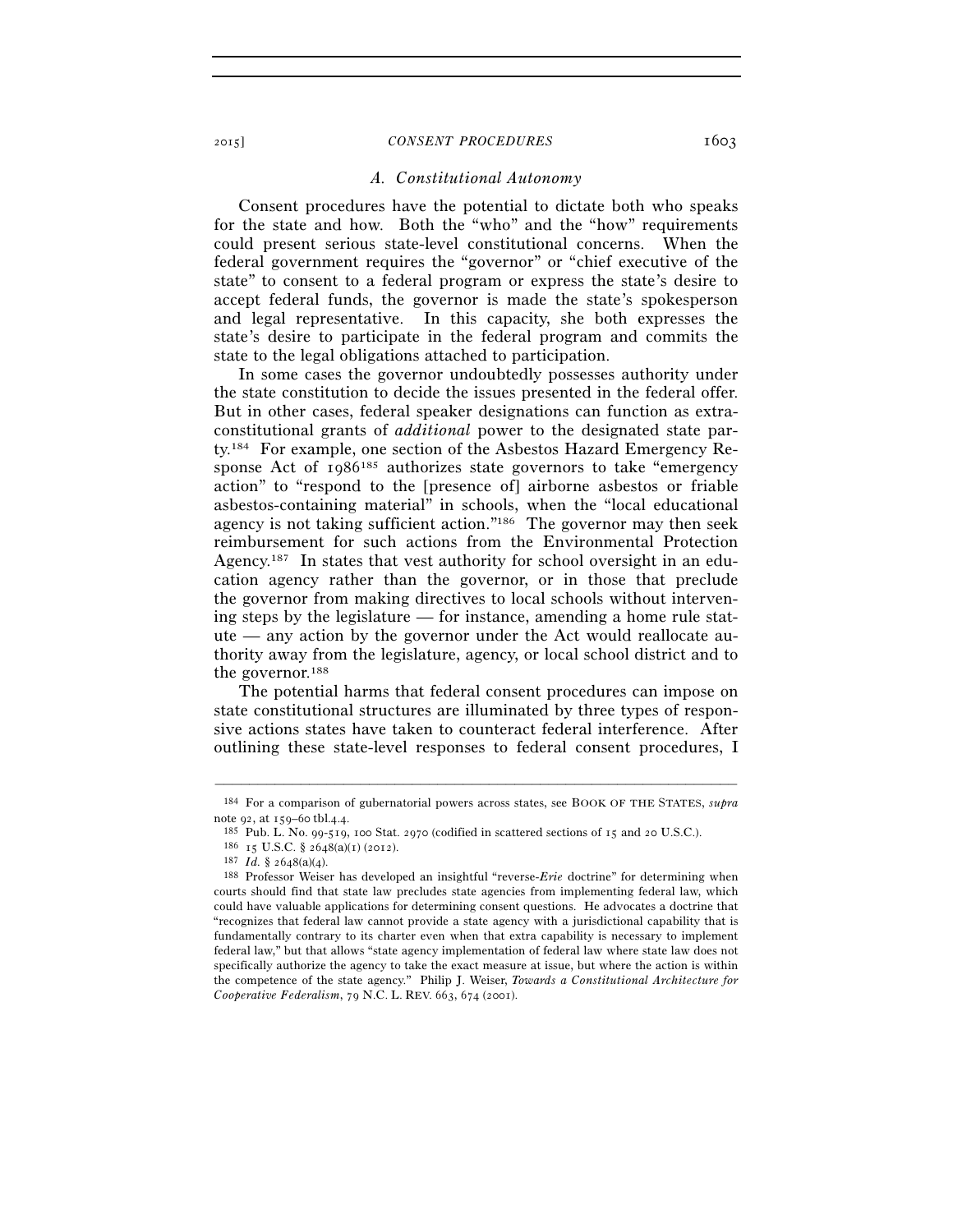## *A. Constitutional Autonomy*

Consent procedures have the potential to dictate both who speaks for the state and how. Both the "who" and the "how" requirements could present serious state-level constitutional concerns. When the federal government requires the "governor" or "chief executive of the state" to consent to a federal program or express the state's desire to accept federal funds, the governor is made the state's spokesperson and legal representative. In this capacity, she both expresses the state's desire to participate in the federal program and commits the state to the legal obligations attached to participation.

In some cases the governor undoubtedly possesses authority under the state constitution to decide the issues presented in the federal offer. But in other cases, federal speaker designations can function as extraconstitutional grants of *additional* power to the designated state party.184 For example, one section of the Asbestos Hazard Emergency Response Act of 1986<sup>185</sup> authorizes state governors to take "emergency" action" to "respond to the [presence of] airborne asbestos or friable asbestos-containing material" in schools, when the "local educational agency is not taking sufficient action."186 The governor may then seek reimbursement for such actions from the Environmental Protection Agency.187 In states that vest authority for school oversight in an education agency rather than the governor, or in those that preclude the governor from making directives to local schools without intervening steps by the legislature — for instance, amending a home rule statute — any action by the governor under the Act would reallocate authority away from the legislature, agency, or local school district and to the governor.188

The potential harms that federal consent procedures can impose on state constitutional structures are illuminated by three types of responsive actions states have taken to counteract federal interference. After outlining these state-level responses to federal consent procedures, I

<sup>–––––––––––––––––––––––––––––––––––––––––––––––––––––––––––––</sup> 184 For a comparison of gubernatorial powers across states, see BOOK OF THE STATES, *supra* note 92, at 159–60 tbl.4.4.<br>
<sup>185</sup> Pub. L. No. 99-519, 100 Stat. 2970 (codified in scattered sections of 15 and 20 U.S.C.).<br>
<sup>186</sup> 15 U.S.C. § 2648(a)(1) (2012).<br>
<sup>187</sup> *Id*. § 2648(a)(4).<br>
<sup>187</sup> *Id.* § 2648(a)(4).<br>
<sup>187</sup>

courts should find that state law precludes state agencies from implementing federal law, which could have valuable applications for determining consent questions. He advocates a doctrine that "recognizes that federal law cannot provide a state agency with a jurisdictional capability that is fundamentally contrary to its charter even when that extra capability is necessary to implement federal law," but that allows "state agency implementation of federal law where state law does not specifically authorize the agency to take the exact measure at issue, but where the action is within the competence of the state agency." Philip J. Weiser, *Towards a Constitutional Architecture for Cooperative Federalism*, 79 N.C. L. REV. 663, 674 (2001).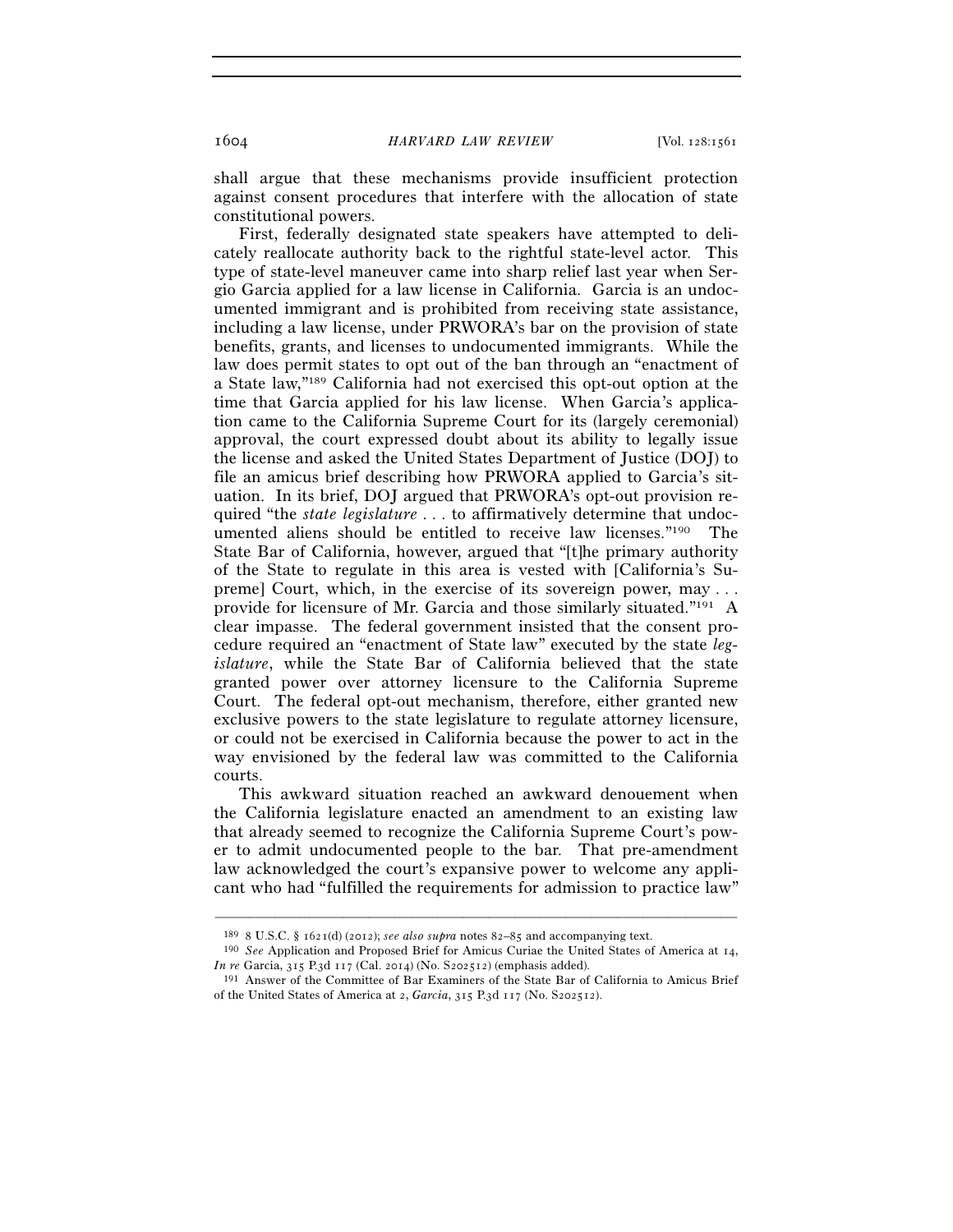shall argue that these mechanisms provide insufficient protection against consent procedures that interfere with the allocation of state constitutional powers.

First, federally designated state speakers have attempted to delicately reallocate authority back to the rightful state-level actor. This type of state-level maneuver came into sharp relief last year when Sergio Garcia applied for a law license in California. Garcia is an undocumented immigrant and is prohibited from receiving state assistance, including a law license, under PRWORA's bar on the provision of state benefits, grants, and licenses to undocumented immigrants. While the law does permit states to opt out of the ban through an "enactment of a State law,"189 California had not exercised this opt-out option at the time that Garcia applied for his law license. When Garcia's application came to the California Supreme Court for its (largely ceremonial) approval, the court expressed doubt about its ability to legally issue the license and asked the United States Department of Justice (DOJ) to file an amicus brief describing how PRWORA applied to Garcia's situation. In its brief, DOJ argued that PRWORA's opt-out provision required "the *state legislature* . . . to affirmatively determine that undocumented aliens should be entitled to receive law licenses."190 The State Bar of California, however, argued that "[t]he primary authority of the State to regulate in this area is vested with [California's Supreme] Court, which, in the exercise of its sovereign power, may . . . provide for licensure of Mr. Garcia and those similarly situated."191 A clear impasse. The federal government insisted that the consent procedure required an "enactment of State law" executed by the state *legislature*, while the State Bar of California believed that the state granted power over attorney licensure to the California Supreme Court. The federal opt-out mechanism, therefore, either granted new exclusive powers to the state legislature to regulate attorney licensure, or could not be exercised in California because the power to act in the way envisioned by the federal law was committed to the California courts.

This awkward situation reached an awkward denouement when the California legislature enacted an amendment to an existing law that already seemed to recognize the California Supreme Court's power to admit undocumented people to the bar. That pre-amendment law acknowledged the court's expansive power to welcome any applicant who had "fulfilled the requirements for admission to practice law"

<sup>189</sup> <sup>8</sup> U.S.C. § 1621(d) (2012); *see also supra* notes 82–85 and accompanying text. 190 *See* Application and Proposed Brief for Amicus Curiae the United States of America at 14,

<sup>&</sup>lt;sup>191</sup> Answer of the Committee of Bar Examiners of the State Bar of California to Amicus Brief of the United States of America at 2, *Garcia*, 315 P.3d 117 (No. S202512).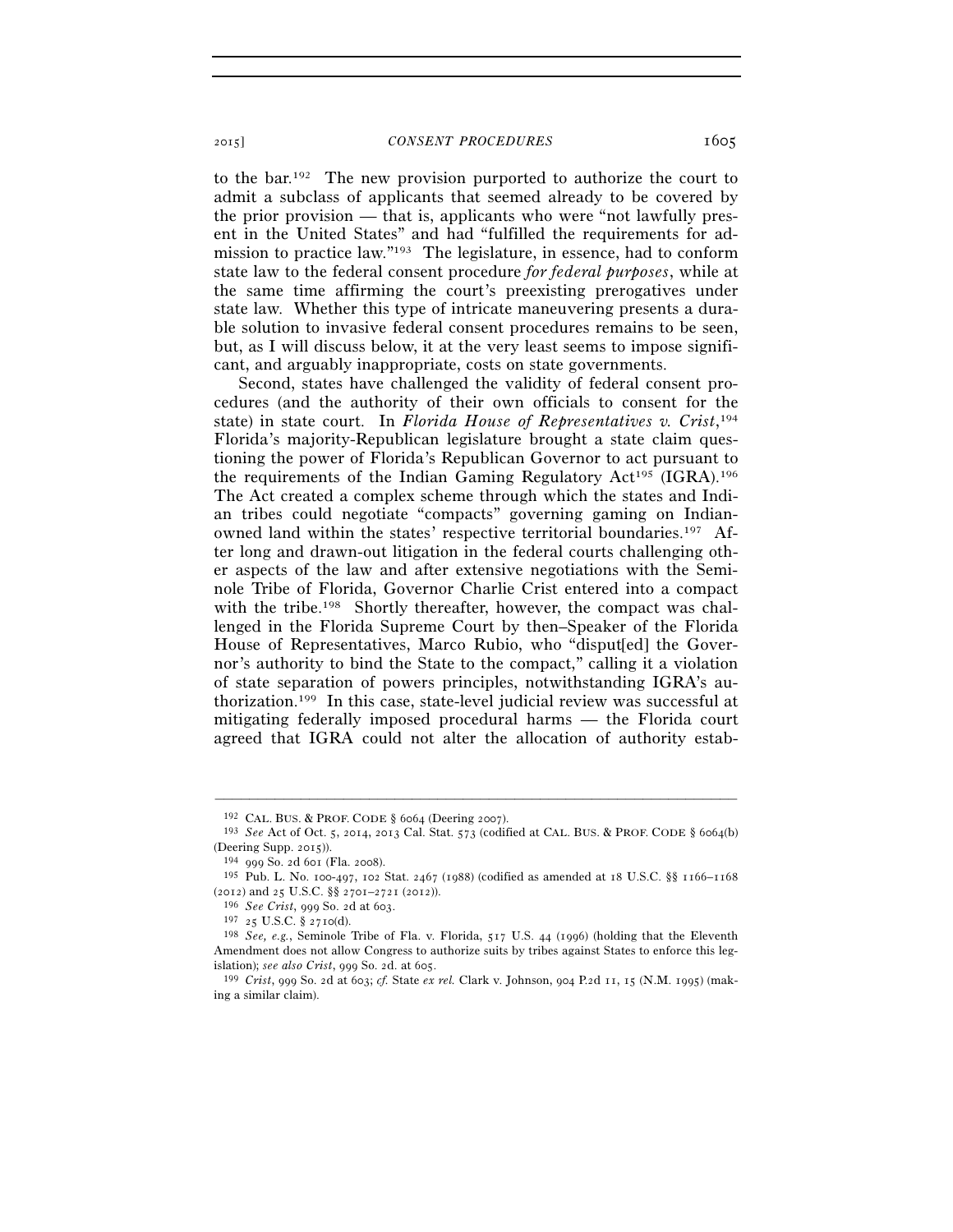to the bar.192 The new provision purported to authorize the court to admit a subclass of applicants that seemed already to be covered by the prior provision — that is, applicants who were "not lawfully present in the United States" and had "fulfilled the requirements for admission to practice law."193 The legislature, in essence, had to conform state law to the federal consent procedure *for federal purposes*, while at the same time affirming the court's preexisting prerogatives under state law. Whether this type of intricate maneuvering presents a durable solution to invasive federal consent procedures remains to be seen, but, as I will discuss below, it at the very least seems to impose significant, and arguably inappropriate, costs on state governments.

Second, states have challenged the validity of federal consent procedures (and the authority of their own officials to consent for the state) in state court. In *Florida House of Representatives v. Crist*, 194 Florida's majority-Republican legislature brought a state claim questioning the power of Florida's Republican Governor to act pursuant to the requirements of the Indian Gaming Regulatory Act<sup>195</sup> (IGRA).<sup>196</sup> The Act created a complex scheme through which the states and Indian tribes could negotiate "compacts" governing gaming on Indianowned land within the states' respective territorial boundaries.197 After long and drawn-out litigation in the federal courts challenging other aspects of the law and after extensive negotiations with the Seminole Tribe of Florida, Governor Charlie Crist entered into a compact with the tribe.<sup>198</sup> Shortly thereafter, however, the compact was challenged in the Florida Supreme Court by then–Speaker of the Florida House of Representatives, Marco Rubio, who "disput[ed] the Governor's authority to bind the State to the compact," calling it a violation of state separation of powers principles, notwithstanding IGRA's authorization.199 In this case, state-level judicial review was successful at mitigating federally imposed procedural harms — the Florida court agreed that IGRA could not alter the allocation of authority estab-

<sup>192</sup> CAL. BUS. & PROF. CODE § 6064 (Deering 2007). 193 *See* Act of Oct. 5, 2014, 2013 Cal. Stat. 573 (codified at CAL. BUS. & PROF. CODE § 6064(b) (Deering Supp. 2015)). 194 <sup>999</sup> So. 2d 601 (Fla. 2008).

<sup>&</sup>lt;sup>195</sup> Pub. L. No. 100-497, 102 Stat. 2467 (1988) (codified as amended at 18 U.S.C. §§ 1166–1168 (2012) and 25 U.S.C. §§ 2701–2721 (2012)).

<sup>&</sup>lt;sup>196</sup> *See Crist*, 999 So. 2d at 603.<br><sup>197</sup> <sup>25</sup> U.S.C. § 2710(d). <sup>198</sup> *See, e.g.*, Seminole Tribe of Fla. v. Florida, 517 U.S. 44 (1996) (holding that the Eleventh Amendment does not allow Congress to authorize suits by tribes against States to enforce this legislation); *see also Crist*, 999 So. 2d. at 605. 199 *Crist*, 999 So. 2d at 603; *cf.* State *ex rel.* Clark v. Johnson, 904 P.2d 11, 15 (N.M. 1995) (mak-

ing a similar claim).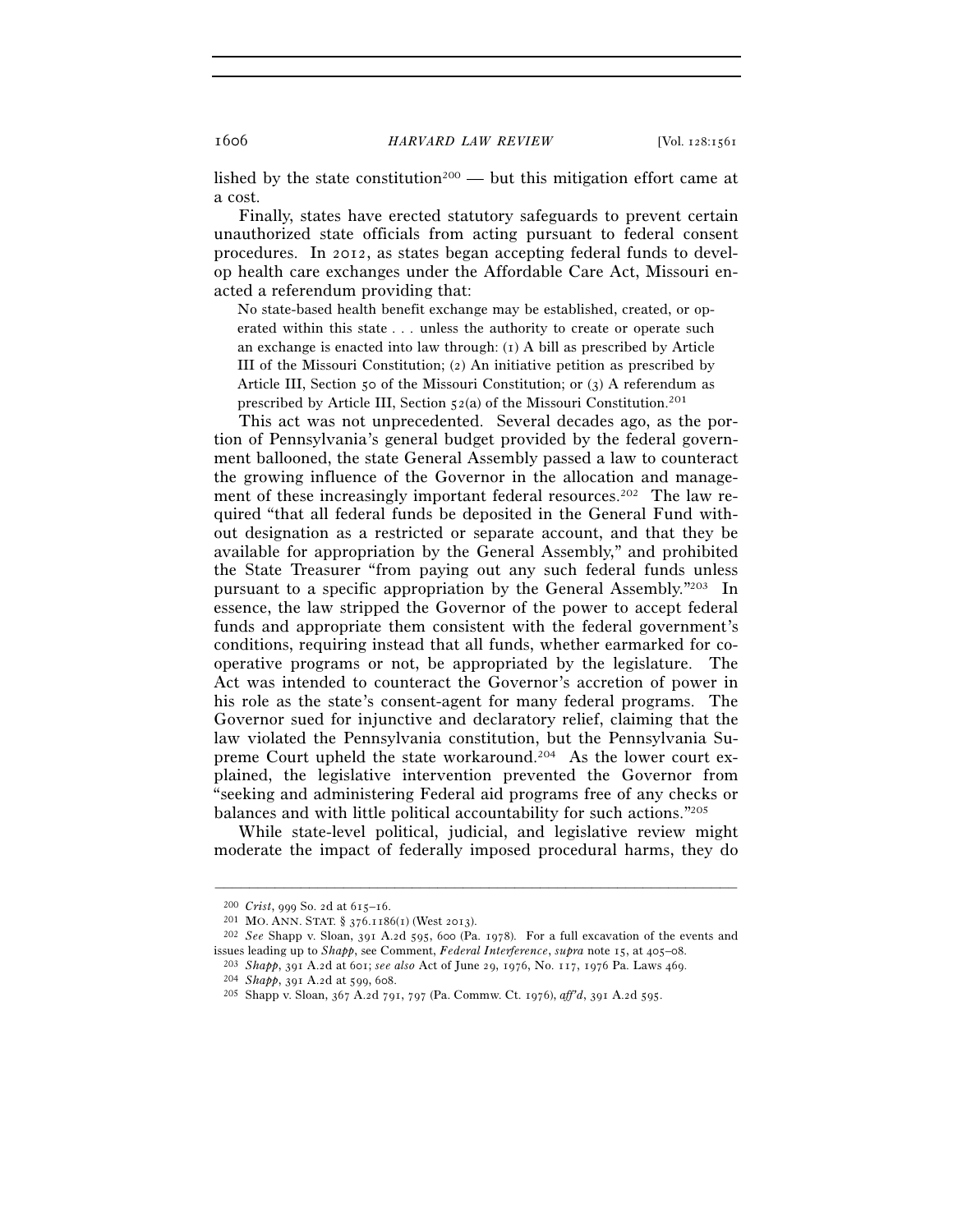lished by the state constitution<sup>200</sup> — but this mitigation effort came at a cost.

Finally, states have erected statutory safeguards to prevent certain unauthorized state officials from acting pursuant to federal consent procedures. In 2012, as states began accepting federal funds to develop health care exchanges under the Affordable Care Act, Missouri enacted a referendum providing that:

No state-based health benefit exchange may be established, created, or operated within this state . . . unless the authority to create or operate such an exchange is enacted into law through: (1) A bill as prescribed by Article III of the Missouri Constitution; (2) An initiative petition as prescribed by Article III, Section 50 of the Missouri Constitution; or (3) A referendum as prescribed by Article III, Section  $52(a)$  of the Missouri Constitution.<sup>201</sup>

This act was not unprecedented. Several decades ago, as the portion of Pennsylvania's general budget provided by the federal government ballooned, the state General Assembly passed a law to counteract the growing influence of the Governor in the allocation and management of these increasingly important federal resources.<sup>202</sup> The law required "that all federal funds be deposited in the General Fund without designation as a restricted or separate account, and that they be available for appropriation by the General Assembly," and prohibited the State Treasurer "from paying out any such federal funds unless pursuant to a specific appropriation by the General Assembly."203 In essence, the law stripped the Governor of the power to accept federal funds and appropriate them consistent with the federal government's conditions, requiring instead that all funds, whether earmarked for cooperative programs or not, be appropriated by the legislature. The Act was intended to counteract the Governor's accretion of power in his role as the state's consent-agent for many federal programs. The Governor sued for injunctive and declaratory relief, claiming that the law violated the Pennsylvania constitution, but the Pennsylvania Supreme Court upheld the state workaround.204 As the lower court explained, the legislative intervention prevented the Governor from "seeking and administering Federal aid programs free of any checks or balances and with little political accountability for such actions."205

While state-level political, judicial, and legislative review might moderate the impact of federally imposed procedural harms, they do

<sup>200</sup> *Crist*, 999 So. 2d at 615–16. 201 MO. ANN. STAT. § 376.1186(1) (West 2013). 202 *See* Shapp v. Sloan, 391 A.2d 595, 600 (Pa. 1978). For a full excavation of the events and issues leading up to *Shapp*, see Comment, *Federal Interference*, *supra* note 15, at 405–08. 203 *Shapp*, 391 A.2d at 601; *see also* Act of June 29, 1976, No. 117, 1976 Pa. Laws 469.

<sup>204</sup> *Shapp*, 391 A.2d at 599, 608. 205 Shapp v. Sloan, 367 A.2d 791, 797 (Pa. Commw. Ct. 1976), *aff'd*, 391 A.2d 595.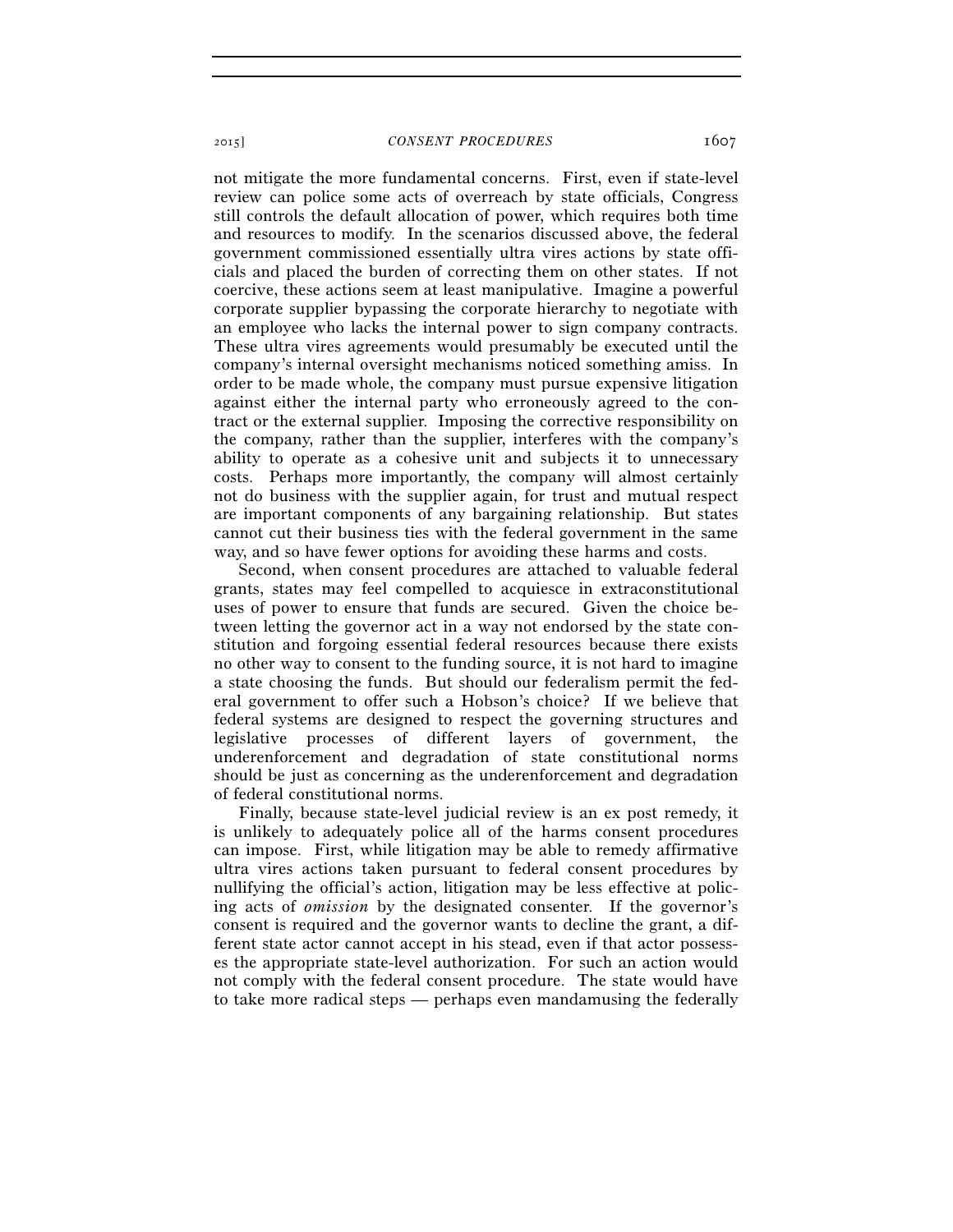not mitigate the more fundamental concerns. First, even if state-level review can police some acts of overreach by state officials, Congress still controls the default allocation of power, which requires both time and resources to modify. In the scenarios discussed above, the federal government commissioned essentially ultra vires actions by state officials and placed the burden of correcting them on other states. If not coercive, these actions seem at least manipulative. Imagine a powerful corporate supplier bypassing the corporate hierarchy to negotiate with an employee who lacks the internal power to sign company contracts. These ultra vires agreements would presumably be executed until the company's internal oversight mechanisms noticed something amiss. In order to be made whole, the company must pursue expensive litigation against either the internal party who erroneously agreed to the contract or the external supplier. Imposing the corrective responsibility on the company, rather than the supplier, interferes with the company's ability to operate as a cohesive unit and subjects it to unnecessary costs. Perhaps more importantly, the company will almost certainly not do business with the supplier again, for trust and mutual respect are important components of any bargaining relationship. But states cannot cut their business ties with the federal government in the same way, and so have fewer options for avoiding these harms and costs.

Second, when consent procedures are attached to valuable federal grants, states may feel compelled to acquiesce in extraconstitutional uses of power to ensure that funds are secured. Given the choice between letting the governor act in a way not endorsed by the state constitution and forgoing essential federal resources because there exists no other way to consent to the funding source, it is not hard to imagine a state choosing the funds. But should our federalism permit the federal government to offer such a Hobson's choice? If we believe that federal systems are designed to respect the governing structures and legislative processes of different layers of government, the underenforcement and degradation of state constitutional norms should be just as concerning as the underenforcement and degradation of federal constitutional norms.

Finally, because state-level judicial review is an ex post remedy, it is unlikely to adequately police all of the harms consent procedures can impose. First, while litigation may be able to remedy affirmative ultra vires actions taken pursuant to federal consent procedures by nullifying the official's action, litigation may be less effective at policing acts of *omission* by the designated consenter. If the governor's consent is required and the governor wants to decline the grant, a different state actor cannot accept in his stead, even if that actor possesses the appropriate state-level authorization. For such an action would not comply with the federal consent procedure. The state would have to take more radical steps — perhaps even mandamusing the federally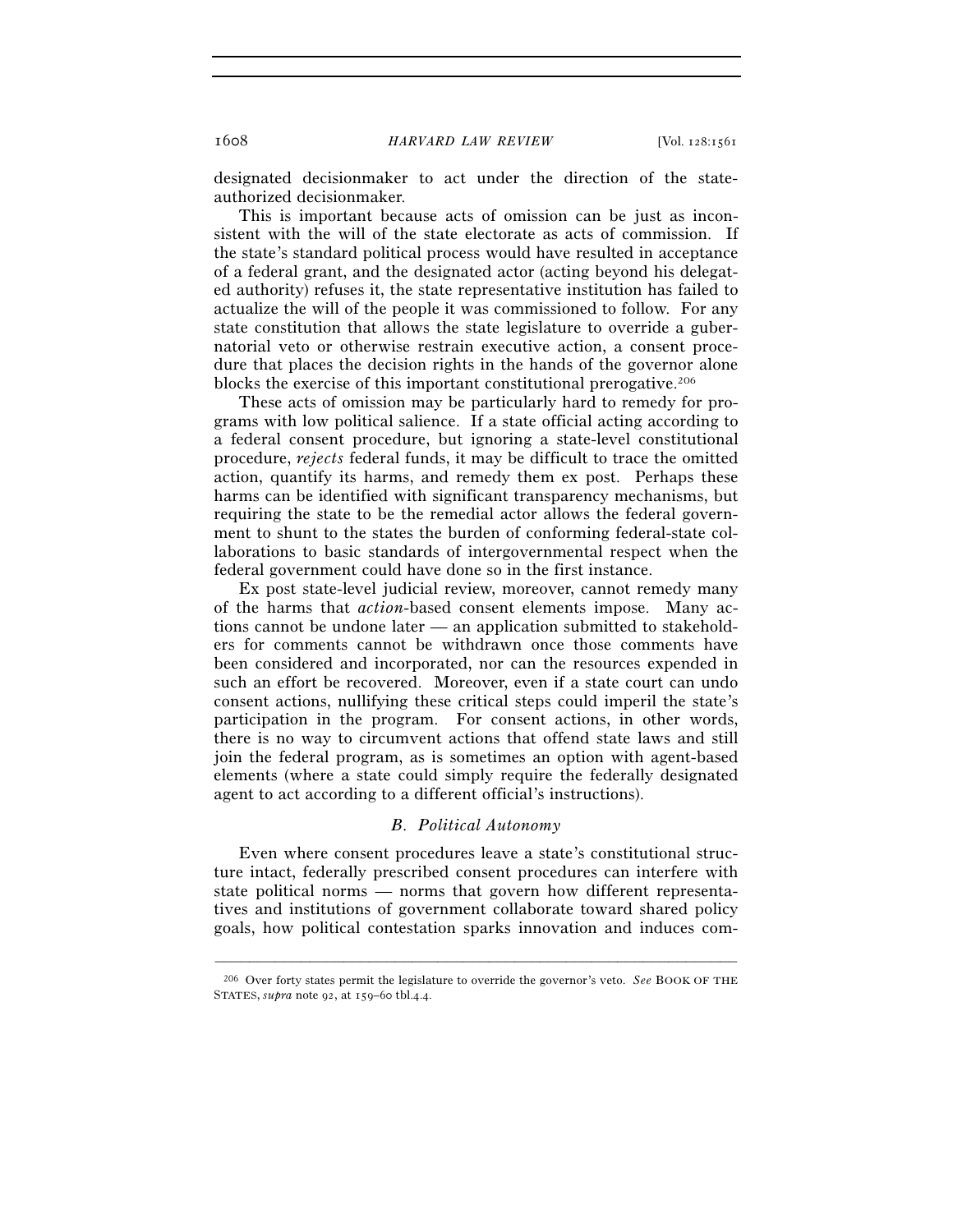designated decisionmaker to act under the direction of the stateauthorized decisionmaker.

This is important because acts of omission can be just as inconsistent with the will of the state electorate as acts of commission. If the state's standard political process would have resulted in acceptance of a federal grant, and the designated actor (acting beyond his delegated authority) refuses it, the state representative institution has failed to actualize the will of the people it was commissioned to follow. For any state constitution that allows the state legislature to override a gubernatorial veto or otherwise restrain executive action, a consent procedure that places the decision rights in the hands of the governor alone blocks the exercise of this important constitutional prerogative.206

These acts of omission may be particularly hard to remedy for programs with low political salience. If a state official acting according to a federal consent procedure, but ignoring a state-level constitutional procedure, *rejects* federal funds, it may be difficult to trace the omitted action, quantify its harms, and remedy them ex post. Perhaps these harms can be identified with significant transparency mechanisms, but requiring the state to be the remedial actor allows the federal government to shunt to the states the burden of conforming federal-state collaborations to basic standards of intergovernmental respect when the federal government could have done so in the first instance.

Ex post state-level judicial review, moreover, cannot remedy many of the harms that *action*-based consent elements impose. Many actions cannot be undone later — an application submitted to stakeholders for comments cannot be withdrawn once those comments have been considered and incorporated, nor can the resources expended in such an effort be recovered. Moreover, even if a state court can undo consent actions, nullifying these critical steps could imperil the state's participation in the program. For consent actions, in other words, there is no way to circumvent actions that offend state laws and still join the federal program, as is sometimes an option with agent-based elements (where a state could simply require the federally designated agent to act according to a different official's instructions).

#### *B. Political Autonomy*

Even where consent procedures leave a state's constitutional structure intact, federally prescribed consent procedures can interfere with state political norms — norms that govern how different representatives and institutions of government collaborate toward shared policy goals, how political contestation sparks innovation and induces com-

<sup>–––––––––––––––––––––––––––––––––––––––––––––––––––––––––––––</sup> 206 Over forty states permit the legislature to override the governor's veto. *See* BOOK OF THE STATES, *supra* note 92, at 159–60 tbl.4.4.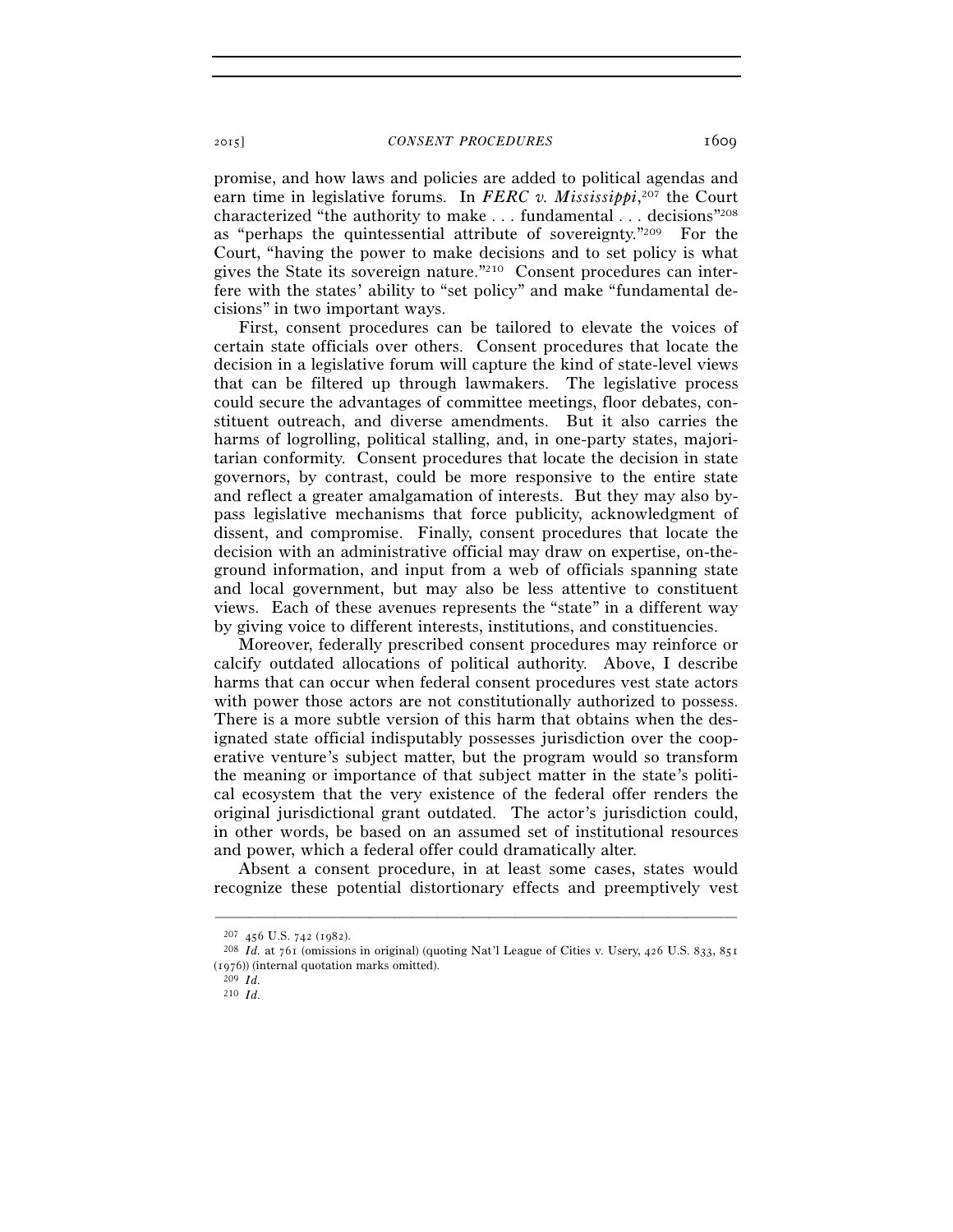promise, and how laws and policies are added to political agendas and earn time in legislative forums. In *FERC v. Mississippi*, 207 the Court characterized "the authority to make . . . fundamental . . . decisions"208 as "perhaps the quintessential attribute of sovereignty."209 For the Court, "having the power to make decisions and to set policy is what gives the State its sovereign nature."210 Consent procedures can interfere with the states' ability to "set policy" and make "fundamental decisions" in two important ways.

First, consent procedures can be tailored to elevate the voices of certain state officials over others. Consent procedures that locate the decision in a legislative forum will capture the kind of state-level views that can be filtered up through lawmakers. The legislative process could secure the advantages of committee meetings, floor debates, constituent outreach, and diverse amendments. But it also carries the harms of logrolling, political stalling, and, in one-party states, majoritarian conformity. Consent procedures that locate the decision in state governors, by contrast, could be more responsive to the entire state and reflect a greater amalgamation of interests. But they may also bypass legislative mechanisms that force publicity, acknowledgment of dissent, and compromise. Finally, consent procedures that locate the decision with an administrative official may draw on expertise, on-theground information, and input from a web of officials spanning state and local government, but may also be less attentive to constituent views. Each of these avenues represents the "state" in a different way by giving voice to different interests, institutions, and constituencies.

Moreover, federally prescribed consent procedures may reinforce or calcify outdated allocations of political authority. Above, I describe harms that can occur when federal consent procedures vest state actors with power those actors are not constitutionally authorized to possess. There is a more subtle version of this harm that obtains when the designated state official indisputably possesses jurisdiction over the cooperative venture's subject matter, but the program would so transform the meaning or importance of that subject matter in the state's political ecosystem that the very existence of the federal offer renders the original jurisdictional grant outdated. The actor's jurisdiction could, in other words, be based on an assumed set of institutional resources and power, which a federal offer could dramatically alter.

Absent a consent procedure, in at least some cases, states would recognize these potential distortionary effects and preemptively vest

<sup>207</sup> <sup>456</sup> U.S. 742 (1982). 208 *Id.* at 761 (omissions in original) (quoting Nat'l League of Cities v. Usery, 426 U.S. 833, <sup>851</sup> (1976)) (internal quotation marks omitted). <sup>209</sup> *Id*.

<sup>210</sup> *Id.*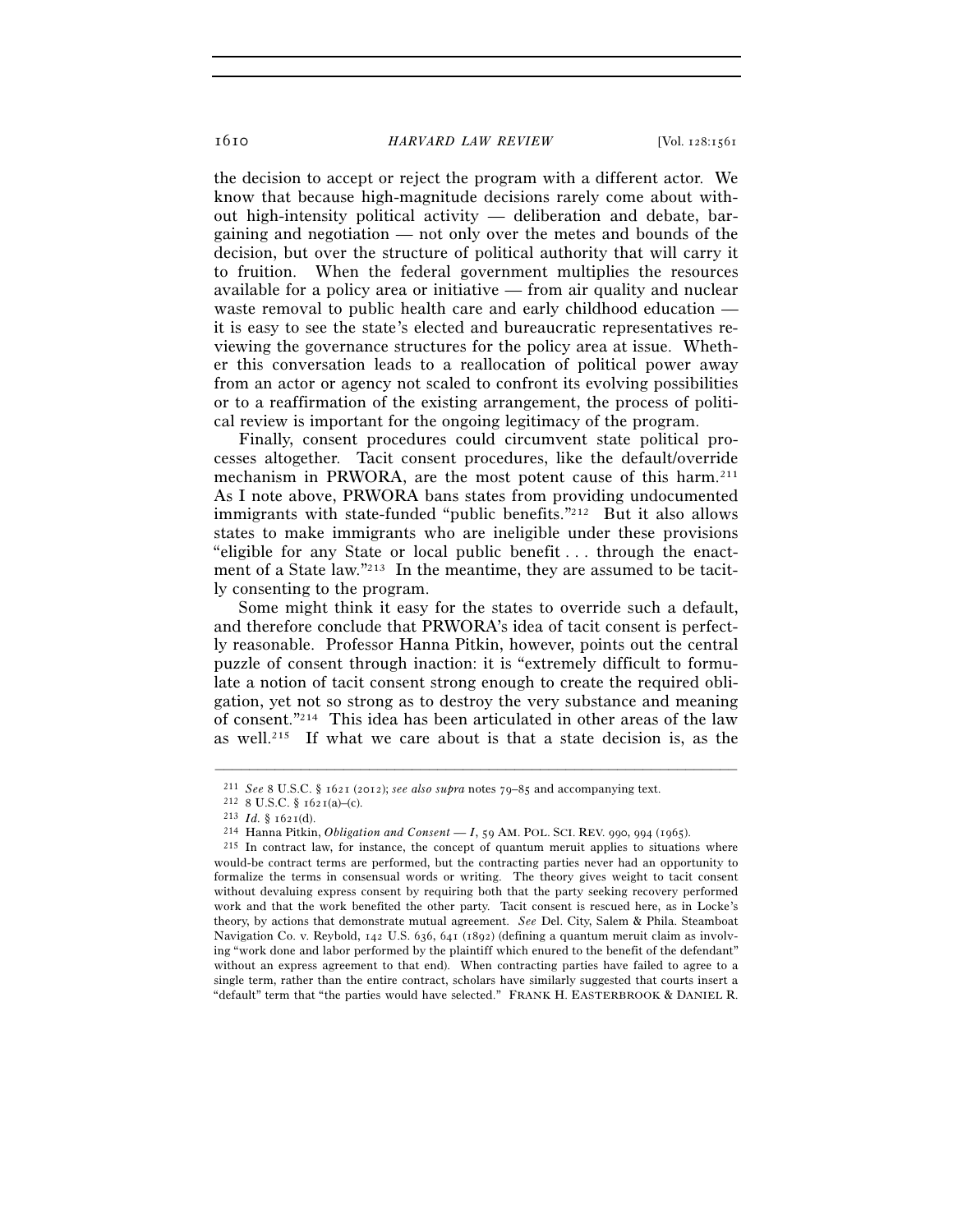the decision to accept or reject the program with a different actor. We know that because high-magnitude decisions rarely come about without high-intensity political activity — deliberation and debate, bargaining and negotiation — not only over the metes and bounds of the decision, but over the structure of political authority that will carry it to fruition. When the federal government multiplies the resources available for a policy area or initiative — from air quality and nuclear waste removal to public health care and early childhood education it is easy to see the state's elected and bureaucratic representatives reviewing the governance structures for the policy area at issue. Whether this conversation leads to a reallocation of political power away from an actor or agency not scaled to confront its evolving possibilities or to a reaffirmation of the existing arrangement, the process of political review is important for the ongoing legitimacy of the program.

Finally, consent procedures could circumvent state political processes altogether. Tacit consent procedures, like the default/override mechanism in PRWORA, are the most potent cause of this harm.<sup>211</sup> As I note above, PRWORA bans states from providing undocumented immigrants with state-funded "public benefits."<sup>212</sup> But it also allows states to make immigrants who are ineligible under these provisions "eligible for any State or local public benefit . . . through the enactment of a State law." $2^{13}$  In the meantime, they are assumed to be tacitly consenting to the program.

Some might think it easy for the states to override such a default, and therefore conclude that PRWORA's idea of tacit consent is perfectly reasonable. Professor Hanna Pitkin, however, points out the central puzzle of consent through inaction: it is "extremely difficult to formulate a notion of tacit consent strong enough to create the required obligation, yet not so strong as to destroy the very substance and meaning of consent."214 This idea has been articulated in other areas of the law as well.215 If what we care about is that a state decision is, as the

<sup>&</sup>lt;sup>211</sup> See 8 U.S.C. § 1621 (2012); *see also supra* notes 79–85 and accompanying text.<br><sup>212</sup> 8 U.S.C. § 1621(a)–(c).<br><sup>213</sup> Id. § 1621(d).<br><sup>213</sup> Hanna Pitkin, *Obligation and Consent* — I, 59 AM. POL. SCI. REV. 990, 994 (19

would-be contract terms are performed, but the contracting parties never had an opportunity to formalize the terms in consensual words or writing. The theory gives weight to tacit consent without devaluing express consent by requiring both that the party seeking recovery performed work and that the work benefited the other party. Tacit consent is rescued here, as in Locke's theory, by actions that demonstrate mutual agreement. *See* Del. City, Salem & Phila. Steamboat Navigation Co. v. Reybold, 142 U.S. 636, 641 (1892) (defining a quantum meruit claim as involving "work done and labor performed by the plaintiff which enured to the benefit of the defendant" without an express agreement to that end). When contracting parties have failed to agree to a single term, rather than the entire contract, scholars have similarly suggested that courts insert a "default" term that "the parties would have selected." FRANK H. EASTERBROOK & DANIEL R.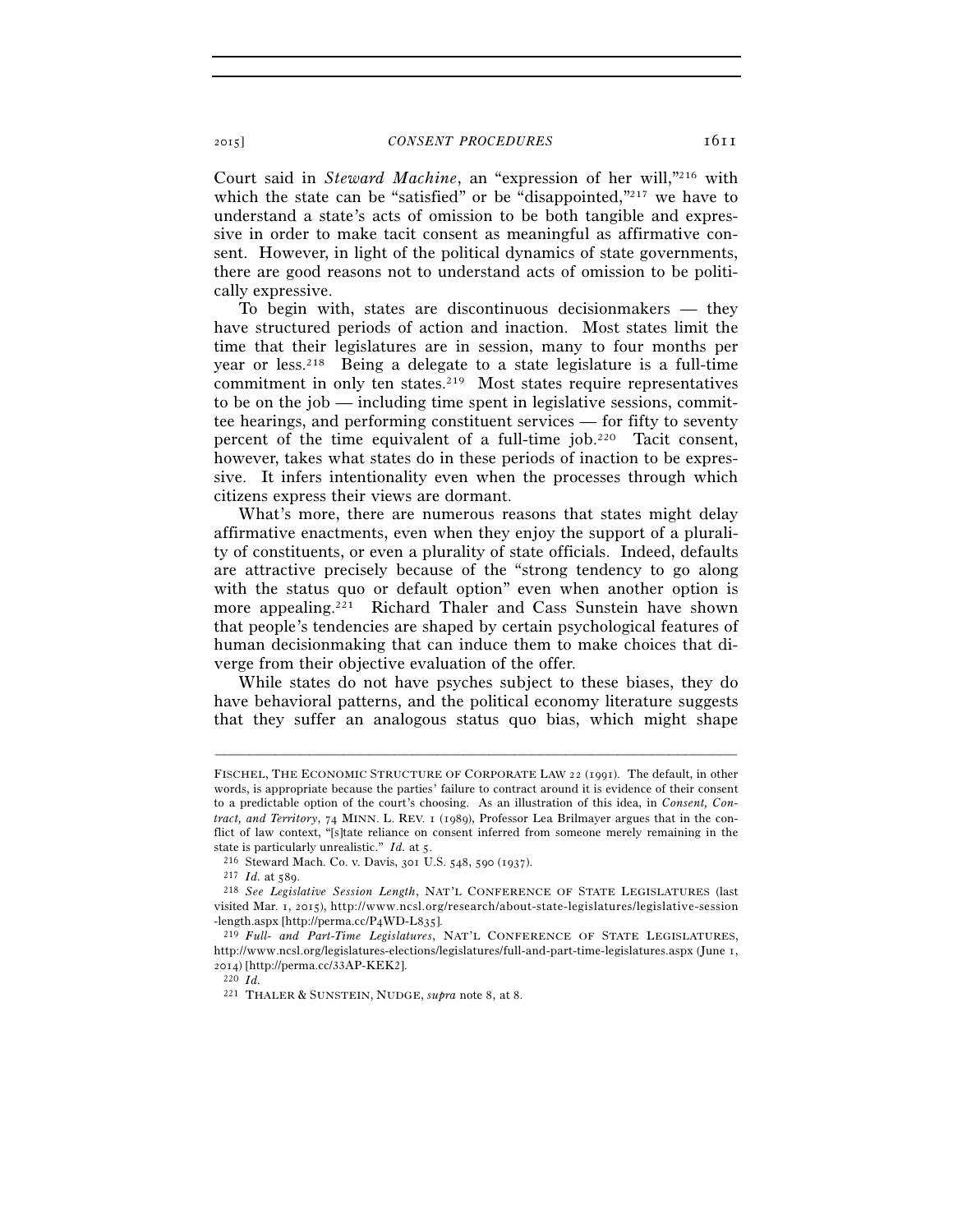Court said in *Steward Machine*, an "expression of her will,"216 with which the state can be "satisfied" or be "disappointed,"<sup>217</sup> we have to understand a state's acts of omission to be both tangible and expressive in order to make tacit consent as meaningful as affirmative consent. However, in light of the political dynamics of state governments, there are good reasons not to understand acts of omission to be politically expressive.

To begin with, states are discontinuous decisionmakers — they have structured periods of action and inaction. Most states limit the time that their legislatures are in session, many to four months per year or less.218 Being a delegate to a state legislature is a full-time commitment in only ten states.219 Most states require representatives to be on the job — including time spent in legislative sessions, committee hearings, and performing constituent services — for fifty to seventy percent of the time equivalent of a full-time job.220 Tacit consent, however, takes what states do in these periods of inaction to be expressive. It infers intentionality even when the processes through which citizens express their views are dormant.

What's more, there are numerous reasons that states might delay affirmative enactments, even when they enjoy the support of a plurality of constituents, or even a plurality of state officials. Indeed, defaults are attractive precisely because of the "strong tendency to go along with the status quo or default option" even when another option is more appealing.<sup>221</sup> Richard Thaler and Cass Sunstein have shown that people's tendencies are shaped by certain psychological features of human decisionmaking that can induce them to make choices that diverge from their objective evaluation of the offer.

While states do not have psyches subject to these biases, they do have behavioral patterns, and the political economy literature suggests that they suffer an analogous status quo bias, which might shape

FISCHEL, THE ECONOMIC STRUCTURE OF CORPORATE LAW 22 (1991). The default, in other words, is appropriate because the parties' failure to contract around it is evidence of their consent to a predictable option of the court's choosing. As an illustration of this idea, in *Consent, Contract, and Territory*, 74 MINN. L. REV. 1 (1989), Professor Lea Brilmayer argues that in the conflict of law context, "[s]tate reliance on consent inferred from someone merely remaining in the state is particularly unrealistic." *Id.* at 5.<br>
<sup>216</sup> Steward Mach. Co. v. Davis, 301 U.S. 548, 590 (1937).<br>
<sup>217</sup> *Id.* at 589.<br>
<sup>218</sup> See Legislative Session Length, NAT'L CONFERENCE OF STATE LEGISLATURES (last

visited Mar. 1, 2015), http://www.ncsl.org/research/about-state-legislatures/legislative-session<br>-length.aspx [http://perma.cc/P4WD-L835].

<sup>&</sup>lt;sup>219</sup> Full- and Part-Time Legislatures, NAT'L CONFERENCE OF STATE LEGISLATURES, http://www.ncsl.org/legislatures-elections/legislatures/full-and-part-time-legislatures.aspx (June 1, 2014) [http://perma.cc/33AP-KEK2]. <sup>220</sup> $\,Id.$ 

<sup>221</sup> THALER & SUNSTEIN, NUDGE, *supra* note 8, at 8.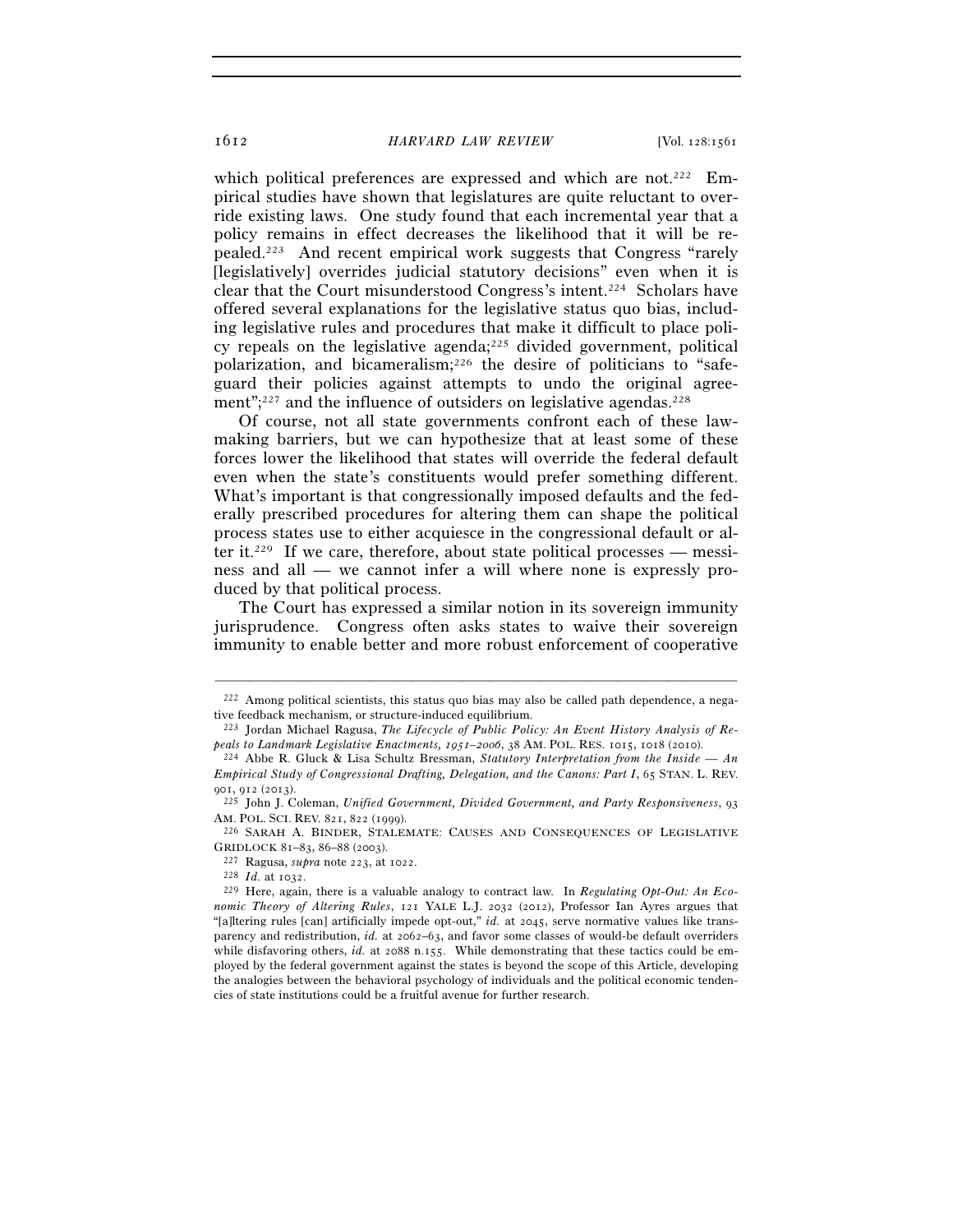which political preferences are expressed and which are not.<sup>222</sup> Empirical studies have shown that legislatures are quite reluctant to override existing laws. One study found that each incremental year that a policy remains in effect decreases the likelihood that it will be repealed.223 And recent empirical work suggests that Congress "rarely [legislatively] overrides judicial statutory decisions" even when it is clear that the Court misunderstood Congress's intent.224 Scholars have offered several explanations for the legislative status quo bias, including legislative rules and procedures that make it difficult to place policy repeals on the legislative agenda; $225$  divided government, political polarization, and bicameralism;226 the desire of politicians to "safeguard their policies against attempts to undo the original agreement"; $227$  and the influence of outsiders on legislative agendas. $228$ 

Of course, not all state governments confront each of these lawmaking barriers, but we can hypothesize that at least some of these forces lower the likelihood that states will override the federal default even when the state's constituents would prefer something different. What's important is that congressionally imposed defaults and the federally prescribed procedures for altering them can shape the political process states use to either acquiesce in the congressional default or alter it.<sup>229</sup> If we care, therefore, about state political processes — messiness and all — we cannot infer a will where none is expressly produced by that political process.

The Court has expressed a similar notion in its sovereign immunity jurisprudence. Congress often asks states to waive their sovereign immunity to enable better and more robust enforcement of cooperative

<sup>–––––––––––––––––––––––––––––––––––––––––––––––––––––––––––––</sup>  $222$  Among political scientists, this status quo bias may also be called path dependence, a negative feedback mechanism, or structure-induced equilibrium.

<sup>&</sup>lt;sup>223</sup> Jordan Michael Ragusa, *The Lifecycle of Public Policy: An Event History Analysis of Repals to Landmark Legislative Enactments, 1951–2006, 38 AM. POL. RES. 1015, 1018 (2010).* 

<sup>&</sup>lt;sup>224</sup> Abbe R. Gluck & Lisa Schultz Bressman, *Statutory Interpretation from the Inside — An Empirical Study of Congressional Drafting, Delegation, and the Canons: Part I*, 65 STAN. L. REV.

<sup>901</sup>, 912 (2013). 225 John J. Coleman, *Unified Government, Divided Government, and Party Responsiveness*, <sup>93</sup> AM. POL. SCI. REV. 821, 822 (1999).<br><sup>226</sup> SARAH A. BINDER, STALEMATE: CAUSES AND CONSEQUENCES OF LEGISLATIVE

GRIDLOCK 81–83, 86–88 (2003).<br>
<sup>227</sup> Ragusa, *supra* note 223, at 1022.<br>
<sup>228</sup> *Id.* at 1032.<br>
<sup>229</sup> Here, again, there is a valuable analogy to contract law. In *Regulating Opt-Out: An Eco-*

*nomic Theory of Altering Rules*, 121 YALE L.J. 2032 (2012), Professor Ian Ayres argues that "[a]ltering rules [can] artificially impede opt-out," *id.* at 2045, serve normative values like transparency and redistribution, *id.* at 2062–63, and favor some classes of would-be default overriders while disfavoring others, *id.* at 2088 n.155. While demonstrating that these tactics could be employed by the federal government against the states is beyond the scope of this Article, developing the analogies between the behavioral psychology of individuals and the political economic tendencies of state institutions could be a fruitful avenue for further research.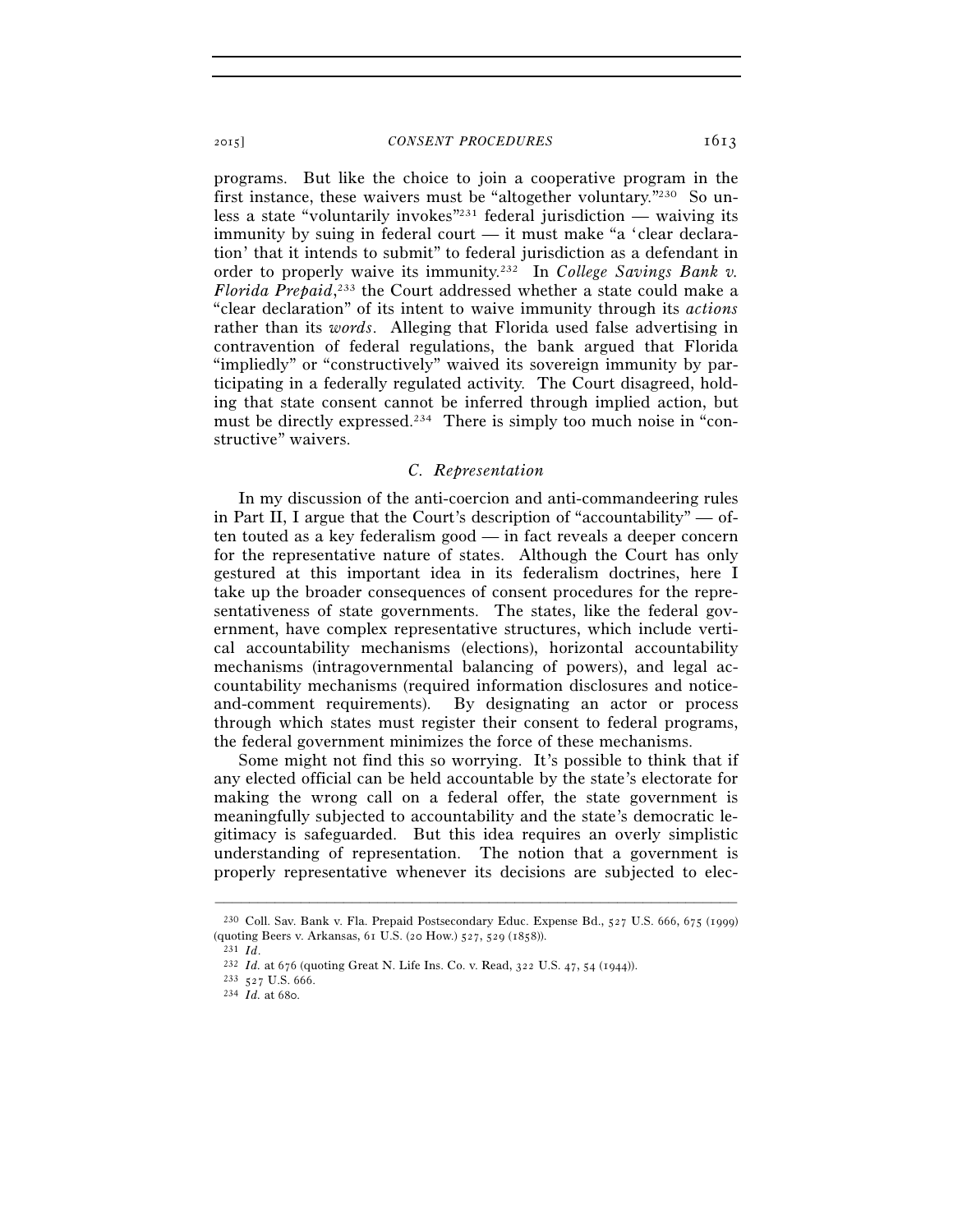programs. But like the choice to join a cooperative program in the first instance, these waivers must be "altogether voluntary."230 So unless a state "voluntarily invokes"<sup>231</sup> federal jurisdiction — waiving its immunity by suing in federal court — it must make "a 'clear declaration' that it intends to submit" to federal jurisdiction as a defendant in order to properly waive its immunity.232 In *College Savings Bank v. Florida Prepaid*, 233 the Court addressed whether a state could make a "clear declaration" of its intent to waive immunity through its *actions* rather than its *words*. Alleging that Florida used false advertising in contravention of federal regulations, the bank argued that Florida "impliedly" or "constructively" waived its sovereign immunity by participating in a federally regulated activity. The Court disagreed, holding that state consent cannot be inferred through implied action, but must be directly expressed.234 There is simply too much noise in "constructive" waivers.

#### *C. Representation*

In my discussion of the anti-coercion and anti-commandeering rules in Part II, I argue that the Court's description of "accountability" — often touted as a key federalism good — in fact reveals a deeper concern for the representative nature of states. Although the Court has only gestured at this important idea in its federalism doctrines, here I take up the broader consequences of consent procedures for the representativeness of state governments. The states, like the federal government, have complex representative structures, which include vertical accountability mechanisms (elections), horizontal accountability mechanisms (intragovernmental balancing of powers), and legal accountability mechanisms (required information disclosures and noticeand-comment requirements). By designating an actor or process through which states must register their consent to federal programs, the federal government minimizes the force of these mechanisms.

Some might not find this so worrying. It's possible to think that if any elected official can be held accountable by the state's electorate for making the wrong call on a federal offer, the state government is meaningfully subjected to accountability and the state's democratic legitimacy is safeguarded. But this idea requires an overly simplistic understanding of representation. The notion that a government is properly representative whenever its decisions are subjected to elec-

<sup>–––––––––––––––––––––––––––––––––––––––––––––––––––––––––––––</sup> 230 Coll. Sav. Bank v. Fla. Prepaid Postsecondary Educ. Expense Bd., 527 U.S. 666, 675 (1999) (quoting Beers v. Arkansas, 61 U.S. (20 How.) 527, 529 (1858)).<br>
<sup>231</sup> *Id.*<br>
<sup>232</sup> *Id.* at 676 (quoting Great N. Life Ins. Co. v. Read, 322 U.S. 47, 54 (1944)).<br>
<sup>233</sup> 527 U.S. 666.<br>
<sup>234</sup> *Id.* at 680.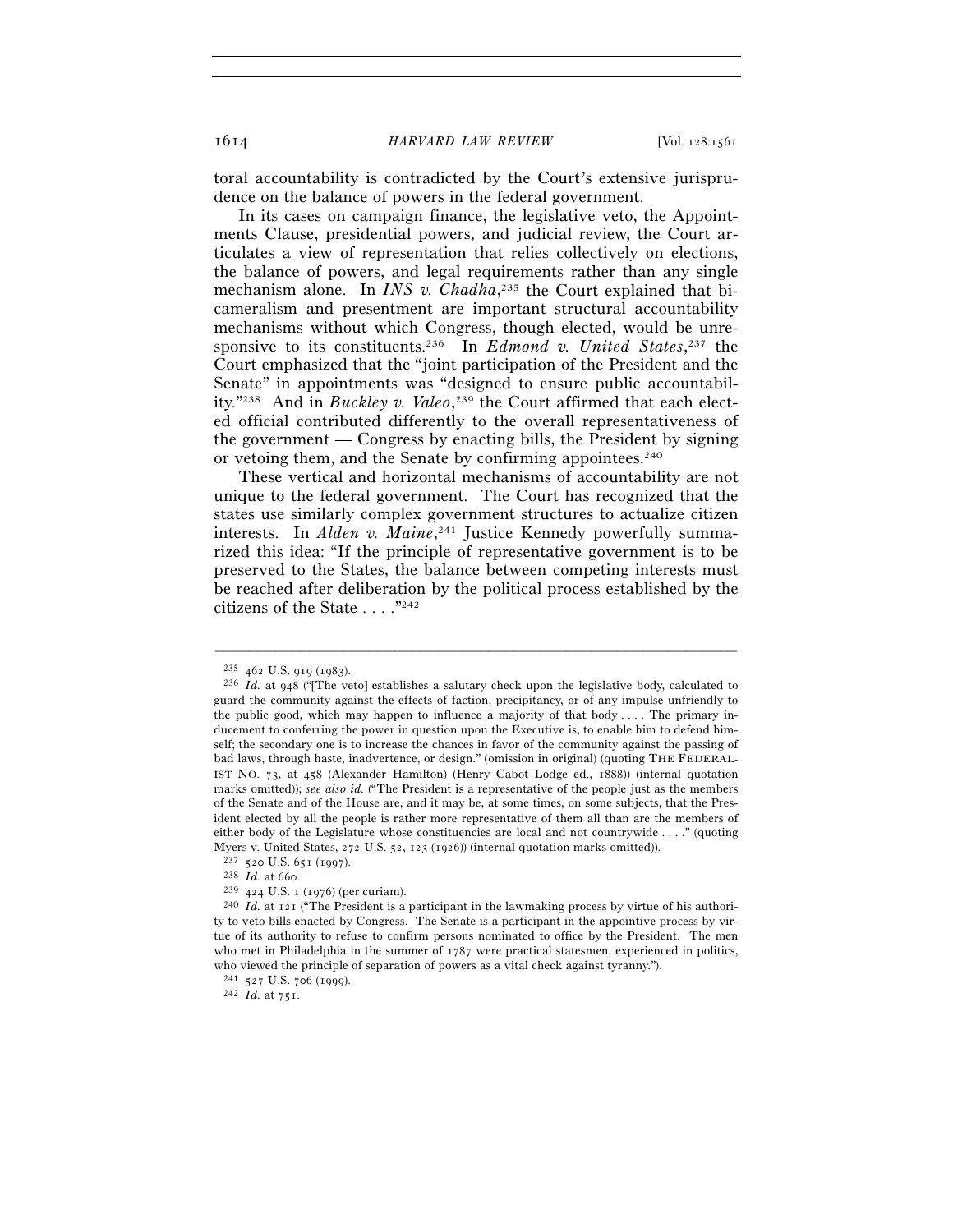toral accountability is contradicted by the Court's extensive jurisprudence on the balance of powers in the federal government.

In its cases on campaign finance, the legislative veto, the Appointments Clause, presidential powers, and judicial review, the Court articulates a view of representation that relies collectively on elections, the balance of powers, and legal requirements rather than any single mechanism alone. In *INS v. Chadha*, 235 the Court explained that bicameralism and presentment are important structural accountability mechanisms without which Congress, though elected, would be unresponsive to its constituents.236 In *Edmond v. United States*, 237 the Court emphasized that the "joint participation of the President and the Senate" in appointments was "designed to ensure public accountability."238 And in *Buckley v. Valeo*, 239 the Court affirmed that each elected official contributed differently to the overall representativeness of the government — Congress by enacting bills, the President by signing or vetoing them, and the Senate by confirming appointees.<sup>240</sup>

These vertical and horizontal mechanisms of accountability are not unique to the federal government. The Court has recognized that the states use similarly complex government structures to actualize citizen interests. In *Alden v. Maine*, 241 Justice Kennedy powerfully summarized this idea: "If the principle of representative government is to be preserved to the States, the balance between competing interests must be reached after deliberation by the political process established by the citizens of the State . . . ."242

<sup>235</sup> <sup>462</sup> U.S. 919 (1983). 236 *Id.* at 948 ("[The veto] establishes a salutary check upon the legislative body, calculated to guard the community against the effects of faction, precipitancy, or of any impulse unfriendly to the public good, which may happen to influence a majority of that body  $\dots$ . The primary inducement to conferring the power in question upon the Executive is, to enable him to defend himself; the secondary one is to increase the chances in favor of the community against the passing of bad laws, through haste, inadvertence, or design." (omission in original) (quoting THE FEDERAL-IST NO. 73, at 458 (Alexander Hamilton) (Henry Cabot Lodge ed., 1888)) (internal quotation marks omitted)); *see also id.* ("The President is a representative of the people just as the members of the Senate and of the House are, and it may be, at some times, on some subjects, that the President elected by all the people is rather more representative of them all than are the members of either body of the Legislature whose constituencies are local and not countrywide . . . ." (quoting Myers v. United States, 272 U.S. 52, 123 (1926)) (internal quotation marks omitted)).<br>
<sup>237</sup> 520 U.S. 651 (1997).<br>
<sup>238</sup> *Id.* at 660.<br>
<sup>239</sup> 424 U.S. 1 (1976) (per curiam).<br>
<sup>240</sup> *Id.* at 121 ("The President is a partic

ty to veto bills enacted by Congress. The Senate is a participant in the appointive process by virtue of its authority to refuse to confirm persons nominated to office by the President. The men who met in Philadelphia in the summer of 1787 were practical statesmen, experienced in politics, who viewed the principle of separation of powers as a vital check against tyranny.").

<sup>241</sup> <sup>527</sup> U.S. 706 (1999). 242 *Id.* at 751.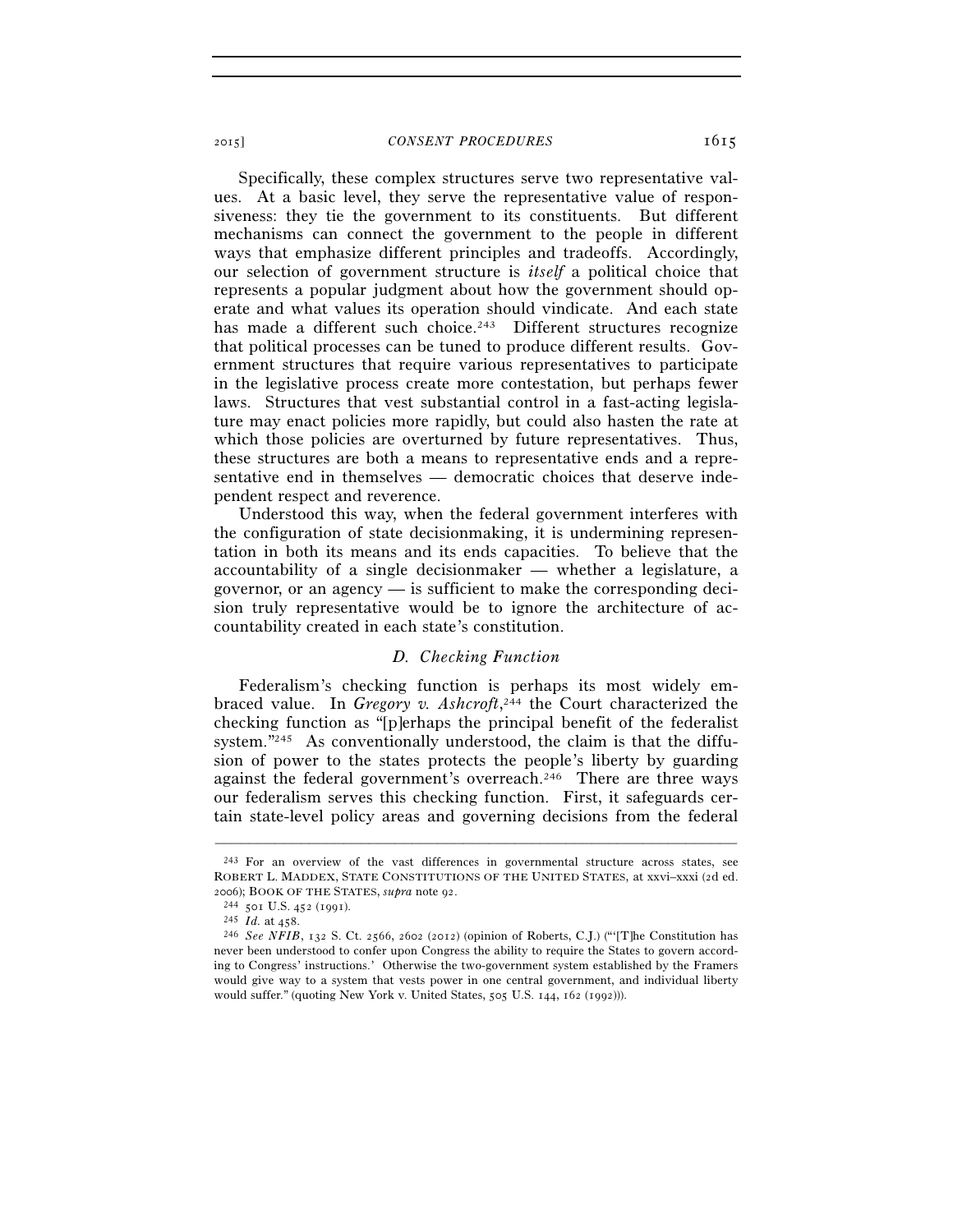Specifically, these complex structures serve two representative values. At a basic level, they serve the representative value of responsiveness: they tie the government to its constituents. But different mechanisms can connect the government to the people in different ways that emphasize different principles and tradeoffs. Accordingly, our selection of government structure is *itself* a political choice that represents a popular judgment about how the government should operate and what values its operation should vindicate. And each state has made a different such choice.<sup>243</sup> Different structures recognize that political processes can be tuned to produce different results. Government structures that require various representatives to participate in the legislative process create more contestation, but perhaps fewer laws. Structures that vest substantial control in a fast-acting legislature may enact policies more rapidly, but could also hasten the rate at which those policies are overturned by future representatives. Thus, these structures are both a means to representative ends and a representative end in themselves — democratic choices that deserve independent respect and reverence.

Understood this way, when the federal government interferes with the configuration of state decisionmaking, it is undermining representation in both its means and its ends capacities. To believe that the accountability of a single decisionmaker — whether a legislature, a governor, or an agency — is sufficient to make the corresponding decision truly representative would be to ignore the architecture of accountability created in each state's constitution.

# *D. Checking Function*

Federalism's checking function is perhaps its most widely embraced value. In *Gregory v. Ashcroft*, 244 the Court characterized the checking function as "[p]erhaps the principal benefit of the federalist system."<sup>245</sup> As conventionally understood, the claim is that the diffusion of power to the states protects the people's liberty by guarding against the federal government's overreach.<sup>246</sup> There are three ways our federalism serves this checking function. First, it safeguards certain state-level policy areas and governing decisions from the federal

<sup>243</sup> For an overview of the vast differences in governmental structure across states, see ROBERT L. MADDEX, STATE CONSTITUTIONS OF THE UNITED STATES, at xxvi–xxxi (2d ed. 2006); BOOK OF THE STATES, *supra* note 92.<br><sup>244</sup> 501 U.S. 452 (1991).<br><sup>245</sup> *Id.* at 458.<br><sup>246</sup> *See NFIB*, 132 S. Ct. 2566, 2602 (2012) (opinion of Roberts, C.J.) ("'[T]he Constitution has

never been understood to confer upon Congress the ability to require the States to govern according to Congress' instructions.' Otherwise the two-government system established by the Framers would give way to a system that vests power in one central government, and individual liberty would suffer." (quoting New York v. United States, 505 U.S. 144, 162 (1992))).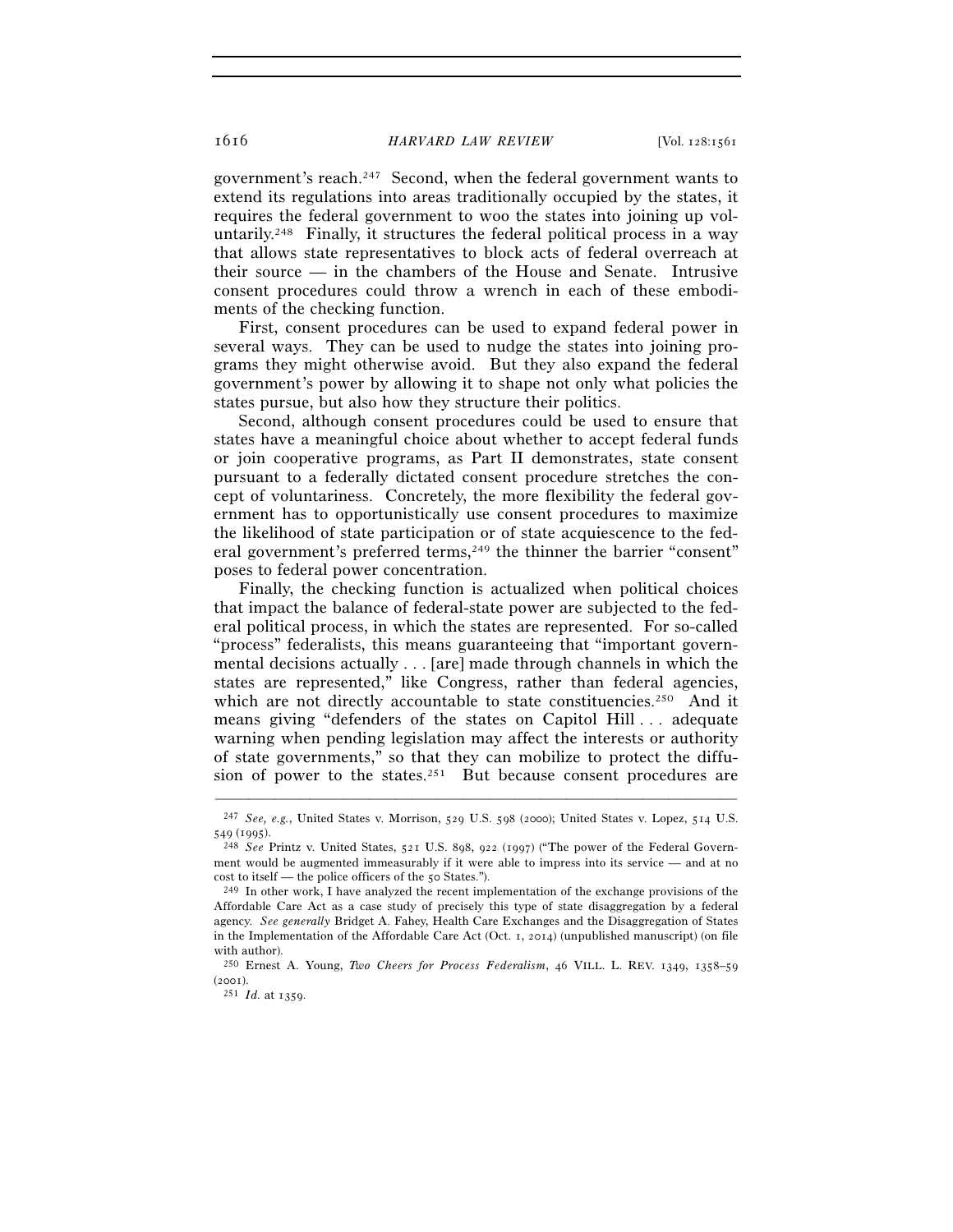government's reach.247 Second, when the federal government wants to extend its regulations into areas traditionally occupied by the states, it requires the federal government to woo the states into joining up voluntarily.248 Finally, it structures the federal political process in a way that allows state representatives to block acts of federal overreach at their source — in the chambers of the House and Senate. Intrusive consent procedures could throw a wrench in each of these embodiments of the checking function.

First, consent procedures can be used to expand federal power in several ways. They can be used to nudge the states into joining programs they might otherwise avoid. But they also expand the federal government's power by allowing it to shape not only what policies the states pursue, but also how they structure their politics.

Second, although consent procedures could be used to ensure that states have a meaningful choice about whether to accept federal funds or join cooperative programs, as Part II demonstrates, state consent pursuant to a federally dictated consent procedure stretches the concept of voluntariness. Concretely, the more flexibility the federal government has to opportunistically use consent procedures to maximize the likelihood of state participation or of state acquiescence to the federal government's preferred terms,<sup>249</sup> the thinner the barrier "consent" poses to federal power concentration.

Finally, the checking function is actualized when political choices that impact the balance of federal-state power are subjected to the federal political process, in which the states are represented. For so-called "process" federalists, this means guaranteeing that "important governmental decisions actually . . . [are] made through channels in which the states are represented," like Congress, rather than federal agencies, which are not directly accountable to state constituencies.<sup>250</sup> And it means giving "defenders of the states on Capitol Hill . . . adequate warning when pending legislation may affect the interests or authority of state governments," so that they can mobilize to protect the diffusion of power to the states.<sup>251</sup> But because consent procedures are

<sup>–––––––––––––––––––––––––––––––––––––––––––––––––––––––––––––</sup> 247 *See, e.g.*, United States v. Morrison, 529 U.S. 598 (2000); United States v. Lopez, 514 U.S. <sup>549</sup> (1995). 248 *See* Printz v. United States, 521 U.S. 898, 922 (1997) ("The power of the Federal Govern-

ment would be augmented immeasurably if it were able to impress into its service — and at no cost to itself — the police officers of the 50 States.").

 $249$  In other work, I have analyzed the recent implementation of the exchange provisions of the Affordable Care Act as a case study of precisely this type of state disaggregation by a federal agency. *See generally* Bridget A. Fahey, Health Care Exchanges and the Disaggregation of States in the Implementation of the Affordable Care Act (Oct. 1, 2014) (unpublished manuscript) (on file with author).

<sup>250</sup> Ernest A. Young, *Two Cheers for Process Federalism*, 46 VILL. L. REV. 1349, 1358–59 (2001).<br><sup>251</sup> *Id.* at 1359.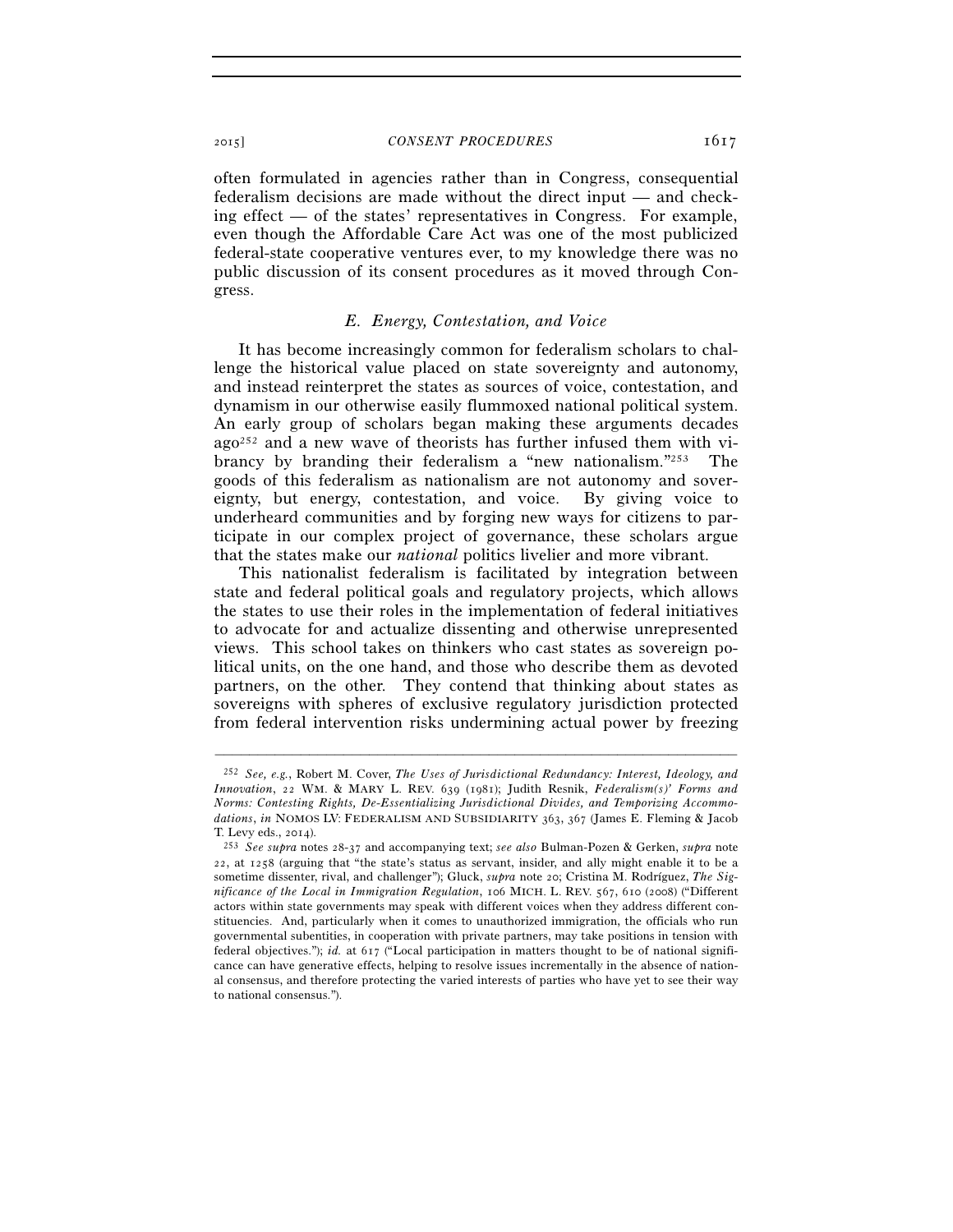often formulated in agencies rather than in Congress, consequential federalism decisions are made without the direct input — and checking effect — of the states' representatives in Congress. For example, even though the Affordable Care Act was one of the most publicized federal-state cooperative ventures ever, to my knowledge there was no public discussion of its consent procedures as it moved through Congress.

#### *E. Energy, Contestation, and Voice*

It has become increasingly common for federalism scholars to challenge the historical value placed on state sovereignty and autonomy, and instead reinterpret the states as sources of voice, contestation, and dynamism in our otherwise easily flummoxed national political system. An early group of scholars began making these arguments decades  $a_{0}^{252}$  and a new wave of theorists has further infused them with vibrancy by branding their federalism a "new nationalism."253 The goods of this federalism as nationalism are not autonomy and sovereignty, but energy, contestation, and voice. By giving voice to underheard communities and by forging new ways for citizens to participate in our complex project of governance, these scholars argue that the states make our *national* politics livelier and more vibrant.

This nationalist federalism is facilitated by integration between state and federal political goals and regulatory projects, which allows the states to use their roles in the implementation of federal initiatives to advocate for and actualize dissenting and otherwise unrepresented views. This school takes on thinkers who cast states as sovereign political units, on the one hand, and those who describe them as devoted partners, on the other. They contend that thinking about states as sovereigns with spheres of exclusive regulatory jurisdiction protected from federal intervention risks undermining actual power by freezing

<sup>252</sup> *See, e.g.*, Robert M. Cover, *The Uses of Jurisdictional Redundancy: Interest, Ideology, and Innovation*, 22 WM. & MARY L. REV. 639 (1981); Judith Resnik, *Federalism(s)' Forms and Norms: Contesting Rights, De-Essentializing Jurisdictional Divides, and Temporizing Accommodations*, *in* NOMOS LV: FEDERALISM AND SUBSIDIARITY 363, 367 (James E. Fleming & Jacob

T. Levy eds., 2014). 253 *See supra* notes 28-37 and accompanying text; *see also* Bulman-Pozen & Gerken, *supra* note 22, at 1258 (arguing that "the state's status as servant, insider, and ally might enable it to be a sometime dissenter, rival, and challenger"); Gluck, *supra* note 20; Cristina M. Rodríguez, *The Significance of the Local in Immigration Regulation*, 106 MICH. L. REV. 567, 610 (2008) ("Different actors within state governments may speak with different voices when they address different constituencies. And, particularly when it comes to unauthorized immigration, the officials who run governmental subentities, in cooperation with private partners, may take positions in tension with federal objectives."); *id.* at 617 ("Local participation in matters thought to be of national significance can have generative effects, helping to resolve issues incrementally in the absence of national consensus, and therefore protecting the varied interests of parties who have yet to see their way to national consensus.").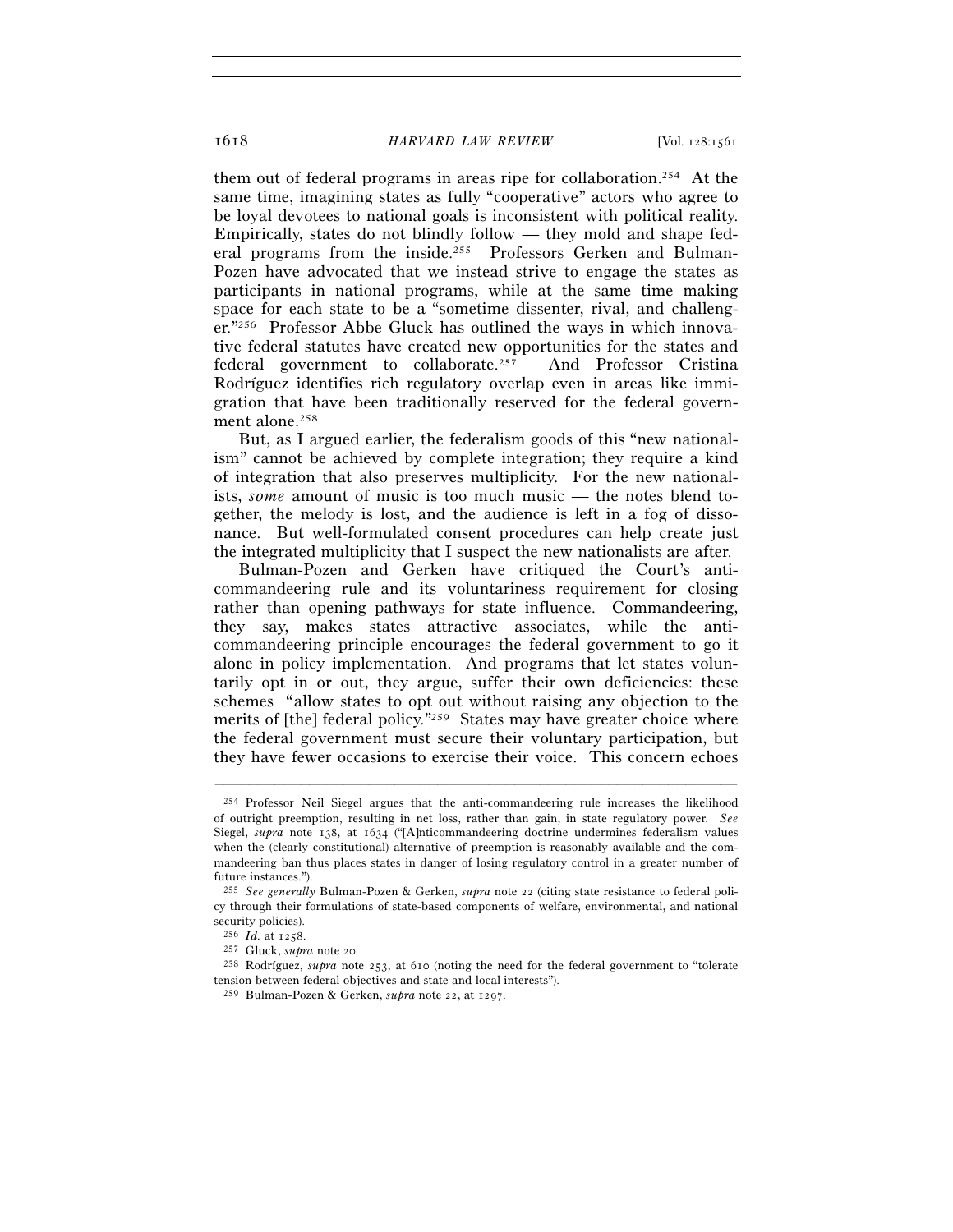them out of federal programs in areas ripe for collaboration.254 At the same time, imagining states as fully "cooperative" actors who agree to be loyal devotees to national goals is inconsistent with political reality. Empirically, states do not blindly follow — they mold and shape federal programs from the inside.255 Professors Gerken and Bulman-Pozen have advocated that we instead strive to engage the states as participants in national programs, while at the same time making space for each state to be a "sometime dissenter, rival, and challenger."256 Professor Abbe Gluck has outlined the ways in which innovative federal statutes have created new opportunities for the states and federal government to collaborate.257 And Professor Cristina Rodríguez identifies rich regulatory overlap even in areas like immigration that have been traditionally reserved for the federal government alone.<sup>258</sup>

But, as I argued earlier, the federalism goods of this "new nationalism" cannot be achieved by complete integration; they require a kind of integration that also preserves multiplicity. For the new nationalists, *some* amount of music is too much music — the notes blend together, the melody is lost, and the audience is left in a fog of dissonance. But well-formulated consent procedures can help create just the integrated multiplicity that I suspect the new nationalists are after.

Bulman-Pozen and Gerken have critiqued the Court's anticommandeering rule and its voluntariness requirement for closing rather than opening pathways for state influence. Commandeering, they say, makes states attractive associates, while the anticommandeering principle encourages the federal government to go it alone in policy implementation. And programs that let states voluntarily opt in or out, they argue, suffer their own deficiencies: these schemes "allow states to opt out without raising any objection to the merits of [the] federal policy."259 States may have greater choice where the federal government must secure their voluntary participation, but they have fewer occasions to exercise their voice. This concern echoes

<sup>254</sup> Professor Neil Siegel argues that the anti-commandeering rule increases the likelihood of outright preemption, resulting in net loss, rather than gain, in state regulatory power. *See* Siegel, *supra* note 138, at 1634 ("[A]nticommandeering doctrine undermines federalism values when the (clearly constitutional) alternative of preemption is reasonably available and the commandeering ban thus places states in danger of losing regulatory control in a greater number of future instances.").

<sup>255</sup> *See generally* Bulman-Pozen & Gerken, *supra* note 22 (citing state resistance to federal policy through their formulations of state-based components of welfare, environmental, and national security policies).<br> $^{256}$  *Id.* at  $1258$ .

<sup>&</sup>lt;sup>257</sup> Gluck, *supra* note 20.<br><sup>258</sup> Rodríguez, *supra* note 253, at 610 (noting the need for the federal government to "tolerate tension between federal objectives and state and local interests").

<sup>259</sup> Bulman-Pozen & Gerken, *supra* note 22, at 1297.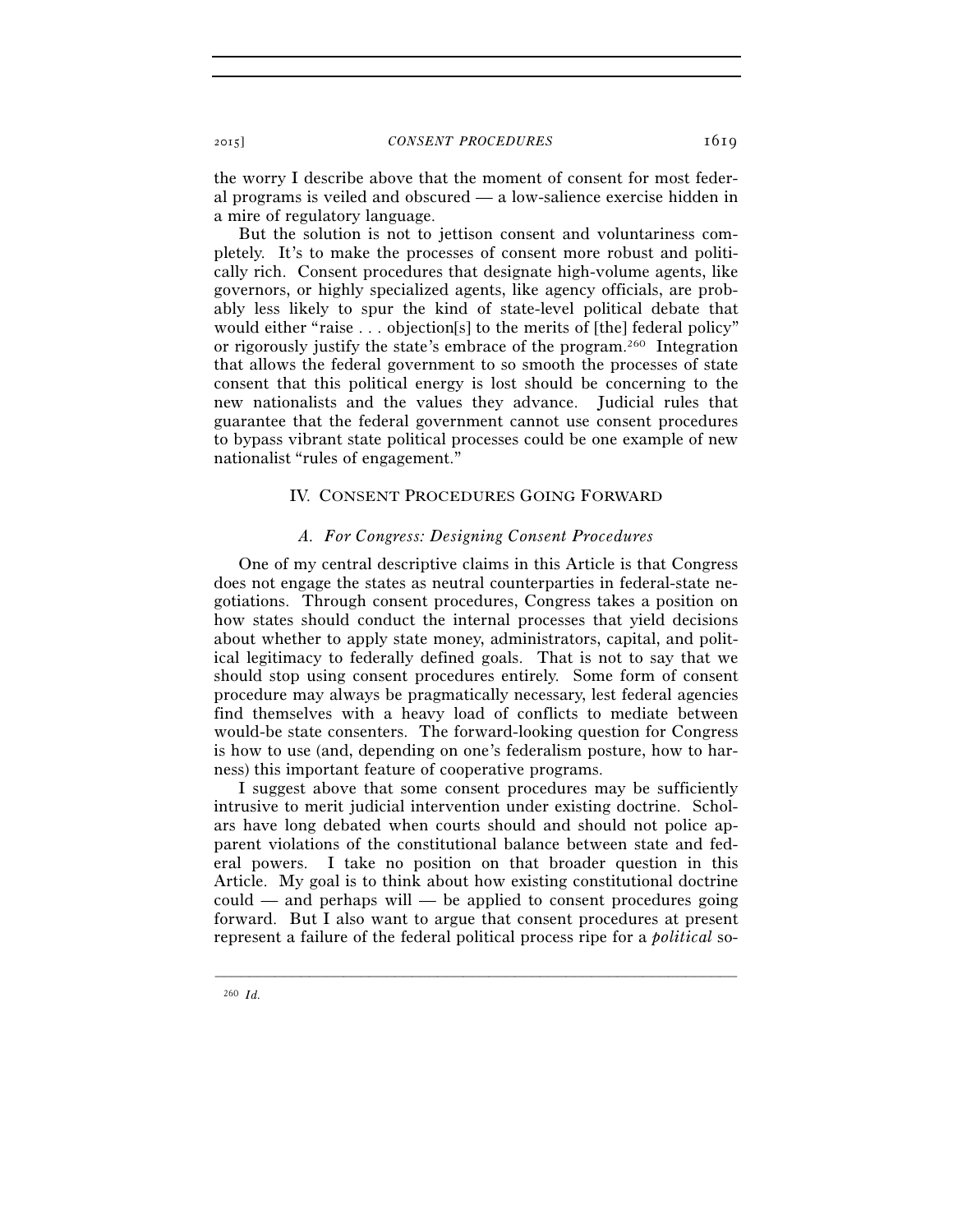the worry I describe above that the moment of consent for most federal programs is veiled and obscured — a low-salience exercise hidden in a mire of regulatory language.

But the solution is not to jettison consent and voluntariness completely. It's to make the processes of consent more robust and politically rich. Consent procedures that designate high-volume agents, like governors, or highly specialized agents, like agency officials, are probably less likely to spur the kind of state-level political debate that would either "raise . . . objection[s] to the merits of [the] federal policy" or rigorously justify the state's embrace of the program.260 Integration that allows the federal government to so smooth the processes of state consent that this political energy is lost should be concerning to the new nationalists and the values they advance. Judicial rules that guarantee that the federal government cannot use consent procedures to bypass vibrant state political processes could be one example of new nationalist "rules of engagement."

# IV. CONSENT PROCEDURES GOING FORWARD

### *A. For Congress: Designing Consent Procedures*

One of my central descriptive claims in this Article is that Congress does not engage the states as neutral counterparties in federal-state negotiations. Through consent procedures, Congress takes a position on how states should conduct the internal processes that yield decisions about whether to apply state money, administrators, capital, and political legitimacy to federally defined goals. That is not to say that we should stop using consent procedures entirely. Some form of consent procedure may always be pragmatically necessary, lest federal agencies find themselves with a heavy load of conflicts to mediate between would-be state consenters. The forward-looking question for Congress is how to use (and, depending on one's federalism posture, how to harness) this important feature of cooperative programs.

I suggest above that some consent procedures may be sufficiently intrusive to merit judicial intervention under existing doctrine. Scholars have long debated when courts should and should not police apparent violations of the constitutional balance between state and federal powers. I take no position on that broader question in this Article. My goal is to think about how existing constitutional doctrine could — and perhaps will — be applied to consent procedures going forward. But I also want to argue that consent procedures at present represent a failure of the federal political process ripe for a *political* so-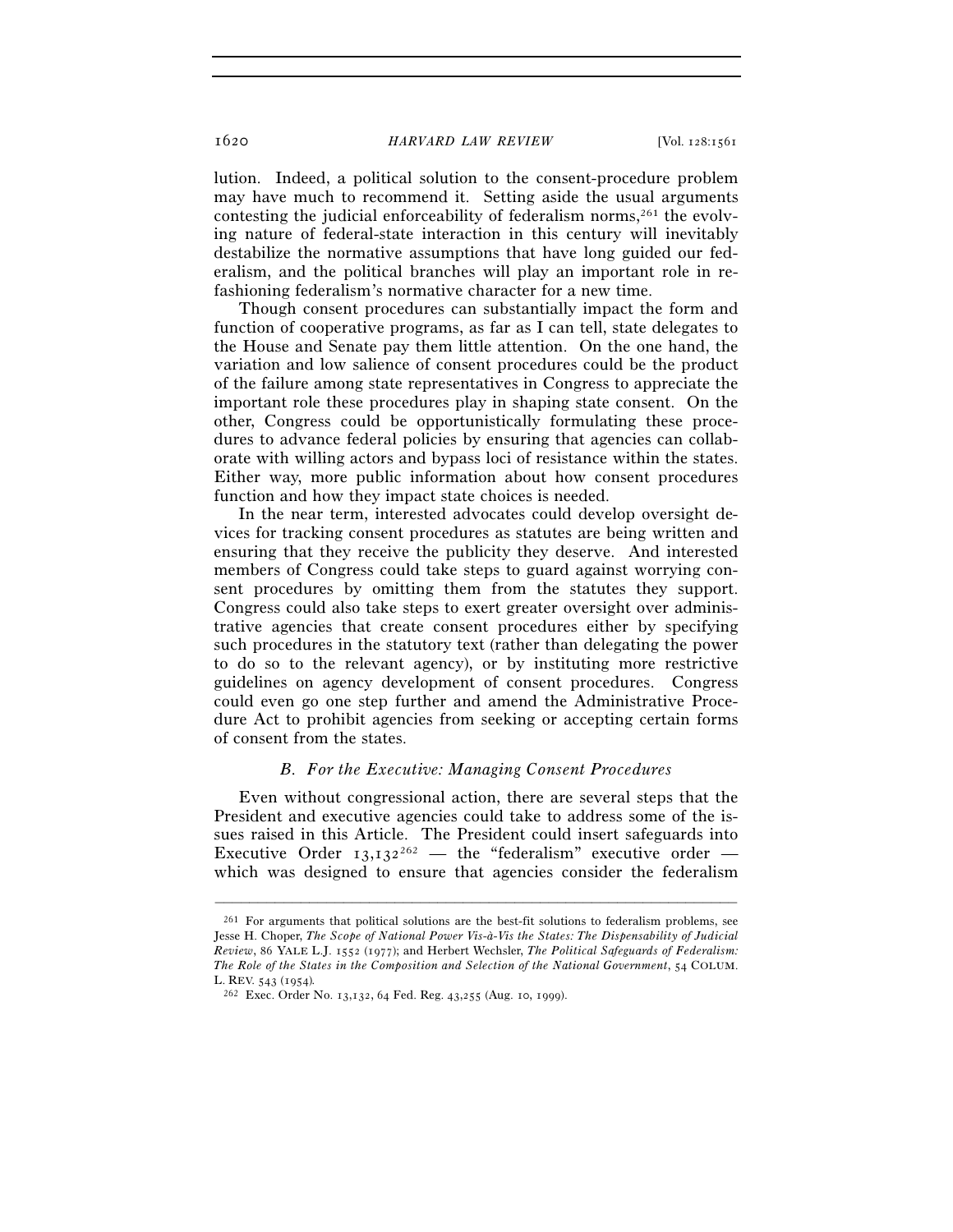lution. Indeed, a political solution to the consent-procedure problem may have much to recommend it. Setting aside the usual arguments contesting the judicial enforceability of federalism norms, $261$  the evolving nature of federal-state interaction in this century will inevitably destabilize the normative assumptions that have long guided our federalism, and the political branches will play an important role in refashioning federalism's normative character for a new time.

Though consent procedures can substantially impact the form and function of cooperative programs, as far as I can tell, state delegates to the House and Senate pay them little attention. On the one hand, the variation and low salience of consent procedures could be the product of the failure among state representatives in Congress to appreciate the important role these procedures play in shaping state consent. On the other, Congress could be opportunistically formulating these procedures to advance federal policies by ensuring that agencies can collaborate with willing actors and bypass loci of resistance within the states. Either way, more public information about how consent procedures function and how they impact state choices is needed.

In the near term, interested advocates could develop oversight devices for tracking consent procedures as statutes are being written and ensuring that they receive the publicity they deserve. And interested members of Congress could take steps to guard against worrying consent procedures by omitting them from the statutes they support. Congress could also take steps to exert greater oversight over administrative agencies that create consent procedures either by specifying such procedures in the statutory text (rather than delegating the power to do so to the relevant agency), or by instituting more restrictive guidelines on agency development of consent procedures. Congress could even go one step further and amend the Administrative Procedure Act to prohibit agencies from seeking or accepting certain forms of consent from the states.

# *B. For the Executive: Managing Consent Procedures*

Even without congressional action, there are several steps that the President and executive agencies could take to address some of the issues raised in this Article. The President could insert safeguards into Executive Order  $13,132^{262}$  — the "federalism" executive order which was designed to ensure that agencies consider the federalism

<sup>261</sup> For arguments that political solutions are the best-fit solutions to federalism problems, see Jesse H. Choper, *The Scope of National Power Vis-à-Vis the States: The Dispensability of Judicial Review*, 86 YALE L.J. 1552 (1977); and Herbert Wechsler, *The Political Safeguards of Federalism: The Role of the States in the Composition and Selection of the National Government*, 54 COLUM. L. REV. 543 (1954)*.*

<sup>262</sup> Exec. Order No. 13,132, 64 Fed. Reg. 43,255 (Aug. 10, 1999).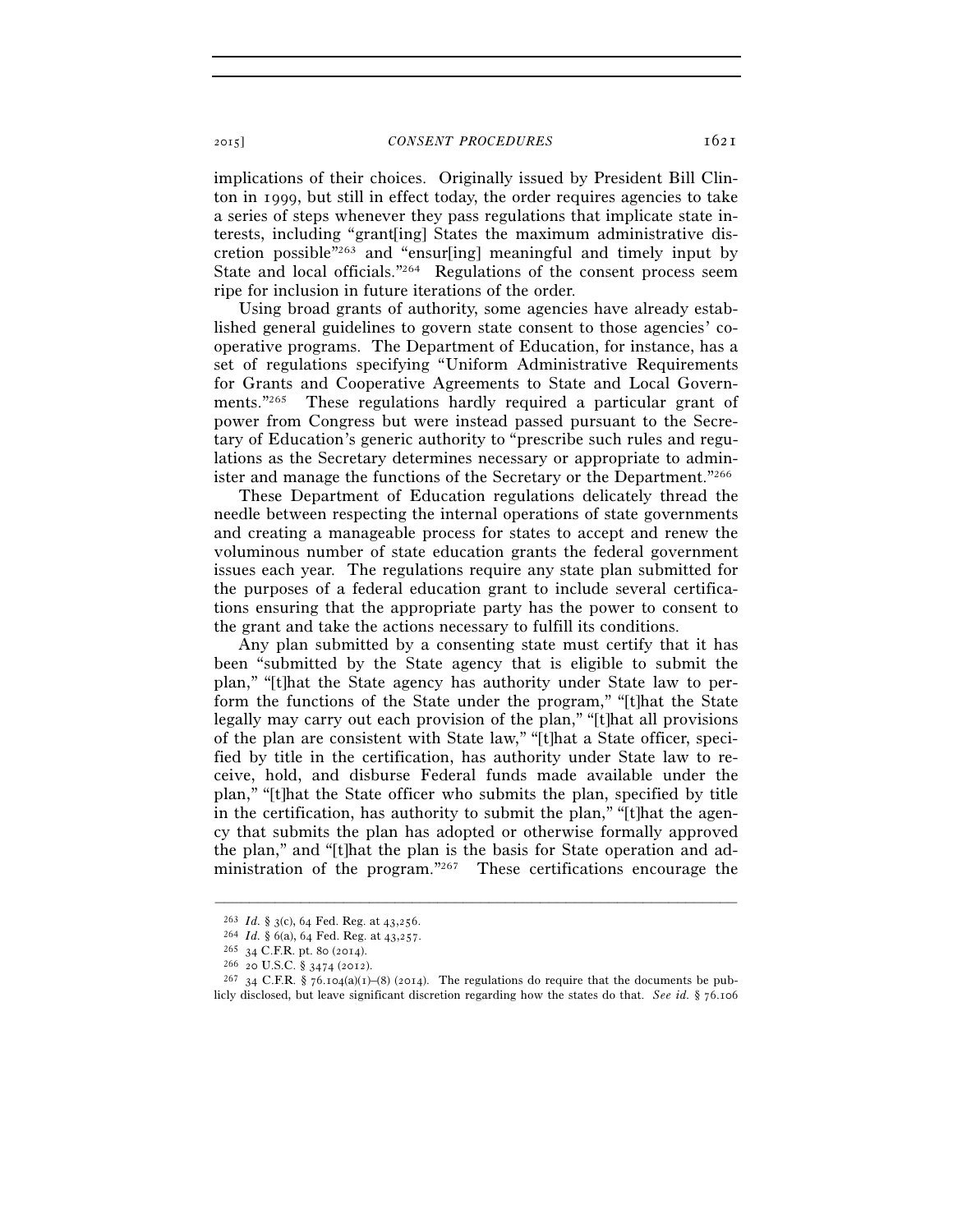implications of their choices. Originally issued by President Bill Clinton in 1999, but still in effect today, the order requires agencies to take a series of steps whenever they pass regulations that implicate state interests, including "grant[ing] States the maximum administrative discretion possible"263 and "ensur[ing] meaningful and timely input by State and local officials."264 Regulations of the consent process seem ripe for inclusion in future iterations of the order.

Using broad grants of authority, some agencies have already established general guidelines to govern state consent to those agencies' cooperative programs. The Department of Education, for instance, has a set of regulations specifying "Uniform Administrative Requirements for Grants and Cooperative Agreements to State and Local Governments."265 These regulations hardly required a particular grant of power from Congress but were instead passed pursuant to the Secretary of Education's generic authority to "prescribe such rules and regulations as the Secretary determines necessary or appropriate to administer and manage the functions of the Secretary or the Department."266

These Department of Education regulations delicately thread the needle between respecting the internal operations of state governments and creating a manageable process for states to accept and renew the voluminous number of state education grants the federal government issues each year. The regulations require any state plan submitted for the purposes of a federal education grant to include several certifications ensuring that the appropriate party has the power to consent to the grant and take the actions necessary to fulfill its conditions.

Any plan submitted by a consenting state must certify that it has been "submitted by the State agency that is eligible to submit the plan," "[t]hat the State agency has authority under State law to perform the functions of the State under the program," "[t]hat the State legally may carry out each provision of the plan," "[t]hat all provisions of the plan are consistent with State law," "[t]hat a State officer, specified by title in the certification, has authority under State law to receive, hold, and disburse Federal funds made available under the plan," "[t]hat the State officer who submits the plan, specified by title in the certification, has authority to submit the plan," "[t]hat the agency that submits the plan has adopted or otherwise formally approved the plan," and "[t]hat the plan is the basis for State operation and administration of the program."267 These certifications encourage the

<sup>&</sup>lt;sup>263</sup> *Id.* § 3(c), 64 Fed. Reg. at 43,256.<br><sup>264</sup> *Id.* § 6(a), 64 Fed. Reg. at 43,257.<br><sup>265</sup> 34 C.F.R. pt. 80 (2014).<br><sup>266</sup> 20 U.S.C. § 3474 (2012).<br><sup>266</sup> 20 U.S.C. § 76.104(a)(1)–(8) (2014). The regulations do require t licly disclosed, but leave significant discretion regarding how the states do that. *See id.* § 76.106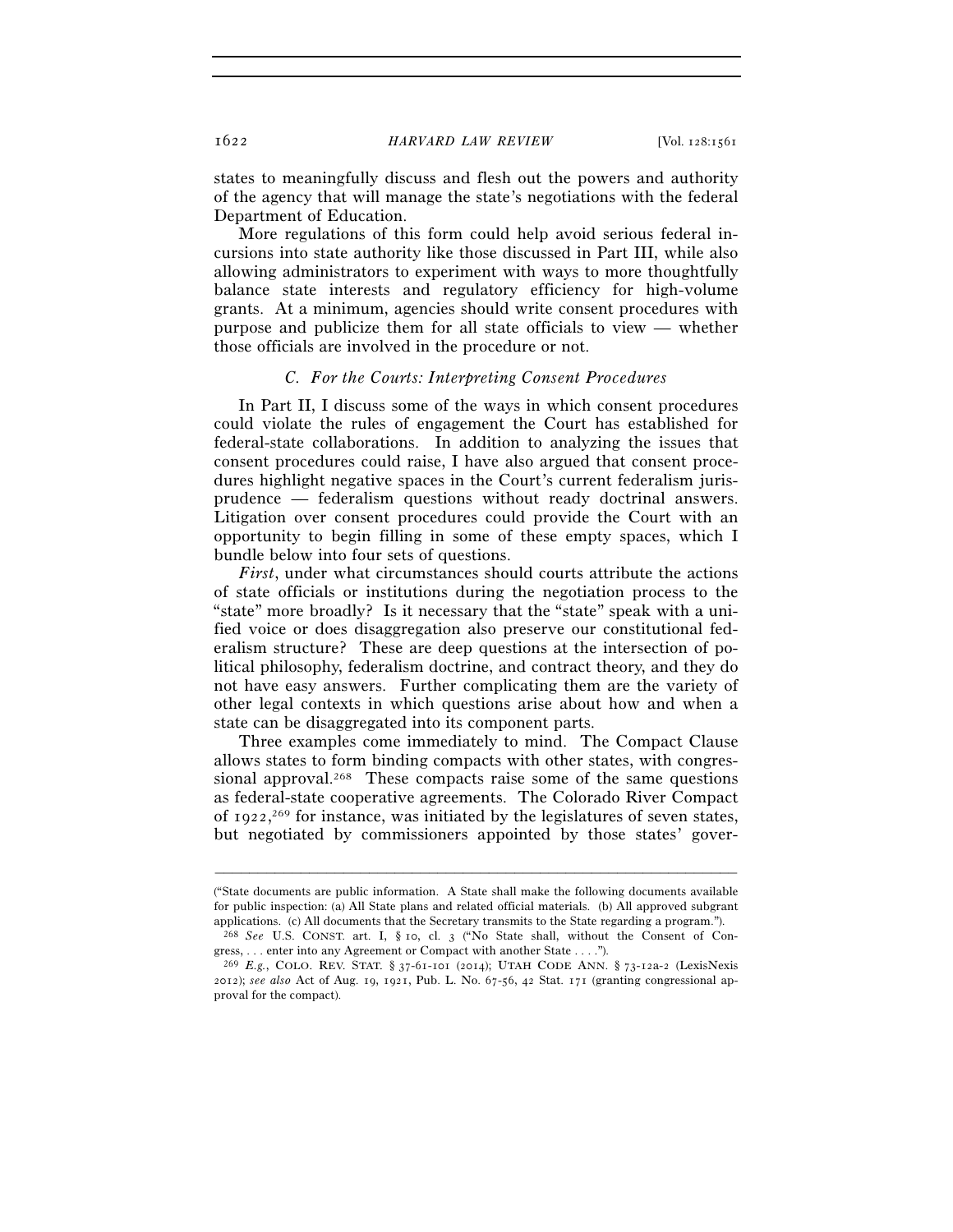states to meaningfully discuss and flesh out the powers and authority of the agency that will manage the state's negotiations with the federal Department of Education.

More regulations of this form could help avoid serious federal incursions into state authority like those discussed in Part III, while also allowing administrators to experiment with ways to more thoughtfully balance state interests and regulatory efficiency for high-volume grants. At a minimum, agencies should write consent procedures with purpose and publicize them for all state officials to view — whether those officials are involved in the procedure or not.

#### *C. For the Courts: Interpreting Consent Procedures*

In Part II, I discuss some of the ways in which consent procedures could violate the rules of engagement the Court has established for federal-state collaborations. In addition to analyzing the issues that consent procedures could raise, I have also argued that consent procedures highlight negative spaces in the Court's current federalism jurisprudence — federalism questions without ready doctrinal answers. Litigation over consent procedures could provide the Court with an opportunity to begin filling in some of these empty spaces, which I bundle below into four sets of questions.

*First*, under what circumstances should courts attribute the actions of state officials or institutions during the negotiation process to the "state" more broadly? Is it necessary that the "state" speak with a unified voice or does disaggregation also preserve our constitutional federalism structure? These are deep questions at the intersection of political philosophy, federalism doctrine, and contract theory, and they do not have easy answers. Further complicating them are the variety of other legal contexts in which questions arise about how and when a state can be disaggregated into its component parts.

Three examples come immediately to mind. The Compact Clause allows states to form binding compacts with other states, with congressional approval.<sup>268</sup> These compacts raise some of the same questions as federal-state cooperative agreements. The Colorado River Compact of 1922, 269 for instance, was initiated by the legislatures of seven states, but negotiated by commissioners appointed by those states' gover-

<sup>(&</sup>quot;State documents are public information. A State shall make the following documents available for public inspection: (a) All State plans and related official materials. (b) All approved subgrant applications. (c) All documents that the Secretary transmits to the State regarding a program.").

<sup>268</sup> *See* U.S. CONST. art. I, § 10, cl. 3 ("No State shall, without the Consent of Congress, . . . enter into any Agreement or Compact with another State . . . .").

<sup>269</sup> *E.g.*, COLO. REV. STAT. § 37-61-101 (2014); UTAH CODE ANN. § 73-12a-2 (LexisNexis 2012); *see also* Act of Aug. 19, 1921, Pub. L. No. 67-56, 42 Stat. 171 (granting congressional approval for the compact).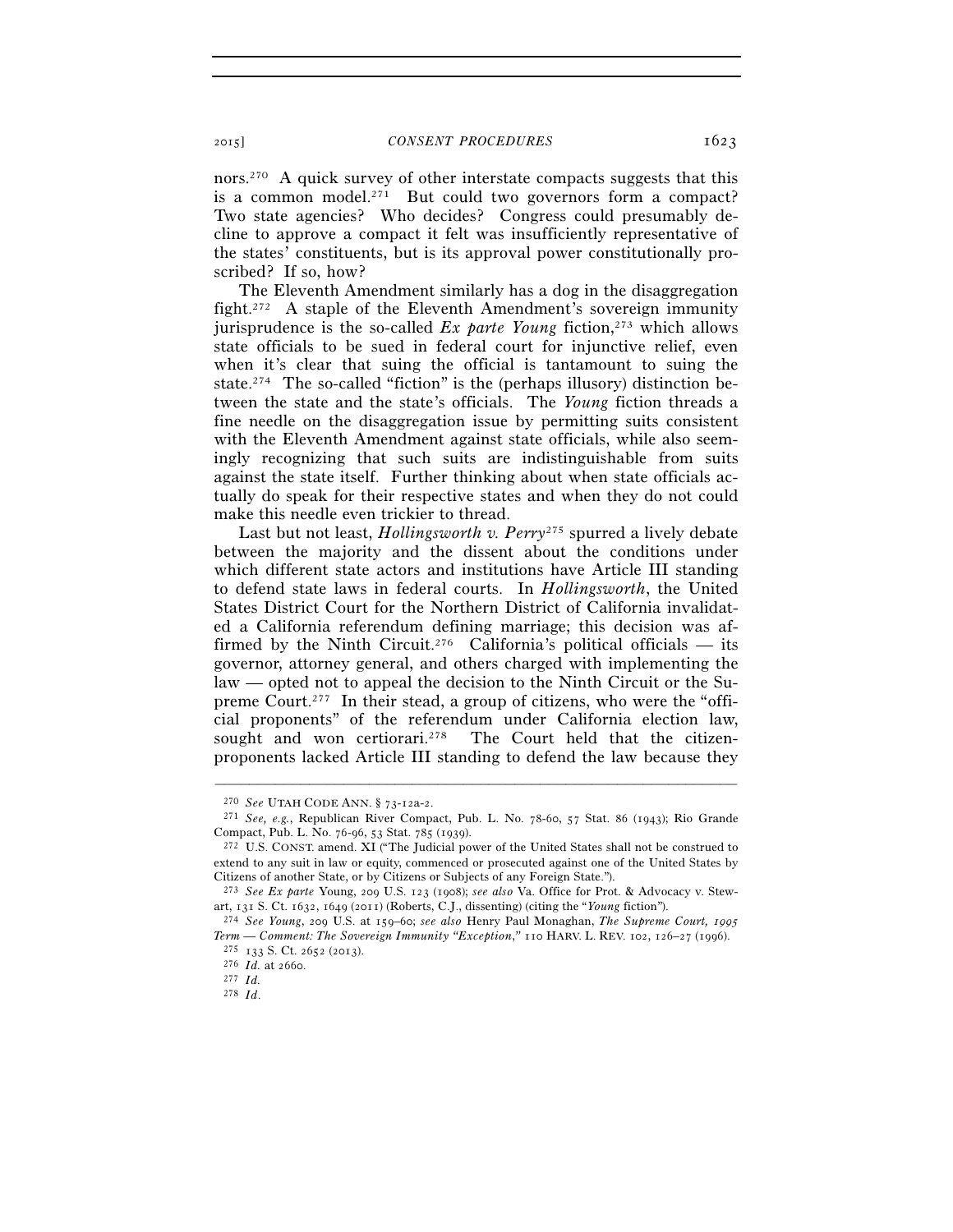nors.270 A quick survey of other interstate compacts suggests that this is a common model.<sup>271</sup> But could two governors form a compact? Two state agencies? Who decides? Congress could presumably decline to approve a compact it felt was insufficiently representative of the states' constituents, but is its approval power constitutionally proscribed? If so, how?

The Eleventh Amendment similarly has a dog in the disaggregation fight.272 A staple of the Eleventh Amendment's sovereign immunity jurisprudence is the so-called *Ex parte Young* fiction,<sup>273</sup> which allows state officials to be sued in federal court for injunctive relief, even when it's clear that suing the official is tantamount to suing the state.<sup>274</sup> The so-called "fiction" is the (perhaps illusory) distinction between the state and the state's officials. The *Young* fiction threads a fine needle on the disaggregation issue by permitting suits consistent with the Eleventh Amendment against state officials, while also seemingly recognizing that such suits are indistinguishable from suits against the state itself. Further thinking about when state officials actually do speak for their respective states and when they do not could make this needle even trickier to thread.

Last but not least, *Hollingsworth v. Perry*275 spurred a lively debate between the majority and the dissent about the conditions under which different state actors and institutions have Article III standing to defend state laws in federal courts. In *Hollingsworth*, the United States District Court for the Northern District of California invalidated a California referendum defining marriage; this decision was affirmed by the Ninth Circuit.<sup>276</sup> California's political officials — its governor, attorney general, and others charged with implementing the law — opted not to appeal the decision to the Ninth Circuit or the Supreme Court.277 In their stead, a group of citizens, who were the "official proponents" of the referendum under California election law, sought and won certiorari.<sup>278</sup> The Court held that the citizenproponents lacked Article III standing to defend the law because they

<sup>270</sup> *See* UTAH CODE ANN. § 73-12a-2. 271 *See, e.g.*, Republican River Compact, Pub. L. No. 78-60, 57 Stat. 86 (1943); Rio Grande Compact, Pub. L. No. 76-96, 53 Stat. 785 (1939). 272 U.S. CONST. amend. XI ("The Judicial power of the United States shall not be construed to

extend to any suit in law or equity, commenced or prosecuted against one of the United States by Citizens of another State, or by Citizens or Subjects of any Foreign State.").

<sup>273</sup> *See Ex parte* Young, 209 U.S. 123 (1908); *see also* Va. Office for Prot. & Advocacy v. Stewart, 131 S. Ct. 1632, 1649 (2011) (Roberts, C.J., dissenting) (citing the "*Young* fiction"). 274 *See Young*, 209 U.S. at 159–60; *see also* Henry Paul Monaghan, *The Supreme Court, <sup>1995</sup>*

*Term — Comment: The Sovereign Immunity "Exception*,*"* <sup>110</sup> HARV. L. REV. 102, 126–27 (1996). 275 <sup>133</sup> S. Ct. 2652 (2013). 276 *Id.* at 2660. 277 *Id.*

<sup>278</sup> *Id*.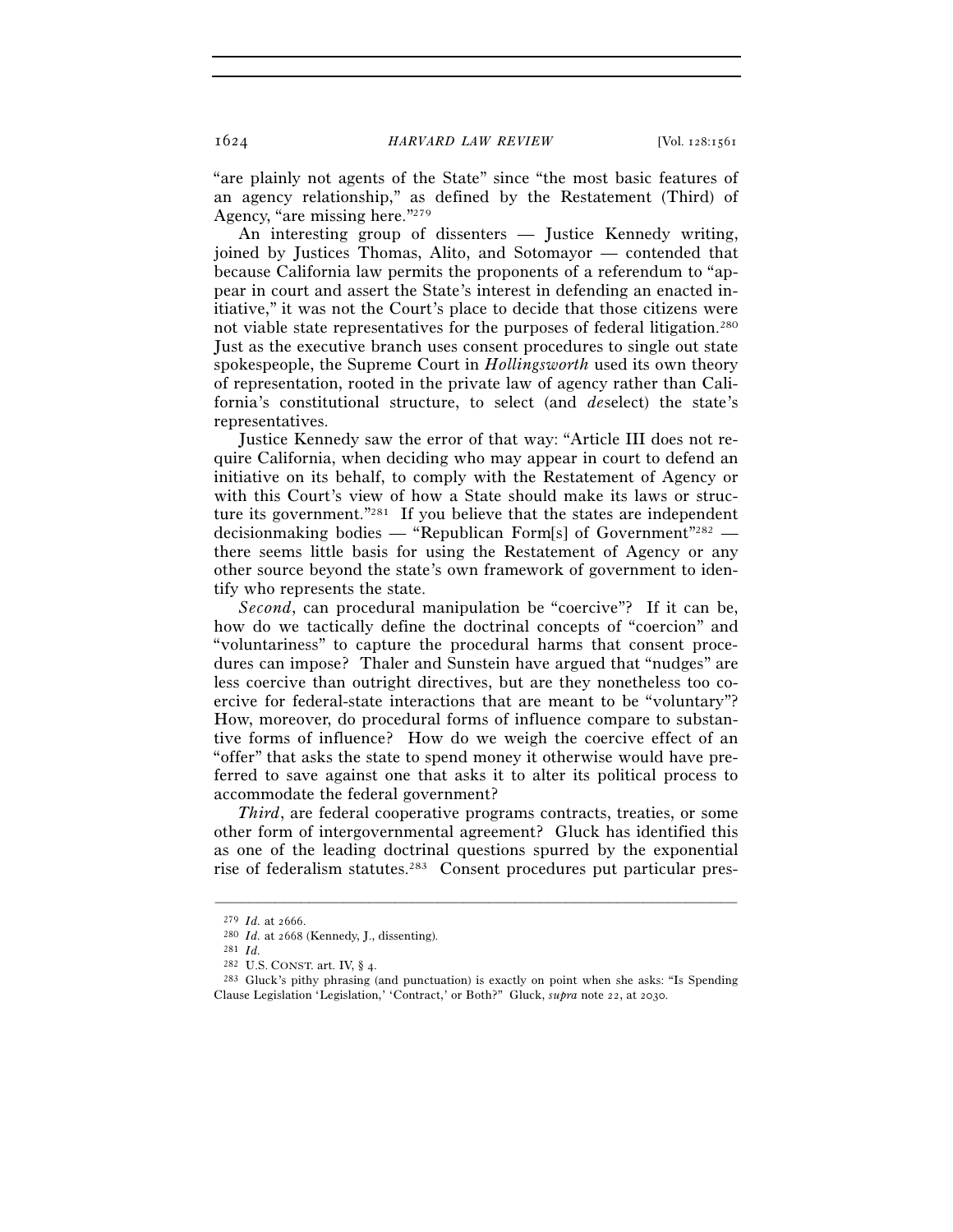"are plainly not agents of the State" since "the most basic features of an agency relationship," as defined by the Restatement (Third) of Agency, "are missing here."279

An interesting group of dissenters — Justice Kennedy writing, joined by Justices Thomas, Alito, and Sotomayor — contended that because California law permits the proponents of a referendum to "appear in court and assert the State's interest in defending an enacted initiative," it was not the Court's place to decide that those citizens were not viable state representatives for the purposes of federal litigation.280 Just as the executive branch uses consent procedures to single out state spokespeople, the Supreme Court in *Hollingsworth* used its own theory of representation, rooted in the private law of agency rather than California's constitutional structure, to select (and *de*select) the state's representatives.

Justice Kennedy saw the error of that way: "Article III does not require California, when deciding who may appear in court to defend an initiative on its behalf, to comply with the Restatement of Agency or with this Court's view of how a State should make its laws or structure its government."281 If you believe that the states are independent decisionmaking bodies — "Republican Form[s] of Government"<sup>282</sup> there seems little basis for using the Restatement of Agency or any other source beyond the state's own framework of government to identify who represents the state.

*Second*, can procedural manipulation be "coercive"? If it can be, how do we tactically define the doctrinal concepts of "coercion" and "voluntariness" to capture the procedural harms that consent procedures can impose? Thaler and Sunstein have argued that "nudges" are less coercive than outright directives, but are they nonetheless too coercive for federal-state interactions that are meant to be "voluntary"? How, moreover, do procedural forms of influence compare to substantive forms of influence? How do we weigh the coercive effect of an "offer" that asks the state to spend money it otherwise would have preferred to save against one that asks it to alter its political process to accommodate the federal government?

*Third*, are federal cooperative programs contracts, treaties, or some other form of intergovernmental agreement? Gluck has identified this as one of the leading doctrinal questions spurred by the exponential rise of federalism statutes.283 Consent procedures put particular pres-

<sup>279</sup> *Id.* at 2666. 280 *Id.* at 2668 (Kennedy, J., dissenting). 281 *Id.* 

<sup>&</sup>lt;sup>283</sup> Gluck's pithy phrasing (and punctuation) is exactly on point when she asks: "Is Spending Clause Legislation 'Legislation,' 'Contract,' or Both?" Gluck, *supra* note 22, at 2030.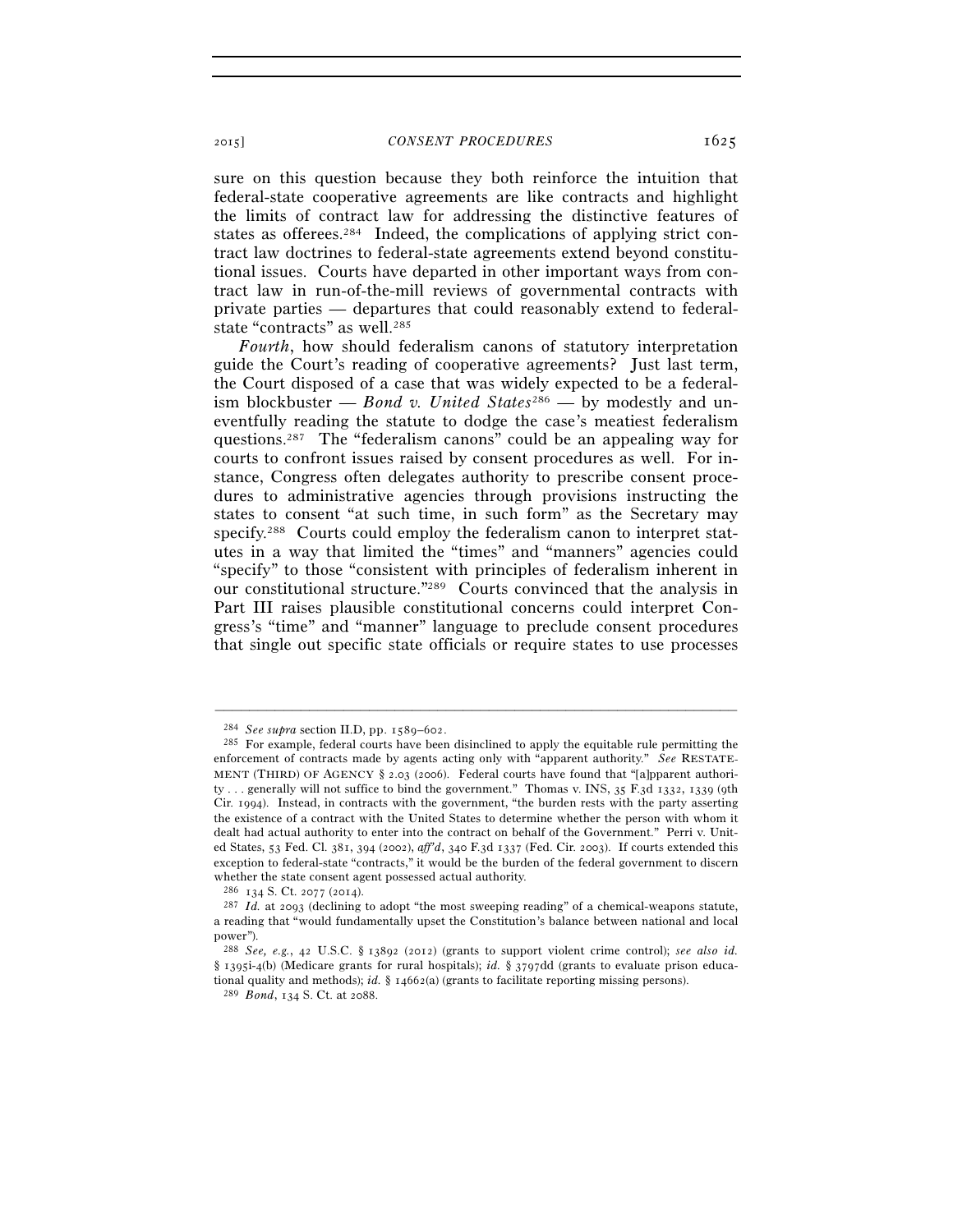sure on this question because they both reinforce the intuition that federal-state cooperative agreements are like contracts and highlight the limits of contract law for addressing the distinctive features of states as offerees.284 Indeed, the complications of applying strict contract law doctrines to federal-state agreements extend beyond constitutional issues. Courts have departed in other important ways from contract law in run-of-the-mill reviews of governmental contracts with private parties — departures that could reasonably extend to federalstate "contracts" as well.<sup>285</sup>

*Fourth*, how should federalism canons of statutory interpretation guide the Court's reading of cooperative agreements? Just last term, the Court disposed of a case that was widely expected to be a federalism blockbuster — *Bond v. United States*<sup>286</sup> — by modestly and uneventfully reading the statute to dodge the case's meatiest federalism questions.287 The "federalism canons" could be an appealing way for courts to confront issues raised by consent procedures as well. For instance, Congress often delegates authority to prescribe consent procedures to administrative agencies through provisions instructing the states to consent "at such time, in such form" as the Secretary may specify.288 Courts could employ the federalism canon to interpret statutes in a way that limited the "times" and "manners" agencies could "specify" to those "consistent with principles of federalism inherent in our constitutional structure."289 Courts convinced that the analysis in Part III raises plausible constitutional concerns could interpret Congress's "time" and "manner" language to preclude consent procedures that single out specific state officials or require states to use processes

<sup>&</sup>lt;sup>284</sup> *See supra* section II.D, pp. 1589–602.<br><sup>285</sup> For example, federal courts have been disinclined to apply the equitable rule permitting the enforcement of contracts made by agents acting only with "apparent authority." *See* RESTATE-MENT (THIRD) OF AGENCY § 2.03 (2006). Federal courts have found that "[a]pparent authority . . . generally will not suffice to bind the government." Thomas v. INS, 35 F.3d 1332, 1339 (9th Cir. 1994). Instead, in contracts with the government, "the burden rests with the party asserting the existence of a contract with the United States to determine whether the person with whom it dealt had actual authority to enter into the contract on behalf of the Government." Perri v. United States, 53 Fed. Cl. 381, 394 (2002), *aff'd*, 340 F.3d 1337 (Fed. Cir. 2003). If courts extended this exception to federal-state "contracts," it would be the burden of the federal government to discern whether the state consent agent possessed actual authority.  $^{286}$  134 S. Ct. 2077 (2014).

<sup>&</sup>lt;sup>287</sup> Id. at 2093 (declining to adopt "the most sweeping reading" of a chemical-weapons statute, a reading that "would fundamentally upset the Constitution's balance between national and local power").

<sup>288</sup> *See, e.g.*, 42 U.S.C. § 13892 (2012) (grants to support violent crime control); *see also id.* § 1395i-4(b) (Medicare grants for rural hospitals); *id.* § 3797dd (grants to evaluate prison educational quality and methods); *id.* § 14662(a) (grants to facilitate reporting missing persons). <sup>289</sup> *Bond*, 134 S. Ct. at 2088.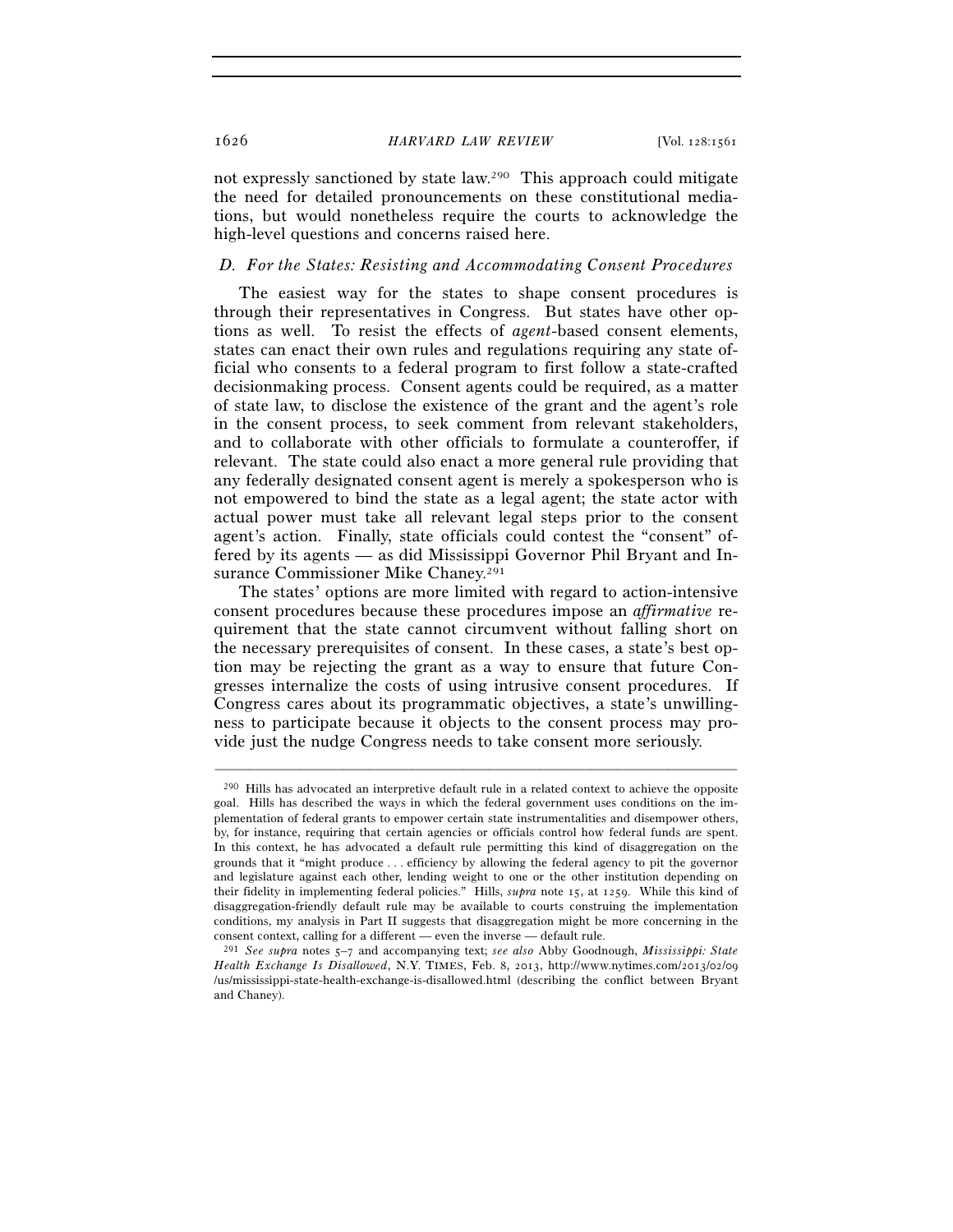not expressly sanctioned by state law.290 This approach could mitigate the need for detailed pronouncements on these constitutional mediations, but would nonetheless require the courts to acknowledge the high-level questions and concerns raised here.

# *D. For the States: Resisting and Accommodating Consent Procedures*

The easiest way for the states to shape consent procedures is through their representatives in Congress. But states have other options as well. To resist the effects of *agent*-based consent elements, states can enact their own rules and regulations requiring any state official who consents to a federal program to first follow a state-crafted decisionmaking process. Consent agents could be required, as a matter of state law, to disclose the existence of the grant and the agent's role in the consent process, to seek comment from relevant stakeholders, and to collaborate with other officials to formulate a counteroffer, if relevant. The state could also enact a more general rule providing that any federally designated consent agent is merely a spokesperson who is not empowered to bind the state as a legal agent; the state actor with actual power must take all relevant legal steps prior to the consent agent's action. Finally, state officials could contest the "consent" offered by its agents — as did Mississippi Governor Phil Bryant and Insurance Commissioner Mike Chaney.<sup>291</sup>

The states' options are more limited with regard to action-intensive consent procedures because these procedures impose an *affirmative* requirement that the state cannot circumvent without falling short on the necessary prerequisites of consent. In these cases, a state's best option may be rejecting the grant as a way to ensure that future Congresses internalize the costs of using intrusive consent procedures. If Congress cares about its programmatic objectives, a state's unwillingness to participate because it objects to the consent process may provide just the nudge Congress needs to take consent more seriously.

<sup>290</sup> Hills has advocated an interpretive default rule in a related context to achieve the opposite goal. Hills has described the ways in which the federal government uses conditions on the implementation of federal grants to empower certain state instrumentalities and disempower others, by, for instance, requiring that certain agencies or officials control how federal funds are spent. In this context, he has advocated a default rule permitting this kind of disaggregation on the grounds that it "might produce . . . efficiency by allowing the federal agency to pit the governor and legislature against each other, lending weight to one or the other institution depending on their fidelity in implementing federal policies." Hills, *supra* note 15, at 1259. While this kind of disaggregation-friendly default rule may be available to courts construing the implementation conditions, my analysis in Part II suggests that disaggregation might be more concerning in the consent context, calling for a different — even the inverse — default rule.

<sup>291</sup> *See supra* notes 5–7 and accompanying text; *see also* Abby Goodnough, *Mississippi: State Health Exchange Is Disallowed*, N.Y. TIMES, Feb. 8, 2013, http://www.nytimes.com/2013/02/09 /us/mississippi-state-health-exchange-is-disallowed.html (describing the conflict between Bryant and Chaney).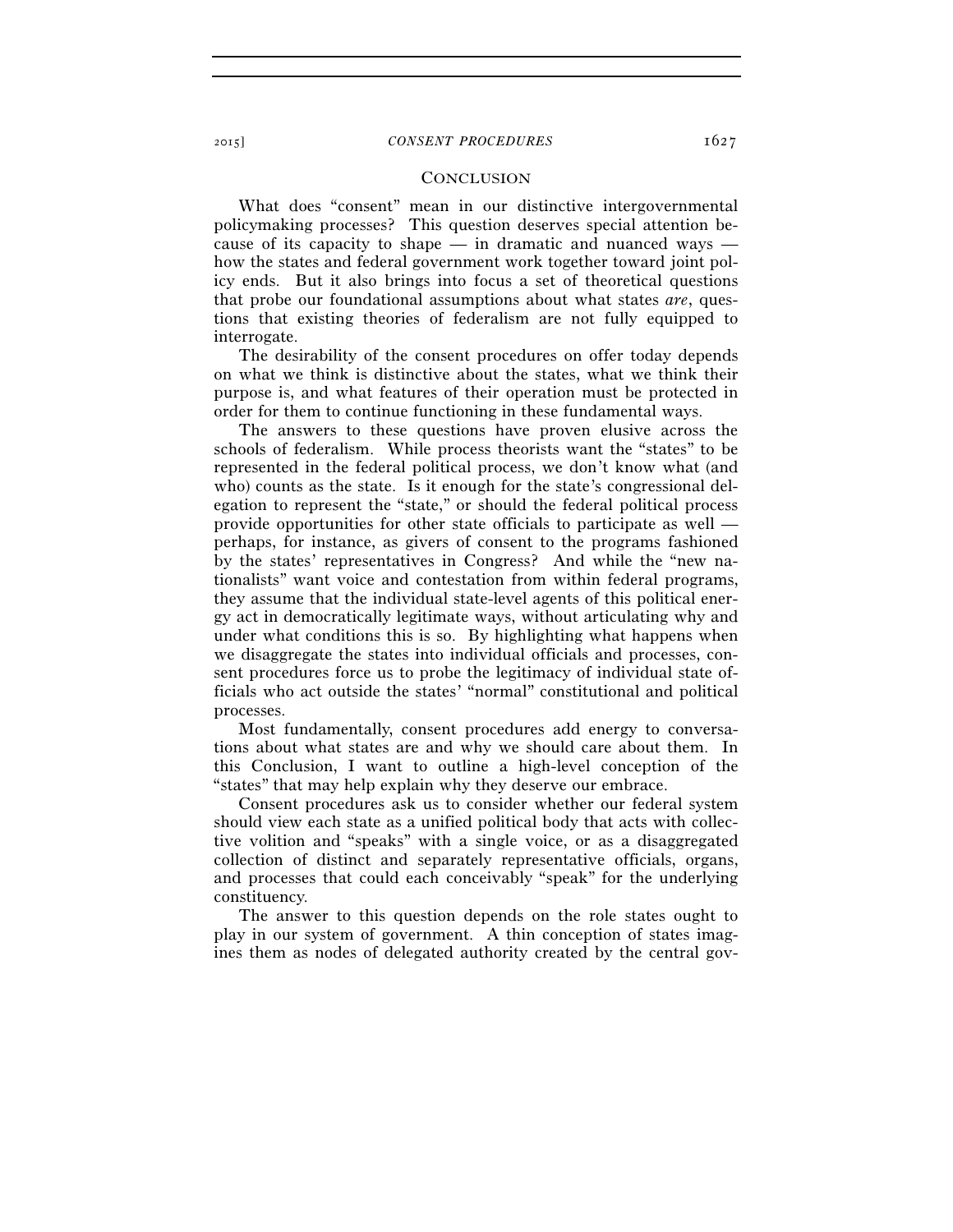# **CONCLUSION**

What does "consent" mean in our distinctive intergovernmental policymaking processes? This question deserves special attention because of its capacity to shape — in dramatic and nuanced ways how the states and federal government work together toward joint policy ends. But it also brings into focus a set of theoretical questions that probe our foundational assumptions about what states *are*, questions that existing theories of federalism are not fully equipped to interrogate.

The desirability of the consent procedures on offer today depends on what we think is distinctive about the states, what we think their purpose is, and what features of their operation must be protected in order for them to continue functioning in these fundamental ways.

The answers to these questions have proven elusive across the schools of federalism. While process theorists want the "states" to be represented in the federal political process, we don't know what (and who) counts as the state. Is it enough for the state's congressional delegation to represent the "state," or should the federal political process provide opportunities for other state officials to participate as well perhaps, for instance, as givers of consent to the programs fashioned by the states' representatives in Congress? And while the "new nationalists" want voice and contestation from within federal programs, they assume that the individual state-level agents of this political energy act in democratically legitimate ways, without articulating why and under what conditions this is so. By highlighting what happens when we disaggregate the states into individual officials and processes, consent procedures force us to probe the legitimacy of individual state officials who act outside the states' "normal" constitutional and political processes.

Most fundamentally, consent procedures add energy to conversations about what states are and why we should care about them. In this Conclusion, I want to outline a high-level conception of the "states" that may help explain why they deserve our embrace.

Consent procedures ask us to consider whether our federal system should view each state as a unified political body that acts with collective volition and "speaks" with a single voice, or as a disaggregated collection of distinct and separately representative officials, organs, and processes that could each conceivably "speak" for the underlying constituency.

The answer to this question depends on the role states ought to play in our system of government. A thin conception of states imagines them as nodes of delegated authority created by the central gov-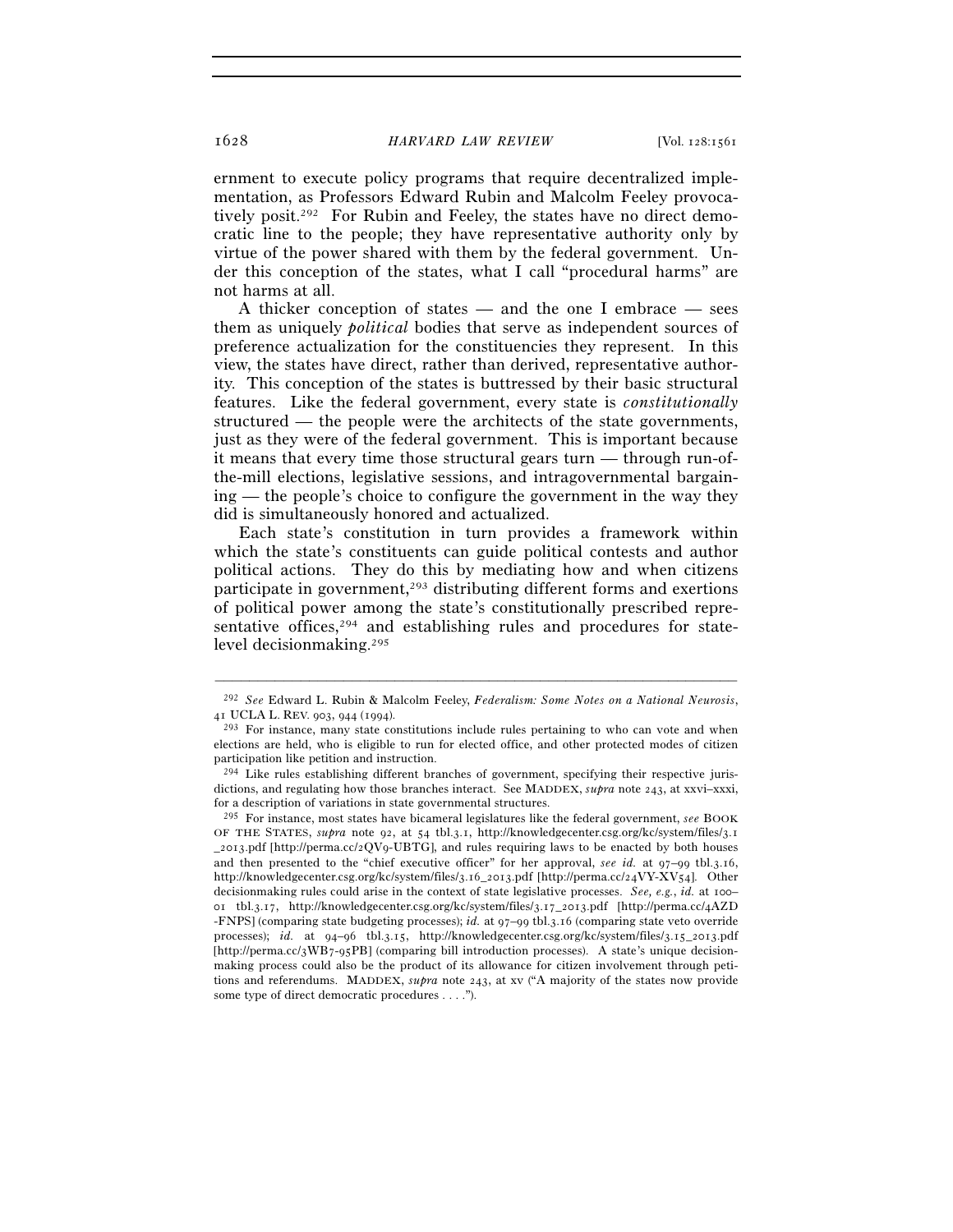ernment to execute policy programs that require decentralized implementation, as Professors Edward Rubin and Malcolm Feeley provocatively posit.292 For Rubin and Feeley, the states have no direct democratic line to the people; they have representative authority only by virtue of the power shared with them by the federal government. Under this conception of the states, what I call "procedural harms" are not harms at all.

A thicker conception of states — and the one I embrace — sees them as uniquely *political* bodies that serve as independent sources of preference actualization for the constituencies they represent. In this view, the states have direct, rather than derived, representative authority. This conception of the states is buttressed by their basic structural features. Like the federal government, every state is *constitutionally* structured — the people were the architects of the state governments, just as they were of the federal government. This is important because it means that every time those structural gears turn — through run-ofthe-mill elections, legislative sessions, and intragovernmental bargaining — the people's choice to configure the government in the way they did is simultaneously honored and actualized.

Each state's constitution in turn provides a framework within which the state's constituents can guide political contests and author political actions. They do this by mediating how and when citizens participate in government,<sup>293</sup> distributing different forms and exertions of political power among the state's constitutionally prescribed representative offices,<sup>294</sup> and establishing rules and procedures for statelevel decisionmaking.295

<sup>–––––––––––––––––––––––––––––––––––––––––––––––––––––––––––––</sup> 292 *See* Edward L. Rubin & Malcolm Feeley, *Federalism: Some Notes on a National Neurosis*, 41 UCLA L. REV. 903, 944 (1994).<br><sup>293</sup> For instance, many state constitutions include rules pertaining to who can vote and when

elections are held, who is eligible to run for elected office, and other protected modes of citizen participation like petition and instruction.

<sup>294</sup> Like rules establishing different branches of government, specifying their respective jurisdictions, and regulating how those branches interact. See MADDEX, *supra* note 243, at xxvi–xxxi, for a description of variations in state governmental structures.

<sup>295</sup> For instance, most states have bicameral legislatures like the federal government, *see* BOOK OF THE STATES, *supra* note 92, at 54 tbl.3.1, http://knowledgecenter.csg.org/kc/system/files/3.1 \_2013.pdf [http://perma.cc/2QV9-UBTG], and rules requiring laws to be enacted by both houses and then presented to the "chief executive officer" for her approval, *see id.* at 97–99 tbl.3.16, http://knowledgecenter.csg.org/kc/system/files/3.16\_2013.pdf [http://perma.cc/24VY-XV54]. Other decisionmaking rules could arise in the context of state legislative processes. *See, e.g.*, *id.* at 100– 01 tbl.3.17, http://knowledgecenter.csg.org/kc/system/files/3.17\_2013.pdf [http://perma.cc/4AZD -FNPS] (comparing state budgeting processes); *id.* at 97–99 tbl.3.16 (comparing state veto override processes); *id.* at 94–96 tbl.3.15, http://knowledgecenter.csg.org/kc/system/files/3.15\_2013.pdf [http://perma.cc/3WB7-95PB] (comparing bill introduction processes). A state's unique decisionmaking process could also be the product of its allowance for citizen involvement through petitions and referendums. MADDEX, *supra* note 243, at xv ("A majority of the states now provide some type of direct democratic procedures . . . .").